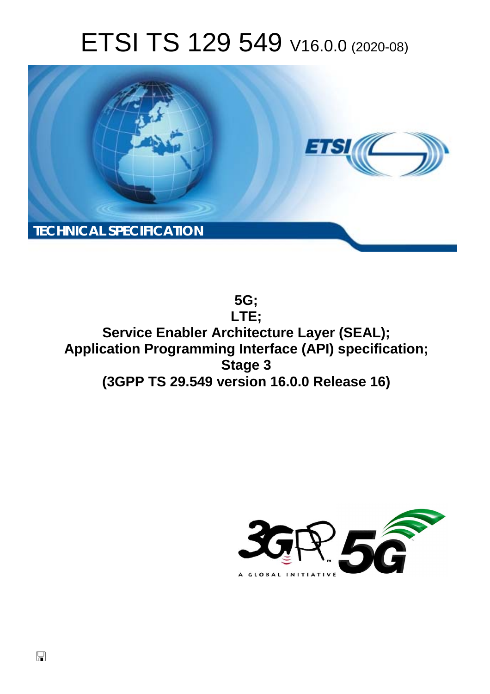# ETSI TS 129 549 V16.0.0 (2020-08)



**5G; LTE; Service Enabler Architecture Layer (SEAL); Application Programming Interface (API) specification; Stage 3 (3GPP TS 29.549 version 16.0.0 Release 16)** 

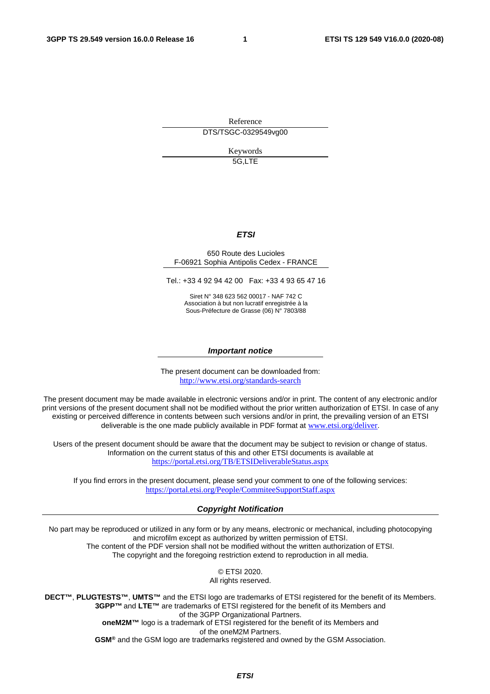Reference DTS/TSGC-0329549vg00

> Keywords 5G,LTE

#### *ETSI*

#### 650 Route des Lucioles F-06921 Sophia Antipolis Cedex - FRANCE

Tel.: +33 4 92 94 42 00 Fax: +33 4 93 65 47 16

Siret N° 348 623 562 00017 - NAF 742 C Association à but non lucratif enregistrée à la Sous-Préfecture de Grasse (06) N° 7803/88

#### *Important notice*

The present document can be downloaded from: <http://www.etsi.org/standards-search>

The present document may be made available in electronic versions and/or in print. The content of any electronic and/or print versions of the present document shall not be modified without the prior written authorization of ETSI. In case of any existing or perceived difference in contents between such versions and/or in print, the prevailing version of an ETSI deliverable is the one made publicly available in PDF format at [www.etsi.org/deliver](http://www.etsi.org/deliver).

Users of the present document should be aware that the document may be subject to revision or change of status. Information on the current status of this and other ETSI documents is available at <https://portal.etsi.org/TB/ETSIDeliverableStatus.aspx>

If you find errors in the present document, please send your comment to one of the following services: <https://portal.etsi.org/People/CommiteeSupportStaff.aspx>

#### *Copyright Notification*

No part may be reproduced or utilized in any form or by any means, electronic or mechanical, including photocopying and microfilm except as authorized by written permission of ETSI. The content of the PDF version shall not be modified without the written authorization of ETSI.

The copyright and the foregoing restriction extend to reproduction in all media.

© ETSI 2020. All rights reserved.

**DECT™**, **PLUGTESTS™**, **UMTS™** and the ETSI logo are trademarks of ETSI registered for the benefit of its Members. **3GPP™** and **LTE™** are trademarks of ETSI registered for the benefit of its Members and of the 3GPP Organizational Partners. **oneM2M™** logo is a trademark of ETSI registered for the benefit of its Members and of the oneM2M Partners.

**GSM®** and the GSM logo are trademarks registered and owned by the GSM Association.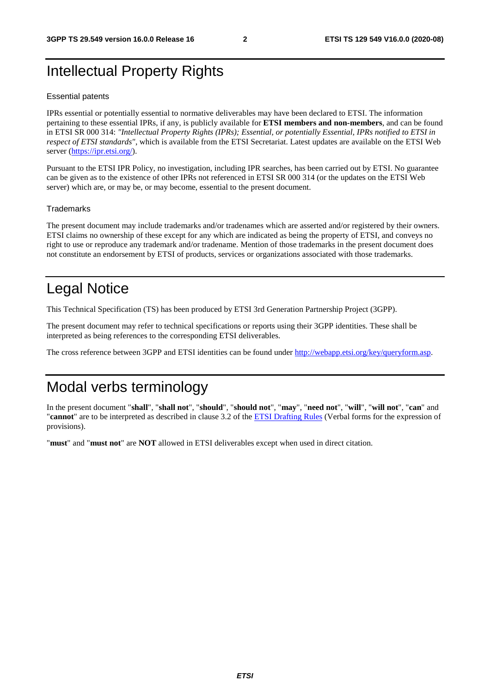# Intellectual Property Rights

#### Essential patents

IPRs essential or potentially essential to normative deliverables may have been declared to ETSI. The information pertaining to these essential IPRs, if any, is publicly available for **ETSI members and non-members**, and can be found in ETSI SR 000 314: *"Intellectual Property Rights (IPRs); Essential, or potentially Essential, IPRs notified to ETSI in respect of ETSI standards"*, which is available from the ETSI Secretariat. Latest updates are available on the ETSI Web server [\(https://ipr.etsi.org/](https://ipr.etsi.org/)).

Pursuant to the ETSI IPR Policy, no investigation, including IPR searches, has been carried out by ETSI. No guarantee can be given as to the existence of other IPRs not referenced in ETSI SR 000 314 (or the updates on the ETSI Web server) which are, or may be, or may become, essential to the present document.

#### **Trademarks**

The present document may include trademarks and/or tradenames which are asserted and/or registered by their owners. ETSI claims no ownership of these except for any which are indicated as being the property of ETSI, and conveys no right to use or reproduce any trademark and/or tradename. Mention of those trademarks in the present document does not constitute an endorsement by ETSI of products, services or organizations associated with those trademarks.

# Legal Notice

This Technical Specification (TS) has been produced by ETSI 3rd Generation Partnership Project (3GPP).

The present document may refer to technical specifications or reports using their 3GPP identities. These shall be interpreted as being references to the corresponding ETSI deliverables.

The cross reference between 3GPP and ETSI identities can be found under<http://webapp.etsi.org/key/queryform.asp>.

# Modal verbs terminology

In the present document "**shall**", "**shall not**", "**should**", "**should not**", "**may**", "**need not**", "**will**", "**will not**", "**can**" and "**cannot**" are to be interpreted as described in clause 3.2 of the [ETSI Drafting Rules](https://portal.etsi.org/Services/editHelp!/Howtostart/ETSIDraftingRules.aspx) (Verbal forms for the expression of provisions).

"**must**" and "**must not**" are **NOT** allowed in ETSI deliverables except when used in direct citation.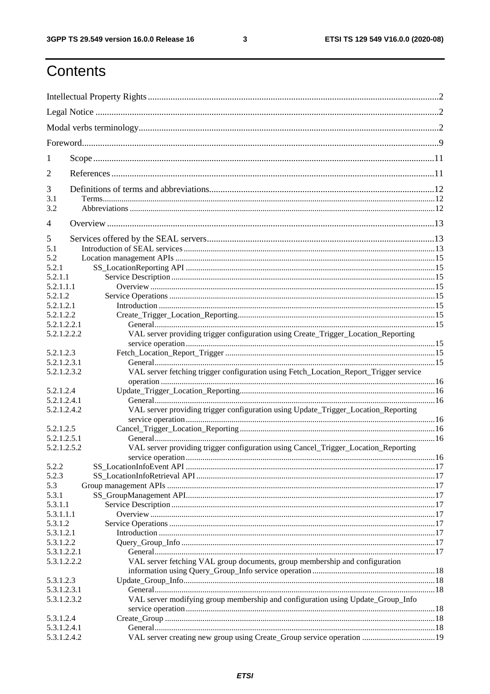$\mathbf{3}$ 

# Contents

| 1              |                                                                                       |    |
|----------------|---------------------------------------------------------------------------------------|----|
| 2              |                                                                                       |    |
| 3              |                                                                                       |    |
| 3.1<br>3.2     |                                                                                       |    |
| $\overline{4}$ |                                                                                       |    |
| 5              |                                                                                       |    |
| 5.1            |                                                                                       |    |
| 5.2            |                                                                                       |    |
| 5.2.1          |                                                                                       |    |
| 5.2.1.1        |                                                                                       |    |
|                |                                                                                       |    |
| 5.2.1.1.1      |                                                                                       |    |
| 5.2.1.2        |                                                                                       |    |
| 5.2.1.2.1      |                                                                                       |    |
| 5.2.1.2.2      |                                                                                       |    |
| 5.2.1.2.2.1    |                                                                                       |    |
| 5.2.1.2.2.2    | VAL server providing trigger configuration using Create_Trigger_Location_Reporting    |    |
|                |                                                                                       |    |
| 5.2.1.2.3      |                                                                                       |    |
| 5.2.1.2.3.1    |                                                                                       |    |
| 5.2.1.2.3.2    | VAL server fetching trigger configuration using Fetch_Location_Report_Trigger service |    |
|                |                                                                                       |    |
| 5.2.1.2.4      |                                                                                       |    |
| 5.2.1.2.4.1    |                                                                                       |    |
| 5.2.1.2.4.2    | VAL server providing trigger configuration using Update_Trigger_Location_Reporting    |    |
|                |                                                                                       |    |
| 5.2.1.2.5      |                                                                                       |    |
| 5.2.1.2.5.1    |                                                                                       |    |
| 5.2.1.2.5.2    | VAL server providing trigger configuration using Cancel_Trigger_Location_Reporting    |    |
|                |                                                                                       | 16 |
| 5.2.2          |                                                                                       |    |
| 5.2.3          |                                                                                       |    |
| 5.3            |                                                                                       |    |
| 5.3.1          |                                                                                       |    |
| 5.3.1.1        |                                                                                       |    |
| 5.3.1.1.1      |                                                                                       |    |
| 5.3.1.2        |                                                                                       |    |
| 5.3.1.2.1      |                                                                                       |    |
|                |                                                                                       |    |
| 5.3.1.2.2      |                                                                                       |    |
| 5.3.1.2.2.1    |                                                                                       |    |
| 5.3.1.2.2.2    | VAL server fetching VAL group documents, group membership and configuration           |    |
|                |                                                                                       |    |
| 5.3.1.2.3      |                                                                                       |    |
| 5.3.1.2.3.1    |                                                                                       |    |
| 5.3.1.2.3.2    | VAL server modifying group membership and configuration using Update_Group_Info       |    |
|                |                                                                                       |    |
| 5.3.1.2.4      |                                                                                       |    |
| 5.3.1.2.4.1    |                                                                                       |    |
|                |                                                                                       |    |
| 5.3.1.2.4.2    | VAL server creating new group using Create_Group service operation  19                |    |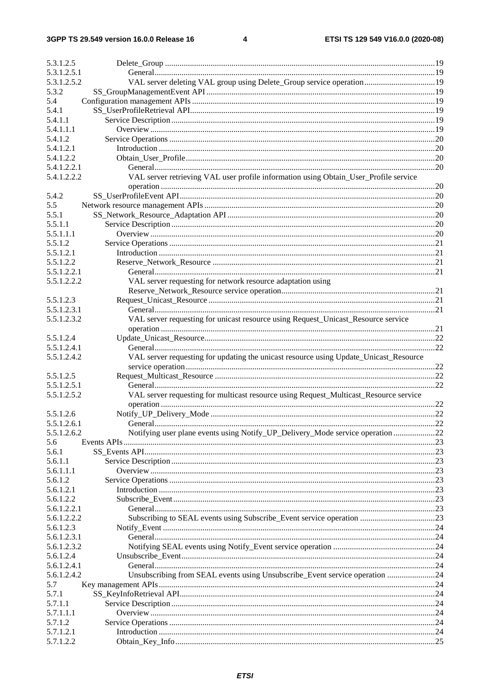$\overline{\mathbf{4}}$ 

| 5.3.1.2.5                  |                                                                                       |  |
|----------------------------|---------------------------------------------------------------------------------------|--|
| 5.3.1.2.5.1                |                                                                                       |  |
| 5.3.1.2.5.2                | VAL server deleting VAL group using Delete_Group service operation 19                 |  |
| 5.3.2                      |                                                                                       |  |
| 5.4                        |                                                                                       |  |
| 5.4.1                      |                                                                                       |  |
| 5.4.1.1                    |                                                                                       |  |
| 5.4.1.1.1                  |                                                                                       |  |
| 5.4.1.2                    |                                                                                       |  |
| 5.4.1.2.1                  |                                                                                       |  |
| 5.4.1.2.2                  |                                                                                       |  |
| 5.4.1.2.2.1                |                                                                                       |  |
| 5.4.1.2.2.2                | VAL server retrieving VAL user profile information using Obtain_User_Profile service  |  |
|                            |                                                                                       |  |
| 5.4.2                      |                                                                                       |  |
| 5.5                        |                                                                                       |  |
| 5.5.1                      |                                                                                       |  |
| 5.5.1.1                    |                                                                                       |  |
| 5.5.1.1.1                  |                                                                                       |  |
| 5.5.1.2                    |                                                                                       |  |
| 5.5.1.2.1                  |                                                                                       |  |
| 5.5.1.2.2                  |                                                                                       |  |
| 5.5.1.2.2.1                |                                                                                       |  |
| 5.5.1.2.2.2                | VAL server requesting for network resource adaptation using                           |  |
|                            |                                                                                       |  |
| 5.5.1.2.3                  |                                                                                       |  |
| 5.5.1.2.3.1<br>5.5.1.2.3.2 |                                                                                       |  |
|                            | VAL server requesting for unicast resource using Request_Unicast_Resource service     |  |
| 5.5.1.2.4                  |                                                                                       |  |
| 5.5.1.2.4.1                |                                                                                       |  |
| 5.5.1.2.4.2                | VAL server requesting for updating the unicast resource using Update_Unicast_Resource |  |
|                            |                                                                                       |  |
| 5.5.1.2.5                  |                                                                                       |  |
| 5.5.1.2.5.1                |                                                                                       |  |
| 5.5.1.2.5.2                | VAL server requesting for multicast resource using Request_Multicast_Resource service |  |
|                            |                                                                                       |  |
| 5.5.1.2.6                  |                                                                                       |  |
| 5.5.1.2.6.1                |                                                                                       |  |
| 5.5.1.2.6.2                | Notifying user plane events using Notify_UP_Delivery_Mode service operation 22        |  |
| 5.6                        |                                                                                       |  |
| 5.6.1                      |                                                                                       |  |
| 5.6.1.1                    |                                                                                       |  |
| 5.6.1.1.1                  |                                                                                       |  |
| 5.6.1.2                    |                                                                                       |  |
| 5.6.1.2.1                  |                                                                                       |  |
| 5.6.1.2.2                  |                                                                                       |  |
| 5.6.1.2.2.1                |                                                                                       |  |
| 5.6.1.2.2.2                |                                                                                       |  |
| 5.6.1.2.3                  |                                                                                       |  |
| 5.6.1.2.3.1                |                                                                                       |  |
| 5.6.1.2.3.2                |                                                                                       |  |
| 5.6.1.2.4                  |                                                                                       |  |
| 5.6.1.2.4.1                |                                                                                       |  |
| 5.6.1.2.4.2                | Unsubscribing from SEAL events using Unsubscribe_Event service operation 24           |  |
| 5.7                        |                                                                                       |  |
| 5.7.1                      |                                                                                       |  |
| 5.7.1.1                    |                                                                                       |  |
| 5.7.1.1.1                  |                                                                                       |  |
| 5.7.1.2                    |                                                                                       |  |
| 5.7.1.2.1<br>5.7.1.2.2     |                                                                                       |  |
|                            |                                                                                       |  |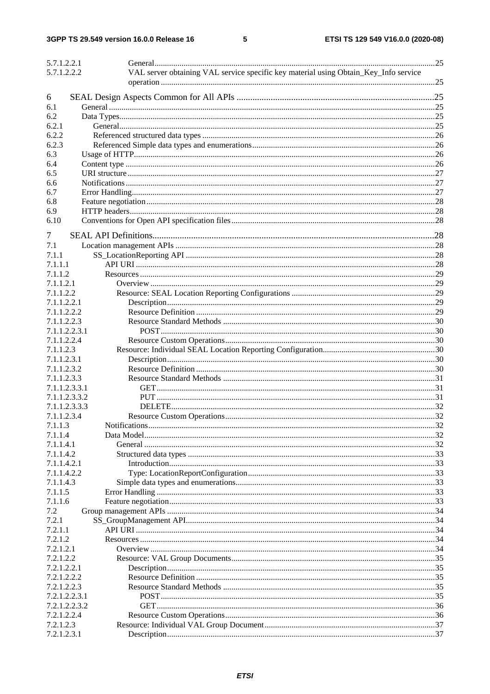$5\phantom{a}$ 

| 5.7.1.2.2.1   |                                                                                      |  |
|---------------|--------------------------------------------------------------------------------------|--|
| 5.7.1.2.2.2   | VAL server obtaining VAL service specific key material using Obtain_Key_Info service |  |
|               |                                                                                      |  |
| 6             |                                                                                      |  |
| 6.1           |                                                                                      |  |
| 6.2           |                                                                                      |  |
| 6.2.1         |                                                                                      |  |
| 6.2.2         |                                                                                      |  |
| 6.2.3         |                                                                                      |  |
| 6.3           |                                                                                      |  |
|               |                                                                                      |  |
| 6.4           |                                                                                      |  |
| 6.5           |                                                                                      |  |
| 6.6           |                                                                                      |  |
| 6.7           |                                                                                      |  |
| 6.8           |                                                                                      |  |
| 6.9           |                                                                                      |  |
| 6.10          |                                                                                      |  |
| 7             |                                                                                      |  |
| 7.1           |                                                                                      |  |
| 7.1.1         |                                                                                      |  |
| 7.1.1.1       |                                                                                      |  |
| 7.1.1.2       |                                                                                      |  |
| 7.1.1.2.1     |                                                                                      |  |
| 7.1.1.2.2     |                                                                                      |  |
| 7.1.1.2.2.1   |                                                                                      |  |
| 7.1.1.2.2.2   |                                                                                      |  |
|               |                                                                                      |  |
| 7.1.1.2.2.3   |                                                                                      |  |
| 7.1.1.2.2.3.1 |                                                                                      |  |
| 7.1.1.2.2.4   |                                                                                      |  |
| 7.1.1.2.3     |                                                                                      |  |
| 7.1.1.2.3.1   |                                                                                      |  |
| 7.1.1.2.3.2   |                                                                                      |  |
| 7.1.1.2.3.3   |                                                                                      |  |
| 7.1.1.2.3.3.1 |                                                                                      |  |
| 7.1.1.2.3.3.2 |                                                                                      |  |
| 7.1.1.2.3.3.3 |                                                                                      |  |
| 7.1.1.2.3.4   |                                                                                      |  |
| 7.1.1.3       |                                                                                      |  |
| 7.1.1.4       |                                                                                      |  |
| 7.1.1.4.1     |                                                                                      |  |
| 7.1.1.4.2     |                                                                                      |  |
| 7.1.1.4.2.1   |                                                                                      |  |
| 7.1.1.4.2.2   |                                                                                      |  |
| 7.1.1.4.3     |                                                                                      |  |
| 7.1.1.5       |                                                                                      |  |
| 7.1.1.6       |                                                                                      |  |
| 7.2           |                                                                                      |  |
| 7.2.1         |                                                                                      |  |
| 7.2.1.1       |                                                                                      |  |
| 7.2.1.2       |                                                                                      |  |
| 7.2.1.2.1     |                                                                                      |  |
|               |                                                                                      |  |
| 7.2.1.2.2     |                                                                                      |  |
| 7.2.1.2.2.1   |                                                                                      |  |
| 7.2.1.2.2.2   |                                                                                      |  |
| 7.2.1.2.2.3   |                                                                                      |  |
| 7.2.1.2.2.3.1 |                                                                                      |  |
| 7.2.1.2.2.3.2 |                                                                                      |  |
| 7.2.1.2.2.4   |                                                                                      |  |
| 7.2.1.2.3     |                                                                                      |  |
| 7.2.1.2.3.1   |                                                                                      |  |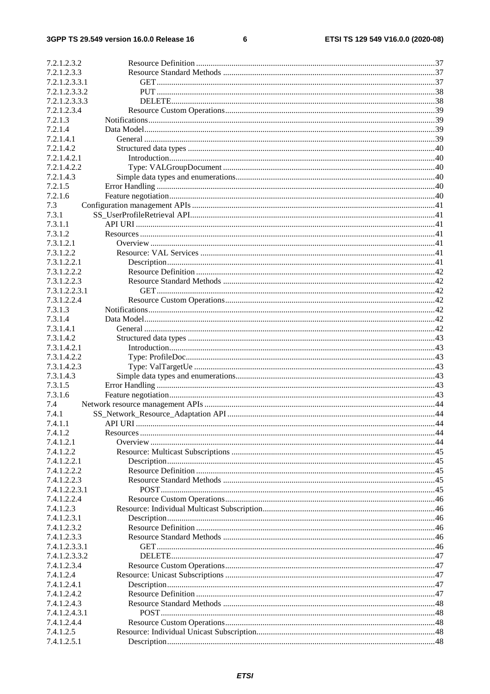#### $\bf 6$

| 7.2.1.2.3.2   |  |
|---------------|--|
| 7.2.1.2.3.3   |  |
| 7.2.1.2.3.3.1 |  |
| 7.2.1.2.3.3.2 |  |
| 7.2.1.2.3.3.3 |  |
| 7.2.1.2.3.4   |  |
| 7.2.1.3       |  |
| 7.2.1.4       |  |
| 7.2.1.4.1     |  |
| 7.2.1.4.2     |  |
| 7.2.1.4.2.1   |  |
| 7.2.1.4.2.2   |  |
| 7.2.1.4.3     |  |
| 7.2.1.5       |  |
| 7.2.1.6       |  |
| 7.3           |  |
| 7.3.1         |  |
| 7.3.1.1       |  |
| 7.3.1.2       |  |
| 7.3.1.2.1     |  |
| 7.3.1.2.2     |  |
| 7.3.1.2.2.1   |  |
| 7.3.1.2.2.2   |  |
| 7.3.1.2.2.3   |  |
| 7.3.1.2.2.3.1 |  |
| 7.3.1.2.2.4   |  |
| 7.3.1.3       |  |
| 7.3.1.4       |  |
| 7.3.1.4.1     |  |
|               |  |
| 7.3.1.4.2     |  |
| 7.3.1.4.2.1   |  |
| 7.3.1.4.2.2   |  |
| 7.3.1.4.2.3   |  |
| 7.3.1.4.3     |  |
| 7.3.1.5       |  |
| 7.3.1.6       |  |
| 7.4           |  |
| 7.4.1         |  |
| 7.4.1.1       |  |
| 7.4.1.2       |  |
| 7.4.1.2.1     |  |
| 7.4.1.2.2     |  |
| 7.4.1.2.2.1   |  |
| 7.4.1.2.2.2   |  |
| 7.4.1.2.2.3   |  |
| 7.4.1.2.2.3.1 |  |
| 7.4.1.2.2.4   |  |
| 7.4.1.2.3     |  |
| 7.4.1.2.3.1   |  |
| 7.4.1.2.3.2   |  |
| 7.4.1.2.3.3   |  |
| 7.4.1.2.3.3.1 |  |
| 7.4.1.2.3.3.2 |  |
| 7.4.1.2.3.4   |  |
| 7.4.1.2.4     |  |
| 7.4.1.2.4.1   |  |
| 7.4.1.2.4.2   |  |
| 7.4.1.2.4.3   |  |
| 7.4.1.2.4.3.1 |  |
| 7.4.1.2.4.4   |  |
| 7.4.1.2.5     |  |
| 7.4.1.2.5.1   |  |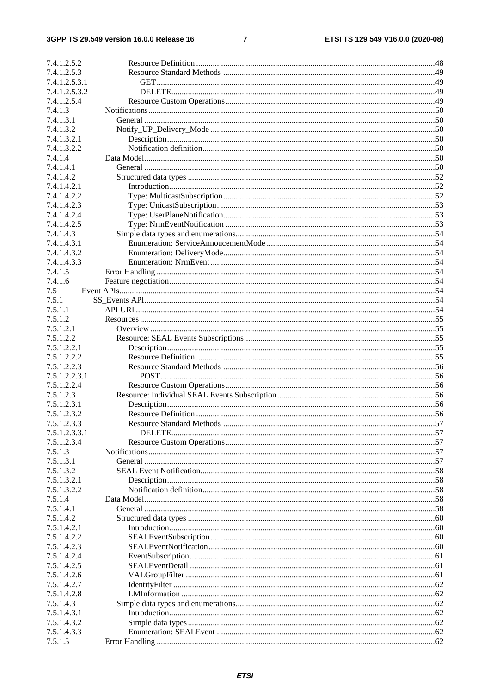#### 3GPP TS 29.549 version 16.0.0 Release 16

#### $\overline{7}$

| 7.4.1.2.5.2            |  |
|------------------------|--|
| 7.4.1.2.5.3            |  |
| 7.4.1.2.5.3.1          |  |
| 7.4.1.2.5.3.2          |  |
| 7.4.1.2.5.4            |  |
| 7.4.1.3                |  |
| 7.4.1.3.1              |  |
| 7.4.1.3.2              |  |
|                        |  |
| 7.4.1.3.2.1            |  |
| 7.4.1.3.2.2<br>7.4.1.4 |  |
|                        |  |
| 7.4.1.4.1              |  |
| 7.4.1.4.2              |  |
| 7.4.1.4.2.1            |  |
| 7.4.1.4.2.2            |  |
| 7.4.1.4.2.3            |  |
| 7.4.1.4.2.4            |  |
| 7.4.1.4.2.5            |  |
| 7.4.1.4.3              |  |
| 7.4.1.4.3.1            |  |
| 7.4.1.4.3.2            |  |
| 7.4.1.4.3.3            |  |
| 7.4.1.5                |  |
| 7.4.1.6                |  |
| 7.5                    |  |
| 7.5.1                  |  |
| 7.5.1.1                |  |
| 7.5.1.2                |  |
| 7.5.1.2.1              |  |
| 7.5.1.2.2              |  |
| 7.5.1.2.2.1            |  |
| 7.5.1.2.2.2            |  |
| 7.5.1.2.2.3            |  |
| 7.5.1.2.2.3.1          |  |
| 7.5.1.2.2.4            |  |
| 7.5.1.2.3              |  |
| 7.5.1.2.3.1            |  |
| 7.5.1.2.3.2            |  |
| 7.5.1.2.3.3            |  |
| 7.5.1.2.3.3.1          |  |
| 7.5.1.2.3.4            |  |
| 7.5.1.3                |  |
| 7.5.1.3.1              |  |
| 7.5.1.3.2              |  |
| 7.5.1.3.2.1            |  |
| 7.5.1.3.2.2            |  |
| 7.5.1.4                |  |
| 7.5.1.4.1              |  |
| 7.5.1.4.2              |  |
| 7.5.1.4.2.1            |  |
|                        |  |
| 7.5.1.4.2.2            |  |
| 7.5.1.4.2.3            |  |
| 7.5.1.4.2.4            |  |
| 7.5.1.4.2.5            |  |
| 7.5.1.4.2.6            |  |
| 7.5.1.4.2.7            |  |
| 7.5.1.4.2.8            |  |
| 7.5.1.4.3              |  |
| 7.5.1.4.3.1            |  |
| 7.5.1.4.3.2            |  |
| 7.5.1.4.3.3            |  |
| 7.5.1.5                |  |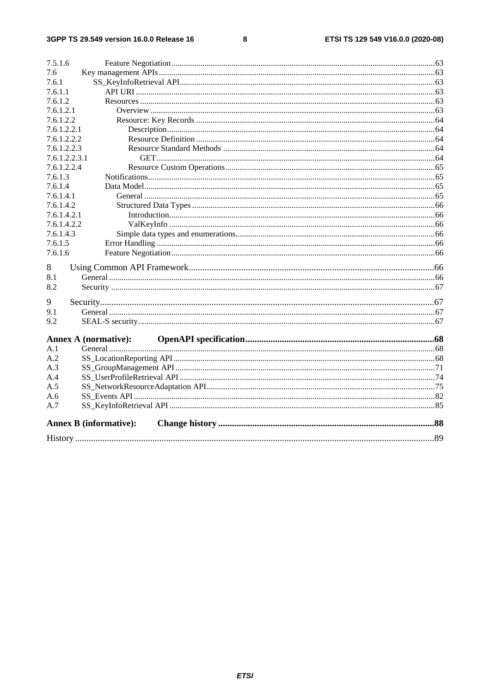#### $\bf8$

| 7.5.1.6                       |  |
|-------------------------------|--|
| 7.6                           |  |
| 7.6.1                         |  |
| 7.6.1.1                       |  |
| 7.6.1.2                       |  |
| 7.6.1.2.1                     |  |
| 7.6.1.2.2                     |  |
| 7.6.1.2.2.1                   |  |
| 7.6.1.2.2.2                   |  |
| 7.6.1.2.2.3                   |  |
| 7.6.1.2.2.3.1                 |  |
| 7.6.1.2.2.4                   |  |
| 7.6.1.3                       |  |
| 7.6.1.4                       |  |
| 7.6.1.4.1                     |  |
| 7.6.1.4.2                     |  |
| 7.6.1.4.2.1                   |  |
| 7.6.1.4.2.2                   |  |
| 7.6.1.4.3                     |  |
| 7.6.1.5                       |  |
| 7.6.1.6                       |  |
| 8                             |  |
| 8.1                           |  |
| 8.2                           |  |
| 9                             |  |
| 9.1                           |  |
| 9.2                           |  |
|                               |  |
| <b>Annex A (normative):</b>   |  |
| A.1                           |  |
| A.2                           |  |
| A.3                           |  |
| A.4                           |  |
| A.5                           |  |
| A.6                           |  |
| A.7                           |  |
| <b>Annex B</b> (informative): |  |
|                               |  |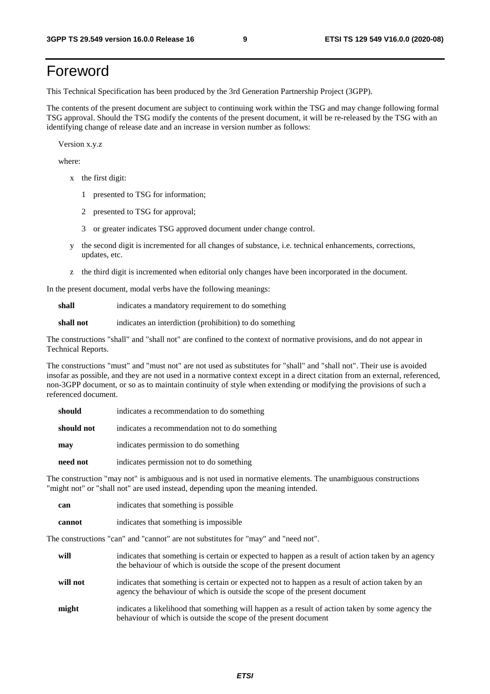# Foreword

This Technical Specification has been produced by the 3rd Generation Partnership Project (3GPP).

The contents of the present document are subject to continuing work within the TSG and may change following formal TSG approval. Should the TSG modify the contents of the present document, it will be re-released by the TSG with an identifying change of release date and an increase in version number as follows:

Version x.y.z

where:

- x the first digit:
	- 1 presented to TSG for information;
	- 2 presented to TSG for approval;
	- 3 or greater indicates TSG approved document under change control.
- y the second digit is incremented for all changes of substance, i.e. technical enhancements, corrections, updates, etc.
- z the third digit is incremented when editorial only changes have been incorporated in the document.

In the present document, modal verbs have the following meanings:

**shall** indicates a mandatory requirement to do something

**shall not** indicates an interdiction (prohibition) to do something

The constructions "shall" and "shall not" are confined to the context of normative provisions, and do not appear in Technical Reports.

The constructions "must" and "must not" are not used as substitutes for "shall" and "shall not". Their use is avoided insofar as possible, and they are not used in a normative context except in a direct citation from an external, referenced, non-3GPP document, or so as to maintain continuity of style when extending or modifying the provisions of such a referenced document.

| should     | indicates a recommendation to do something     |  |  |
|------------|------------------------------------------------|--|--|
| should not | indicates a recommendation not to do something |  |  |
| may        | indicates permission to do something           |  |  |
| need not   | indicates permission not to do something       |  |  |

The construction "may not" is ambiguous and is not used in normative elements. The unambiguous constructions "might not" or "shall not" are used instead, depending upon the meaning intended.

| can    | indicates that something is possible.  |  |  |
|--------|----------------------------------------|--|--|
| cannot | indicates that something is impossible |  |  |

The constructions "can" and "cannot" are not substitutes for "may" and "need not".

| will     | indicates that something is certain or expected to happen as a result of action taken by an agency<br>the behaviour of which is outside the scope of the present document     |
|----------|-------------------------------------------------------------------------------------------------------------------------------------------------------------------------------|
| will not | indicates that something is certain or expected not to happen as a result of action taken by an<br>agency the behaviour of which is outside the scope of the present document |
| might    | indicates a likelihood that something will happen as a result of action taken by some agency the<br>behaviour of which is outside the scope of the present document           |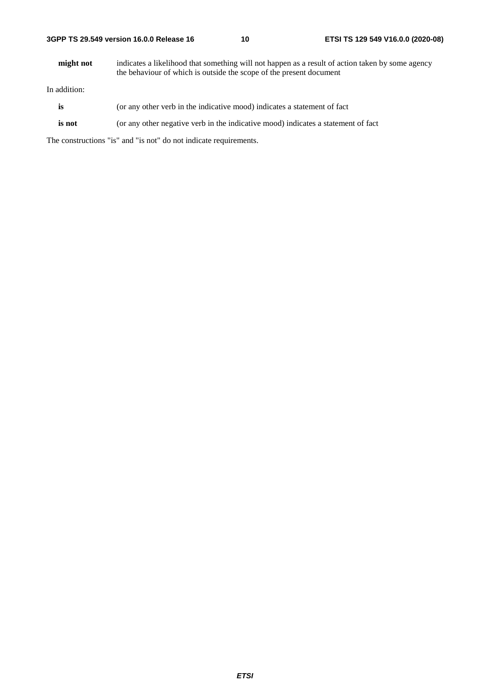#### **3GPP TS 29.549 version 16.0.0 Release 16 10 ETSI TS 129 549 V16.0.0 (2020-08)**

**might not** indicates a likelihood that something will not happen as a result of action taken by some agency the behaviour of which is outside the scope of the present document

In addition:

- is (or any other verb in the indicative mood) indicates a statement of fact
- **is not** (or any other negative verb in the indicative mood) indicates a statement of fact

The constructions "is" and "is not" do not indicate requirements.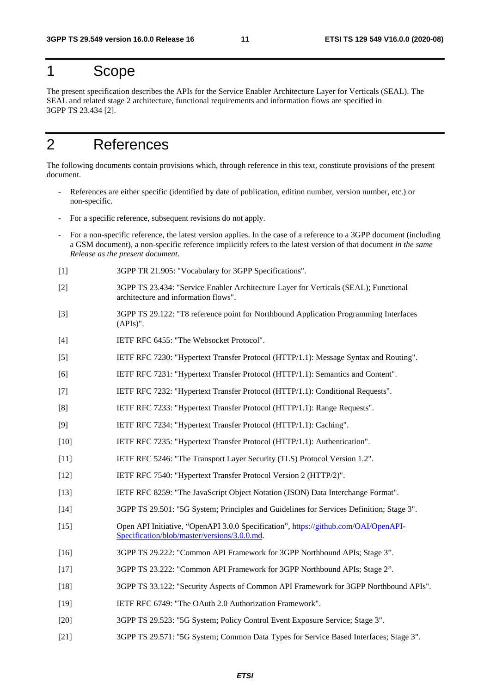# 1 Scope

The present specification describes the APIs for the Service Enabler Architecture Layer for Verticals (SEAL). The SEAL and related stage 2 architecture, functional requirements and information flows are specified in 3GPP TS 23.434 [2].

# 2 References

The following documents contain provisions which, through reference in this text, constitute provisions of the present document.

- References are either specific (identified by date of publication, edition number, version number, etc.) or non-specific.
- For a specific reference, subsequent revisions do not apply.
- For a non-specific reference, the latest version applies. In the case of a reference to a 3GPP document (including a GSM document), a non-specific reference implicitly refers to the latest version of that document *in the same Release as the present document*.
- [1] 3GPP TR 21.905: "Vocabulary for 3GPP Specifications".
- [2] 3GPP TS 23.434: "Service Enabler Architecture Layer for Verticals (SEAL); Functional architecture and information flows".
- [3] 3GPP TS 29.122: "T8 reference point for Northbound Application Programming Interfaces (APIs)".
- [4] IETF RFC 6455: "The Websocket Protocol".
- [5] IETF RFC 7230: "Hypertext Transfer Protocol (HTTP/1.1): Message Syntax and Routing".
- [6] IETF RFC 7231: "Hypertext Transfer Protocol (HTTP/1.1): Semantics and Content".
- [7] IETF RFC 7232: "Hypertext Transfer Protocol (HTTP/1.1): Conditional Requests".
- [8] IETF RFC 7233: "Hypertext Transfer Protocol (HTTP/1.1): Range Requests".
- [9] IETF RFC 7234: "Hypertext Transfer Protocol (HTTP/1.1): Caching".
- [10] IETF RFC 7235: "Hypertext Transfer Protocol (HTTP/1.1): Authentication".
- [11] IETF RFC 5246: "The Transport Layer Security (TLS) Protocol Version 1.2".
- [12] IETF RFC 7540: "Hypertext Transfer Protocol Version 2 (HTTP/2)".
- [13] IETF RFC 8259: "The JavaScript Object Notation (JSON) Data Interchange Format".
- [14] 3GPP TS 29.501: "5G System; Principles and Guidelines for Services Definition; Stage 3".
- [15] Open API Initiative, "OpenAPI 3.0.0 Specification", [https://github.com/OAI/OpenAPI](https://github.com/OAI/OpenAPI-Specification/blob/master/versions/3.0.0.md)-[Specification/blob/master/versions/3.0.0.md](https://github.com/OAI/OpenAPI-Specification/blob/master/versions/3.0.0.md).
- [16] 3GPP TS 29.222: "Common API Framework for 3GPP Northbound APIs; Stage 3".
- [17] 3GPP TS 23.222: "Common API Framework for 3GPP Northbound APIs; Stage 2".
- [18] 3GPP TS 33.122: "Security Aspects of Common API Framework for 3GPP Northbound APIs".
- [19] IETF RFC 6749: "The OAuth 2.0 Authorization Framework".
- [20] 3GPP TS 29.523: "5G System; Policy Control Event Exposure Service; Stage 3".
- [21] 3GPP TS 29.571: "5G System; Common Data Types for Service Based Interfaces; Stage 3".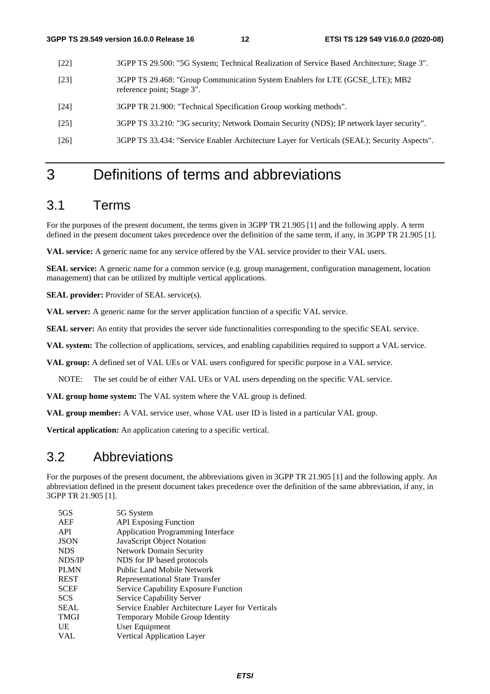- [22] 3GPP TS 29.500: "5G System; Technical Realization of Service Based Architecture; Stage 3".
- [23] 3GPP TS 29.468: "Group Communication System Enablers for LTE (GCSE\_LTE); MB2 reference point; Stage 3".
- [24] 3GPP TR 21.900: "Technical Specification Group working methods".
- [25] 3GPP TS 33.210: "3G security; Network Domain Security (NDS); IP network layer security".
- [26] 3GPP TS 33.434: "Service Enabler Architecture Layer for Verticals (SEAL); Security Aspects".

# 3 Definitions of terms and abbreviations

### 3.1 Terms

For the purposes of the present document, the terms given in 3GPP TR 21.905 [1] and the following apply. A term defined in the present document takes precedence over the definition of the same term, if any, in 3GPP TR 21.905 [1].

**VAL service:** A generic name for any service offered by the VAL service provider to their VAL users.

**SEAL service:** A generic name for a common service (e.g. group management, configuration management, location management) that can be utilized by multiple vertical applications.

**SEAL provider:** Provider of SEAL service(s).

**VAL server:** A generic name for the server application function of a specific VAL service.

**SEAL server:** An entity that provides the server side functionalities corresponding to the specific SEAL service.

**VAL system:** The collection of applications, services, and enabling capabilities required to support a VAL service.

**VAL group:** A defined set of VAL UEs or VAL users configured for specific purpose in a VAL service.

NOTE: The set could be of either VAL UEs or VAL users depending on the specific VAL service.

**VAL group home system:** The VAL system where the VAL group is defined.

**VAL group member:** A VAL service user, whose VAL user ID is listed in a particular VAL group.

**Vertical application:** An application catering to a specific vertical.

### 3.2 Abbreviations

For the purposes of the present document, the abbreviations given in 3GPP TR 21.905 [1] and the following apply. An abbreviation defined in the present document takes precedence over the definition of the same abbreviation, if any, in 3GPP TR 21.905 [1].

| 5GS         | 5G System                                        |
|-------------|--------------------------------------------------|
| AEF         | <b>API</b> Exposing Function                     |
| <b>API</b>  | <b>Application Programming Interface</b>         |
| <b>JSON</b> | JavaScript Object Notation                       |
| <b>NDS</b>  | <b>Network Domain Security</b>                   |
| NDS/IP      | NDS for IP based protocols                       |
| <b>PLMN</b> | Public Land Mobile Network                       |
| <b>REST</b> | <b>Representational State Transfer</b>           |
| <b>SCEF</b> | Service Capability Exposure Function             |
| <b>SCS</b>  | Service Capability Server                        |
| <b>SEAL</b> | Service Enabler Architecture Layer for Verticals |
| <b>TMGI</b> | Temporary Mobile Group Identity                  |
| UE          | User Equipment                                   |
| VAL         | <b>Vertical Application Layer</b>                |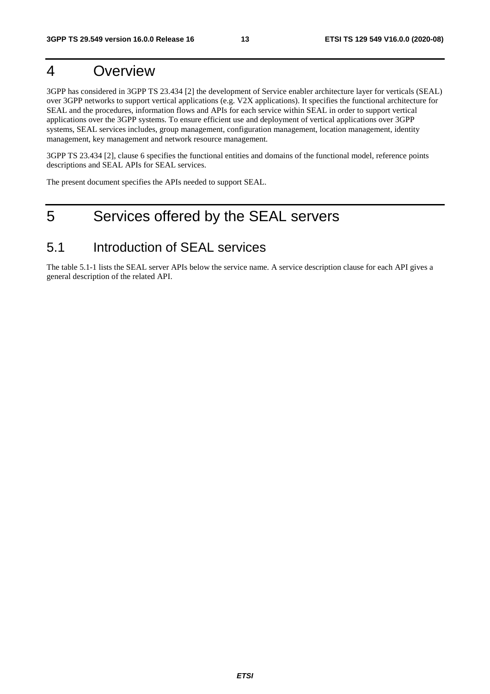# 4 Overview

3GPP has considered in 3GPP TS 23.434 [2] the development of Service enabler architecture layer for verticals (SEAL) over 3GPP networks to support vertical applications (e.g. V2X applications). It specifies the functional architecture for SEAL and the procedures, information flows and APIs for each service within SEAL in order to support vertical applications over the 3GPP systems. To ensure efficient use and deployment of vertical applications over 3GPP systems, SEAL services includes, group management, configuration management, location management, identity management, key management and network resource management.

3GPP TS 23.434 [2], clause 6 specifies the functional entities and domains of the functional model, reference points descriptions and SEAL APIs for SEAL services.

The present document specifies the APIs needed to support SEAL.

# 5 Services offered by the SEAL servers

### 5.1 Introduction of SEAL services

The table 5.1-1 lists the SEAL server APIs below the service name. A service description clause for each API gives a general description of the related API.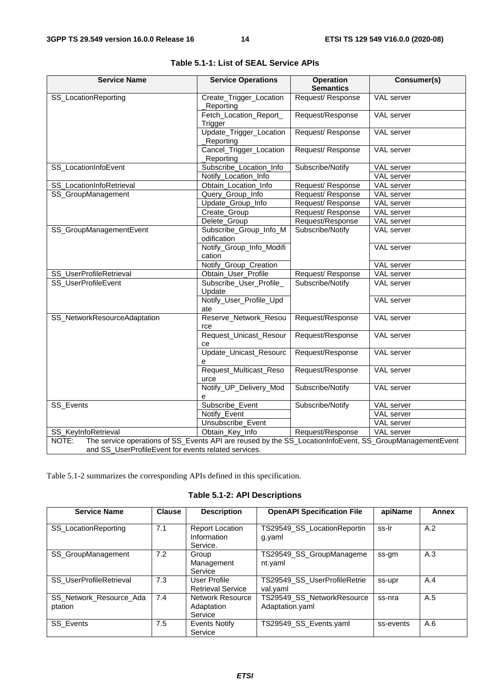| <b>Service Name</b>                                                                                              | <b>Service Operations</b>             | <b>Operation</b><br><b>Semantics</b> | Consumer(s)       |  |
|------------------------------------------------------------------------------------------------------------------|---------------------------------------|--------------------------------------|-------------------|--|
| SS_LocationReporting                                                                                             | Create_Trigger_Location<br>Reporting  | Request/Response                     | VAL server        |  |
|                                                                                                                  | Fetch_Location_Report_<br>Trigger     | Request/Response                     | <b>VAL</b> server |  |
|                                                                                                                  | Update_Trigger_Location<br>Reporting  | Request/Response                     | <b>VAL</b> server |  |
|                                                                                                                  | Cancel_Trigger_Location<br>Reporting  | Request/Response                     | <b>VAL</b> server |  |
| SS_LocationInfoEvent                                                                                             | Subscribe_Location_Info               | Subscribe/Notify                     | <b>VAL</b> server |  |
|                                                                                                                  | Notify_Location_Info                  |                                      | <b>VAL</b> server |  |
| SS_LocationInfoRetrieval                                                                                         | Obtain_Location_Info                  | Request/Response                     | <b>VAL</b> server |  |
| SS_GroupManagement                                                                                               | Query_Group_Info                      | Request/Response                     | VAL server        |  |
|                                                                                                                  | Update_Group_Info                     | Request/Response                     | <b>VAL</b> server |  |
|                                                                                                                  | Create_Group                          | Request/Response                     | VAL server        |  |
|                                                                                                                  | Delete_Group                          | Request/Response                     | <b>VAL</b> server |  |
| SS_GroupManagementEvent                                                                                          | Subscribe_Group_Info_M<br>odification | Subscribe/Notify                     | VAL server        |  |
|                                                                                                                  | Notify_Group_Info_Modifi<br>cation    |                                      | VAL server        |  |
|                                                                                                                  | Notify_Group_Creation                 |                                      | VAL server        |  |
| SS_UserProfileRetrieval                                                                                          | Obtain_User_Profile                   | Request/Response                     | <b>VAL</b> server |  |
| SS_UserProfileEvent                                                                                              | Subscribe_User_Profile_<br>Update     | Subscribe/Notify                     | VAL server        |  |
|                                                                                                                  | Notify_User_Profile_Upd<br>ate        |                                      | <b>VAL</b> server |  |
| SS_NetworkResourceAdaptation                                                                                     | Reserve_Network_Resou<br>rce          | Request/Response                     | <b>VAL</b> server |  |
|                                                                                                                  | Request_Unicast_Resour<br>ce          | Request/Response                     | VAL server        |  |
|                                                                                                                  | Update_Unicast_Resourc<br>е           | Request/Response                     | VAL server        |  |
|                                                                                                                  | Request_Multicast_Reso<br>urce        | Request/Response                     | VAL server        |  |
|                                                                                                                  | Notify_UP_Delivery_Mod<br>е           | Subscribe/Notify                     | VAL server        |  |
| SS_Events                                                                                                        | Subscribe_Event                       | Subscribe/Notify                     | VAL server        |  |
|                                                                                                                  | Notify_Event                          |                                      | VAL server        |  |
|                                                                                                                  | Unsubscribe_Event                     |                                      | VAL server        |  |
| SS_KeyInfoRetrieval                                                                                              | Obtain_Key_Info                       | Request/Response                     | VAL server        |  |
| The service operations of SS_Events API are reused by the SS_LocationInfoEvent, SS_GroupManagementEvent<br>NOTE: |                                       |                                      |                   |  |
| and SS_UserProfileEvent for events related services.                                                             |                                       |                                      |                   |  |

|  |  |  |  | Table 5.1-1: List of SEAL Service APIs |  |
|--|--|--|--|----------------------------------------|--|
|--|--|--|--|----------------------------------------|--|

Table 5.1-2 summarizes the corresponding APIs defined in this specification.

**Table 5.1-2: API Descriptions** 

| <b>Service Name</b>                | <b>Clause</b> | <b>Description</b>                                | <b>OpenAPI Specification File</b>             | apiName   | Annex |
|------------------------------------|---------------|---------------------------------------------------|-----------------------------------------------|-----------|-------|
| <b>SS</b> LocationReporting        | 7.1           | <b>Report Location</b><br>Information<br>Service. | TS29549_SS_LocationReportin<br>g.yaml         | ss-Ir     | A.2   |
| SS_GroupManagement                 | 7.2           | Group<br>Management<br>Service                    | TS29549_SS_GroupManageme<br>nt.yaml           | ss-gm     | A.3   |
| <b>SS UserProfileRetrieval</b>     | 7.3           | <b>User Profile</b><br><b>Retrieval Service</b>   | TS29549_SS_UserProfileRetrie<br>val.yaml      | ss-upr    | A.4   |
| SS_Network_Resource_Ada<br>ptation | 7.4           | Network Resource<br>Adaptation<br>Service         | TS29549_SS_NetworkResource<br>Adaptation.yaml | ss-nra    | A.5   |
| <b>SS</b> Events                   | 7.5           | Events Notify<br>Service                          | TS29549_SS_Events.yaml                        | ss-events | A.6   |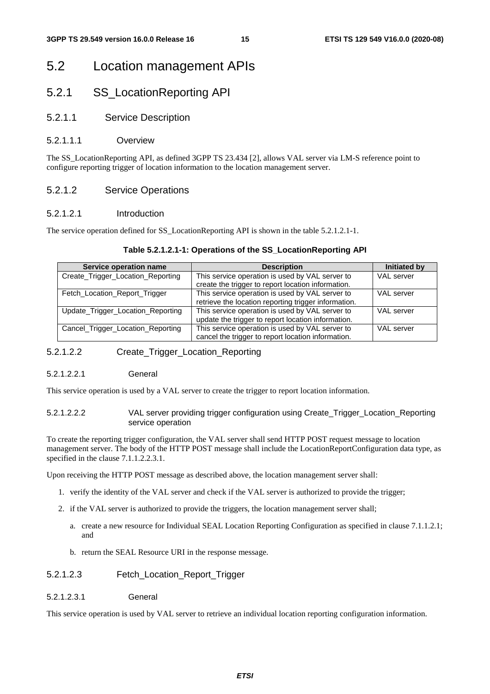### 5.2 Location management APIs

### 5.2.1 SS\_LocationReporting API

#### 5.2.1.1 Service Description

#### 5.2.1.1.1 Overview

The SS\_LocationReporting API, as defined 3GPP TS 23.434 [2], allows VAL server via LM-S reference point to configure reporting trigger of location information to the location management server.

#### 5.2.1.2 Service Operations

#### 5.2.1.2.1 Introduction

The service operation defined for SS\_LocationReporting API is shown in the table 5.2.1.2.1-1.

#### **Table 5.2.1.2.1-1: Operations of the SS\_LocationReporting API**

| Service operation name            | <b>Description</b>                                   | Initiated by      |
|-----------------------------------|------------------------------------------------------|-------------------|
| Create_Trigger_Location_Reporting | This service operation is used by VAL server to      | <b>VAL</b> server |
|                                   | create the trigger to report location information.   |                   |
| Fetch_Location_Report_Trigger     | This service operation is used by VAL server to      | VAL server        |
|                                   | retrieve the location reporting trigger information. |                   |
| Update_Trigger_Location_Reporting | This service operation is used by VAL server to      | VAL server        |
|                                   | update the trigger to report location information.   |                   |
| Cancel_Trigger_Location_Reporting | This service operation is used by VAL server to      | VAL server        |
|                                   | cancel the trigger to report location information.   |                   |

#### 5.2.1.2.2 Create\_Trigger\_Location\_Reporting

#### 5.2.1.2.2.1 General

This service operation is used by a VAL server to create the trigger to report location information.

5.2.1.2.2.2 VAL server providing trigger configuration using Create\_Trigger\_Location\_Reporting service operation

To create the reporting trigger configuration, the VAL server shall send HTTP POST request message to location management server. The body of the HTTP POST message shall include the LocationReportConfiguration data type, as specified in the clause 7.1.1.2.2.3.1.

Upon receiving the HTTP POST message as described above, the location management server shall:

- 1. verify the identity of the VAL server and check if the VAL server is authorized to provide the trigger;
- 2. if the VAL server is authorized to provide the triggers, the location management server shall;
	- a. create a new resource for Individual SEAL Location Reporting Configuration as specified in clause 7.1.1.2.1; and
	- b. return the SEAL Resource URI in the response message.

#### 5.2.1.2.3 Fetch\_Location\_Report\_Trigger

5.2.1.2.3.1 General

This service operation is used by VAL server to retrieve an individual location reporting configuration information.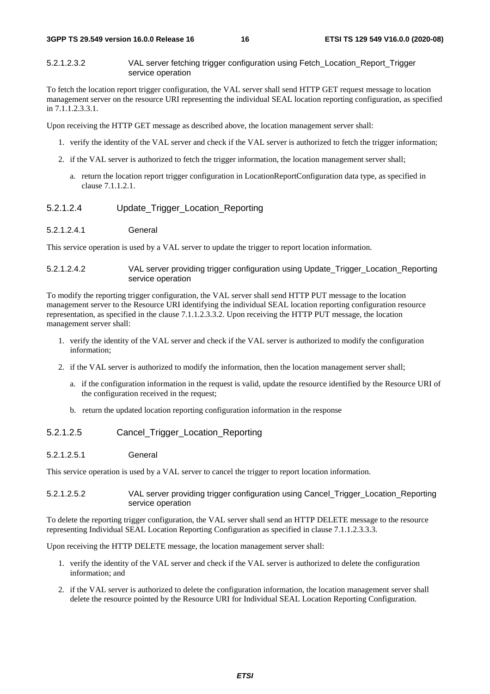5.2.1.2.3.2 VAL server fetching trigger configuration using Fetch\_Location\_Report\_Trigger service operation

To fetch the location report trigger configuration, the VAL server shall send HTTP GET request message to location management server on the resource URI representing the individual SEAL location reporting configuration, as specified in 7.1.1.2.3.3.1.

Upon receiving the HTTP GET message as described above, the location management server shall:

- 1. verify the identity of the VAL server and check if the VAL server is authorized to fetch the trigger information;
- 2. if the VAL server is authorized to fetch the trigger information, the location management server shall;
	- a. return the location report trigger configuration in LocationReportConfiguration data type, as specified in clause 7.1.1.2.1.

#### 5.2.1.2.4 Update\_Trigger\_Location\_Reporting

5.2.1.2.4.1 General

This service operation is used by a VAL server to update the trigger to report location information.

#### 5.2.1.2.4.2 VAL server providing trigger configuration using Update\_Trigger\_Location\_Reporting service operation

To modify the reporting trigger configuration, the VAL server shall send HTTP PUT message to the location management server to the Resource URI identifying the individual SEAL location reporting configuration resource representation, as specified in the clause 7.1.1.2.3.3.2. Upon receiving the HTTP PUT message, the location management server shall:

- 1. verify the identity of the VAL server and check if the VAL server is authorized to modify the configuration information;
- 2. if the VAL server is authorized to modify the information, then the location management server shall;
	- a. if the configuration information in the request is valid, update the resource identified by the Resource URI of the configuration received in the request;
	- b. return the updated location reporting configuration information in the response

#### 5.2.1.2.5 Cancel\_Trigger\_Location\_Reporting

#### 5.2.1.2.5.1 General

This service operation is used by a VAL server to cancel the trigger to report location information.

#### 5.2.1.2.5.2 VAL server providing trigger configuration using Cancel\_Trigger\_Location\_Reporting service operation

To delete the reporting trigger configuration, the VAL server shall send an HTTP DELETE message to the resource representing Individual SEAL Location Reporting Configuration as specified in clause 7.1.1.2.3.3.3.

Upon receiving the HTTP DELETE message, the location management server shall:

- 1. verify the identity of the VAL server and check if the VAL server is authorized to delete the configuration information; and
- 2. if the VAL server is authorized to delete the configuration information, the location management server shall delete the resource pointed by the Resource URI for Individual SEAL Location Reporting Configuration.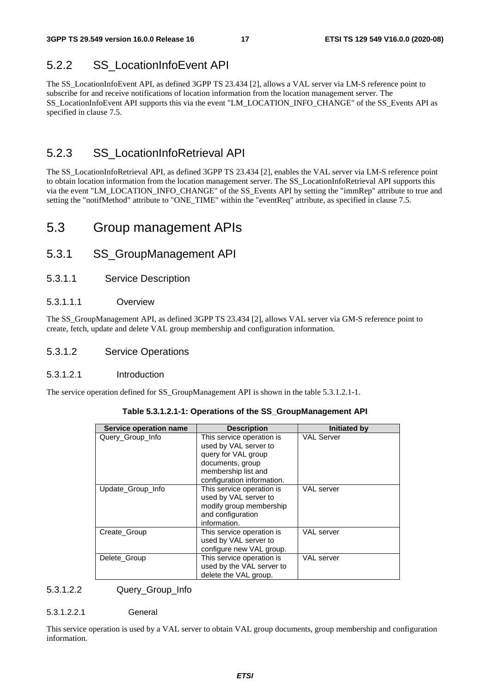### 5.2.2 SS\_LocationInfoEvent API

The SS\_LocationInfoEvent API, as defined 3GPP TS 23.434 [2], allows a VAL server via LM-S reference point to subscribe for and receive notifications of location information from the location management server. The SS\_LocationInfoEvent API supports this via the event "LM\_LOCATION\_INFO\_CHANGE" of the SS\_Events API as specified in clause 7.5.

### 5.2.3 SS\_LocationInfoRetrieval API

The SS\_LocationInfoRetrieval API, as defined 3GPP TS 23.434 [2], enables the VAL server via LM-S reference point to obtain location information from the location management server. The SS\_LocationInfoRetrieval API supports this via the event "LM\_LOCATION\_INFO\_CHANGE" of the SS\_Events API by setting the "immRep" attribute to true and setting the "notifMethod" attribute to "ONE\_TIME" within the "eventReq" attribute, as specified in clause 7.5.

### 5.3 Group management APIs

### 5.3.1 SS\_GroupManagement API

5.3.1.1 Service Description

#### 5.3.1.1.1 Overview

The SS\_GroupManagement API, as defined 3GPP TS 23.434 [2], allows VAL server via GM-S reference point to create, fetch, update and delete VAL group membership and configuration information.

#### 5.3.1.2 Service Operations

#### 5.3.1.2.1 Introduction

The service operation defined for SS\_GroupManagement API is shown in the table 5.3.1.2.1-1.

| Service operation name | <b>Description</b>                                                                                                                                 | <b>Initiated by</b> |
|------------------------|----------------------------------------------------------------------------------------------------------------------------------------------------|---------------------|
| Query_Group_Info       | This service operation is<br>used by VAL server to<br>query for VAL group<br>documents, group<br>membership list and<br>configuration information. | <b>VAL Server</b>   |
| Update_Group_Info      | This service operation is<br>used by VAL server to<br>modify group membership<br>and configuration<br>information.                                 | VAL server          |
| Create Group           | This service operation is<br>used by VAL server to<br>configure new VAL group.                                                                     | <b>VAL</b> server   |
| Delete Group           | This service operation is<br>used by the VAL server to<br>delete the VAL group.                                                                    | VAL server          |

#### 5.3.1.2.2 Query\_Group\_Info

5.3.1.2.2.1 General

This service operation is used by a VAL server to obtain VAL group documents, group membership and configuration information.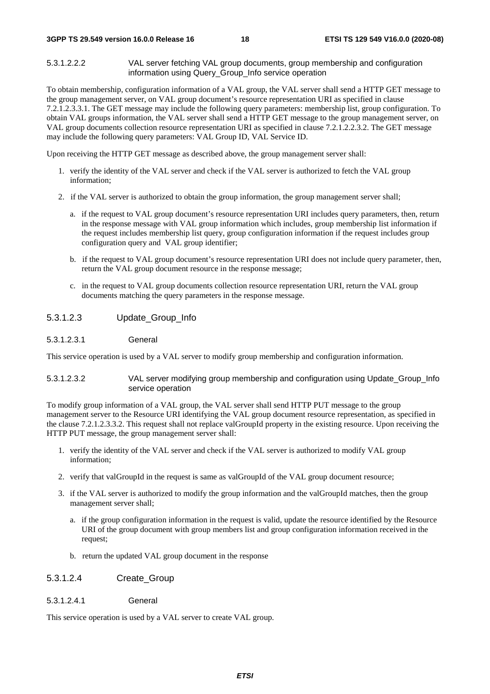5.3.1.2.2.2 VAL server fetching VAL group documents, group membership and configuration information using Query Group Info service operation

To obtain membership, configuration information of a VAL group, the VAL server shall send a HTTP GET message to the group management server, on VAL group document's resource representation URI as specified in clause 7.2.1.2.3.3.1. The GET message may include the following query parameters: membership list, group configuration. To obtain VAL groups information, the VAL server shall send a HTTP GET message to the group management server, on VAL group documents collection resource representation URI as specified in clause 7.2.1.2.2.3.2. The GET message may include the following query parameters: VAL Group ID, VAL Service ID.

Upon receiving the HTTP GET message as described above, the group management server shall:

- 1. verify the identity of the VAL server and check if the VAL server is authorized to fetch the VAL group information;
- 2. if the VAL server is authorized to obtain the group information, the group management server shall;
	- a. if the request to VAL group document's resource representation URI includes query parameters, then, return in the response message with VAL group information which includes, group membership list information if the request includes membership list query, group configuration information if the request includes group configuration query and VAL group identifier;
	- b. if the request to VAL group document's resource representation URI does not include query parameter, then, return the VAL group document resource in the response message;
	- c. in the request to VAL group documents collection resource representation URI, return the VAL group documents matching the query parameters in the response message.

#### 5.3.1.2.3 Update\_Group\_Info

#### 5.3.1.2.3.1 General

This service operation is used by a VAL server to modify group membership and configuration information.

#### 5.3.1.2.3.2 VAL server modifying group membership and configuration using Update\_Group\_Info service operation

To modify group information of a VAL group, the VAL server shall send HTTP PUT message to the group management server to the Resource URI identifying the VAL group document resource representation, as specified in the clause 7.2.1.2.3.3.2. This request shall not replace valGroupId property in the existing resource. Upon receiving the HTTP PUT message, the group management server shall:

- 1. verify the identity of the VAL server and check if the VAL server is authorized to modify VAL group information;
- 2. verify that valGroupId in the request is same as valGroupId of the VAL group document resource;
- 3. if the VAL server is authorized to modify the group information and the valGroupId matches, then the group management server shall;
	- a. if the group configuration information in the request is valid, update the resource identified by the Resource URI of the group document with group members list and group configuration information received in the request;
	- b. return the updated VAL group document in the response
- 5.3.1.2.4 Create\_Group
- 5.3.1.2.4.1 General

This service operation is used by a VAL server to create VAL group.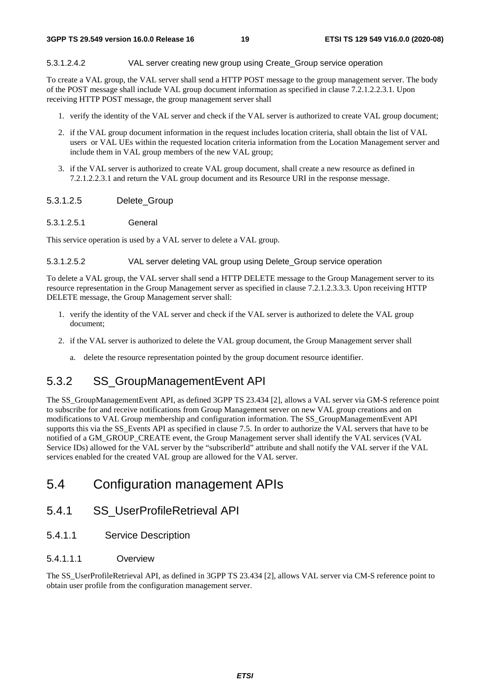#### 5.3.1.2.4.2 VAL server creating new group using Create\_Group service operation

To create a VAL group, the VAL server shall send a HTTP POST message to the group management server. The body of the POST message shall include VAL group document information as specified in clause 7.2.1.2.2.3.1. Upon receiving HTTP POST message, the group management server shall

- 1. verify the identity of the VAL server and check if the VAL server is authorized to create VAL group document;
- 2. if the VAL group document information in the request includes location criteria, shall obtain the list of VAL users or VAL UEs within the requested location criteria information from the Location Management server and include them in VAL group members of the new VAL group;
- 3. if the VAL server is authorized to create VAL group document, shall create a new resource as defined in 7.2.1.2.2.3.1 and return the VAL group document and its Resource URI in the response message.

#### 5.3.1.2.5 Delete\_Group

5.3.1.2.5.1 General

This service operation is used by a VAL server to delete a VAL group.

5.3.1.2.5.2 VAL server deleting VAL group using Delete\_Group service operation

To delete a VAL group, the VAL server shall send a HTTP DELETE message to the Group Management server to its resource representation in the Group Management server as specified in clause 7.2.1.2.3.3.3. Upon receiving HTTP DELETE message, the Group Management server shall:

- 1. verify the identity of the VAL server and check if the VAL server is authorized to delete the VAL group document;
- 2. if the VAL server is authorized to delete the VAL group document, the Group Management server shall
	- a. delete the resource representation pointed by the group document resource identifier.

### 5.3.2 SS\_GroupManagementEvent API

The SS\_GroupManagementEvent API, as defined 3GPP TS 23.434 [2], allows a VAL server via GM-S reference point to subscribe for and receive notifications from Group Management server on new VAL group creations and on modifications to VAL Group membership and configuration information. The SS\_GroupManagementEvent API supports this via the SS\_Events API as specified in clause 7.5. In order to authorize the VAL servers that have to be notified of a GM\_GROUP\_CREATE event, the Group Management server shall identify the VAL services (VAL Service IDs) allowed for the VAL server by the "subscriberId" attribute and shall notify the VAL server if the VAL services enabled for the created VAL group are allowed for the VAL server.

### 5.4 Configuration management APIs

### 5.4.1 SS\_UserProfileRetrieval API

5.4.1.1 Service Description

#### 5.4.1.1.1 Overview

The SS\_UserProfileRetrieval API, as defined in 3GPP TS 23.434 [2], allows VAL server via CM-S reference point to obtain user profile from the configuration management server.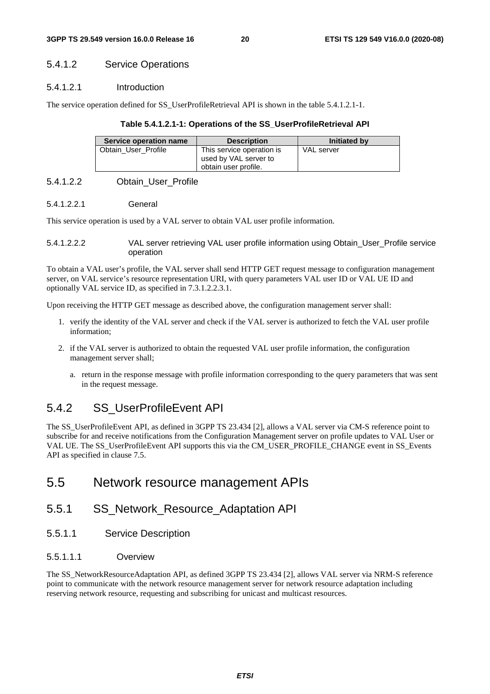#### 5.4.1.2 Service Operations

#### 5.4.1.2.1 Introduction

The service operation defined for SS\_UserProfileRetrieval API is shown in the table 5.4.1.2.1-1.

#### **Table 5.4.1.2.1-1: Operations of the SS\_UserProfileRetrieval API**

| Service operation name | <b>Description</b>                                                         | Initiated by |
|------------------------|----------------------------------------------------------------------------|--------------|
| Obtain User Profile    | This service operation is<br>used by VAL server to<br>obtain user profile. | VAL server   |

#### 5.4.1.2.2 Obtain\_User\_Profile

#### 5.4.1.2.2.1 General

This service operation is used by a VAL server to obtain VAL user profile information.

5.4.1.2.2.2 VAL server retrieving VAL user profile information using Obtain\_User\_Profile service operation

To obtain a VAL user's profile, the VAL server shall send HTTP GET request message to configuration management server, on VAL service's resource representation URI, with query parameters VAL user ID or VAL UE ID and optionally VAL service ID, as specified in 7.3.1.2.2.3.1.

Upon receiving the HTTP GET message as described above, the configuration management server shall:

- 1. verify the identity of the VAL server and check if the VAL server is authorized to fetch the VAL user profile information;
- 2. if the VAL server is authorized to obtain the requested VAL user profile information, the configuration management server shall;
	- a. return in the response message with profile information corresponding to the query parameters that was sent in the request message.

### 5.4.2 SS\_UserProfileEvent API

The SS\_UserProfileEvent API, as defined in 3GPP TS 23.434 [2], allows a VAL server via CM-S reference point to subscribe for and receive notifications from the Configuration Management server on profile updates to VAL User or VAL UE. The SS\_UserProfileEvent API supports this via the CM\_USER\_PROFILE\_CHANGE event in SS\_Events API as specified in clause 7.5.

### 5.5 Network resource management APIs

### 5.5.1 SS\_Network\_Resource\_Adaptation API

5.5.1.1 Service Description

#### 5.5.1.1.1 Overview

The SS\_NetworkResourceAdaptation API, as defined 3GPP TS 23.434 [2], allows VAL server via NRM-S reference point to communicate with the network resource management server for network resource adaptation including reserving network resource, requesting and subscribing for unicast and multicast resources.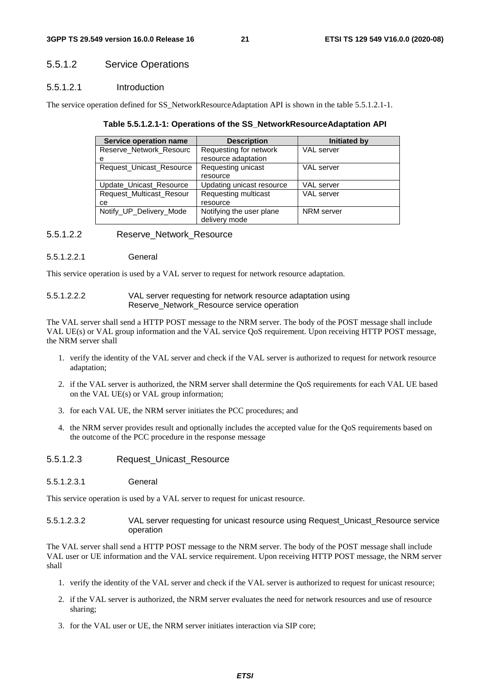### 5.5.1.2 Service Operations

#### 5.5.1.2.1 Introduction

The service operation defined for SS\_NetworkResourceAdaptation API is shown in the table 5.5.1.2.1-1.

| Table 5.5.1.2.1-1: Operations of the SS_NetworkResourceAdaptation API |  |
|-----------------------------------------------------------------------|--|
|-----------------------------------------------------------------------|--|

| Service operation name          | <b>Description</b>          | Initiated by      |
|---------------------------------|-----------------------------|-------------------|
| Reserve_Network_Resourc         | Requesting for network      | VAL server        |
| е                               | resource adaptation         |                   |
| Request_Unicast_Resource        | Requesting unicast          | <b>VAL</b> server |
|                                 | resource                    |                   |
| Update Unicast Resource         | Updating unicast resource   | <b>VAL</b> server |
| <b>Request Multicast Resour</b> | <b>Requesting multicast</b> | VAL server        |
| cе                              | resource                    |                   |
| Notify_UP_Delivery_Mode         | Notifying the user plane    | NRM server        |
|                                 | delivery mode               |                   |

#### 5.5.1.2.2 Reserve\_Network\_Resource

5.5.1.2.2.1 General

This service operation is used by a VAL server to request for network resource adaptation.

| 5.5.1.2.2.2 | VAL server requesting for network resource adaptation using |
|-------------|-------------------------------------------------------------|
|             | Reserve_Network_Resource service operation                  |

The VAL server shall send a HTTP POST message to the NRM server. The body of the POST message shall include VAL UE(s) or VAL group information and the VAL service QoS requirement. Upon receiving HTTP POST message, the NRM server shall

- 1. verify the identity of the VAL server and check if the VAL server is authorized to request for network resource adaptation;
- 2. if the VAL server is authorized, the NRM server shall determine the QoS requirements for each VAL UE based on the VAL UE(s) or VAL group information;
- 3. for each VAL UE, the NRM server initiates the PCC procedures; and
- 4. the NRM server provides result and optionally includes the accepted value for the QoS requirements based on the outcome of the PCC procedure in the response message
- 5.5.1.2.3 Request Unicast Resource
- 5.5.1.2.3.1 General

This service operation is used by a VAL server to request for unicast resource.

5.5.1.2.3.2 VAL server requesting for unicast resource using Request\_Unicast\_Resource service operation

The VAL server shall send a HTTP POST message to the NRM server. The body of the POST message shall include VAL user or UE information and the VAL service requirement. Upon receiving HTTP POST message, the NRM server shall

- 1. verify the identity of the VAL server and check if the VAL server is authorized to request for unicast resource;
- 2. if the VAL server is authorized, the NRM server evaluates the need for network resources and use of resource sharing;
- 3. for the VAL user or UE, the NRM server initiates interaction via SIP core;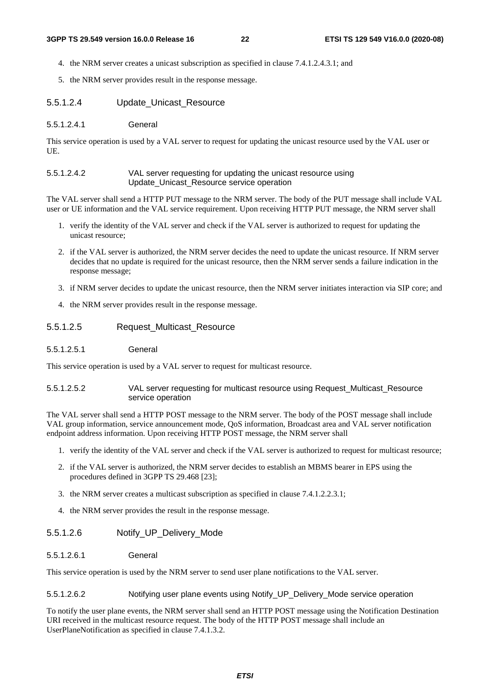- 4. the NRM server creates a unicast subscription as specified in clause 7.4.1.2.4.3.1; and
- 5. the NRM server provides result in the response message.
- 5.5.1.2.4 Update\_Unicast\_Resource
- 5.5.1.2.4.1 General

This service operation is used by a VAL server to request for updating the unicast resource used by the VAL user or UE.

#### 5.5.1.2.4.2 VAL server requesting for updating the unicast resource using Update\_Unicast\_Resource service operation

The VAL server shall send a HTTP PUT message to the NRM server. The body of the PUT message shall include VAL user or UE information and the VAL service requirement. Upon receiving HTTP PUT message, the NRM server shall

- 1. verify the identity of the VAL server and check if the VAL server is authorized to request for updating the unicast resource;
- 2. if the VAL server is authorized, the NRM server decides the need to update the unicast resource. If NRM server decides that no update is required for the unicast resource, then the NRM server sends a failure indication in the response message;
- 3. if NRM server decides to update the unicast resource, then the NRM server initiates interaction via SIP core; and
- 4. the NRM server provides result in the response message.

#### 5.5.1.2.5 Request Multicast Resource

5.5.1.2.5.1 General

This service operation is used by a VAL server to request for multicast resource.

#### 5.5.1.2.5.2 VAL server requesting for multicast resource using Request\_Multicast\_Resource service operation

The VAL server shall send a HTTP POST message to the NRM server. The body of the POST message shall include VAL group information, service announcement mode, QoS information, Broadcast area and VAL server notification endpoint address information. Upon receiving HTTP POST message, the NRM server shall

- 1. verify the identity of the VAL server and check if the VAL server is authorized to request for multicast resource;
- 2. if the VAL server is authorized, the NRM server decides to establish an MBMS bearer in EPS using the procedures defined in 3GPP TS 29.468 [23];
- 3. the NRM server creates a multicast subscription as specified in clause 7.4.1.2.2.3.1;
- 4. the NRM server provides the result in the response message.

#### 5.5.1.2.6 Notify\_UP\_Delivery\_Mode

#### 5.5.1.2.6.1 General

This service operation is used by the NRM server to send user plane notifications to the VAL server.

#### 5.5.1.2.6.2 Notifying user plane events using Notify\_UP\_Delivery\_Mode service operation

To notify the user plane events, the NRM server shall send an HTTP POST message using the Notification Destination URI received in the multicast resource request. The body of the HTTP POST message shall include an UserPlaneNotification as specified in clause 7.4.1.3.2.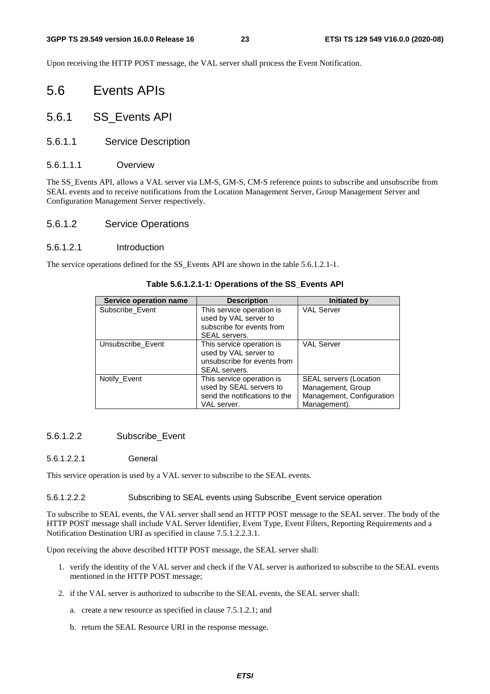Upon receiving the HTTP POST message, the VAL server shall process the Event Notification.

- 5.6 Events APIs
- 5.6.1 SS\_Events API
- 5.6.1.1 Service Description
- 5.6.1.1.1 Overview

The SS\_Events API, allows a VAL server via LM-S, GM-S, CM-S reference points to subscribe and unsubscribe from SEAL events and to receive notifications from the Location Management Server, Group Management Server and Configuration Management Server respectively.

#### 5.6.1.2 Service Operations

#### 5.6.1.2.1 Introduction

The service operations defined for the SS\_Events API are shown in the table 5.6.1.2.1-1.

| Service operation name | <b>Description</b>            | <b>Initiated by</b>           |
|------------------------|-------------------------------|-------------------------------|
| Subscribe_Event        | This service operation is     | <b>VAL Server</b>             |
|                        | used by VAL server to         |                               |
|                        | subscribe for events from     |                               |
|                        | SEAL servers.                 |                               |
| Unsubscribe Event      | This service operation is     | <b>VAL Server</b>             |
|                        | used by VAL server to         |                               |
|                        | unsubscribe for events from   |                               |
|                        | SEAL servers.                 |                               |
| Notify_Event           | This service operation is     | <b>SEAL servers (Location</b> |
|                        | used by SEAL servers to       | Management, Group             |
|                        | send the notifications to the | Management, Configuration     |
|                        | VAL server.                   | Management).                  |

#### **Table 5.6.1.2.1-1: Operations of the SS\_Events API**

#### 5.6.1.2.2 Subscribe\_Event

#### 5.6.1.2.2.1 General

This service operation is used by a VAL server to subscribe to the SEAL events.

5.6.1.2.2.2 Subscribing to SEAL events using Subscribe\_Event service operation

To subscribe to SEAL events, the VAL server shall send an HTTP POST message to the SEAL server. The body of the HTTP POST message shall include VAL Server Identifier, Event Type, Event Filters, Reporting Requirements and a Notification Destination URI as specified in clause 7.5.1.2.2.3.1.

Upon receiving the above described HTTP POST message, the SEAL server shall:

- 1. verify the identity of the VAL server and check if the VAL server is authorized to subscribe to the SEAL events mentioned in the HTTP POST message;
- 2. if the VAL server is authorized to subscribe to the SEAL events, the SEAL server shall:
	- a. create a new resource as specified in clause 7.5.1.2.1; and
	- b. return the SEAL Resource URI in the response message.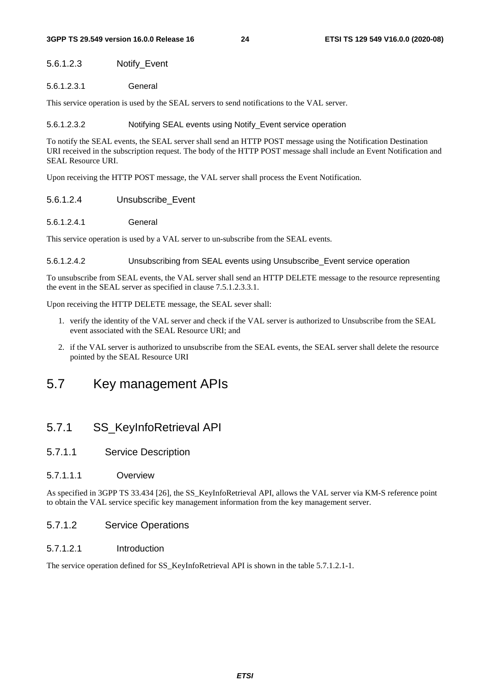#### 5.6.1.2.3 Notify\_Event

5.6.1.2.3.1 General

This service operation is used by the SEAL servers to send notifications to the VAL server.

#### 5.6.1.2.3.2 Notifying SEAL events using Notify\_Event service operation

To notify the SEAL events, the SEAL server shall send an HTTP POST message using the Notification Destination URI received in the subscription request. The body of the HTTP POST message shall include an Event Notification and SEAL Resource URI.

Upon receiving the HTTP POST message, the VAL server shall process the Event Notification.

- 5.6.1.2.4 Unsubscribe\_Event
- 5.6.1.2.4.1 General

This service operation is used by a VAL server to un-subscribe from the SEAL events.

#### 5.6.1.2.4.2 Unsubscribing from SEAL events using Unsubscribe\_Event service operation

To unsubscribe from SEAL events, the VAL server shall send an HTTP DELETE message to the resource representing the event in the SEAL server as specified in clause 7.5.1.2.3.3.1.

Upon receiving the HTTP DELETE message, the SEAL sever shall:

- 1. verify the identity of the VAL server and check if the VAL server is authorized to Unsubscribe from the SEAL event associated with the SEAL Resource URI; and
- 2. if the VAL server is authorized to unsubscribe from the SEAL events, the SEAL server shall delete the resource pointed by the SEAL Resource URI

### 5.7 Key management APIs

### 5.7.1 SS\_KeyInfoRetrieval API

#### 5.7.1.1 Service Description

#### 5.7.1.1.1 Overview

As specified in 3GPP TS 33.434 [26], the SS\_KeyInfoRetrieval API, allows the VAL server via KM-S reference point to obtain the VAL service specific key management information from the key management server.

#### 5.7.1.2 Service Operations

#### 5.7.1.2.1 Introduction

The service operation defined for SS\_KeyInfoRetrieval API is shown in the table 5.7.1.2.1-1.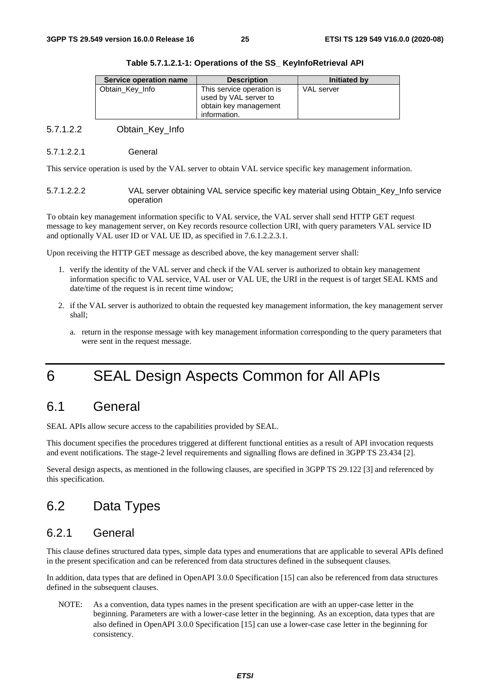| Service operation name | <b>Description</b>                                                                          | Initiated by      |
|------------------------|---------------------------------------------------------------------------------------------|-------------------|
| Obtain Key Info        | This service operation is<br>used by VAL server to<br>obtain key management<br>information. | <b>VAL</b> server |

#### **Table 5.7.1.2.1-1: Operations of the SS\_ KeyInfoRetrieval API**

5.7.1.2.2 Obtain\_Key\_Info

#### 5.7.1.2.2.1 General

This service operation is used by the VAL server to obtain VAL service specific key management information.

5.7.1.2.2.2 VAL server obtaining VAL service specific key material using Obtain\_Key\_Info service operation

To obtain key management information specific to VAL service, the VAL server shall send HTTP GET request message to key management server, on Key records resource collection URI, with query parameters VAL service ID and optionally VAL user ID or VAL UE ID, as specified in 7.6.1.2.2.3.1.

Upon receiving the HTTP GET message as described above, the key management server shall:

- 1. verify the identity of the VAL server and check if the VAL server is authorized to obtain key management information specific to VAL service, VAL user or VAL UE, the URI in the request is of target SEAL KMS and date/time of the request is in recent time window;
- 2. if the VAL server is authorized to obtain the requested key management information, the key management server shall;
	- a. return in the response message with key management information corresponding to the query parameters that were sent in the request message.

# 6 SEAL Design Aspects Common for All APIs

### 6.1 General

SEAL APIs allow secure access to the capabilities provided by SEAL.

This document specifies the procedures triggered at different functional entities as a result of API invocation requests and event notifications. The stage-2 level requirements and signalling flows are defined in 3GPP TS 23.434 [2].

Several design aspects, as mentioned in the following clauses, are specified in 3GPP TS 29.122 [3] and referenced by this specification.

### 6.2 Data Types

### 6.2.1 General

This clause defines structured data types, simple data types and enumerations that are applicable to several APIs defined in the present specification and can be referenced from data structures defined in the subsequent clauses.

In addition, data types that are defined in OpenAPI 3.0.0 Specification [15] can also be referenced from data structures defined in the subsequent clauses.

NOTE: As a convention, data types names in the present specification are with an upper-case letter in the beginning. Parameters are with a lower-case letter in the beginning. As an exception, data types that are also defined in OpenAPI 3.0.0 Specification [15] can use a lower-case case letter in the beginning for consistency.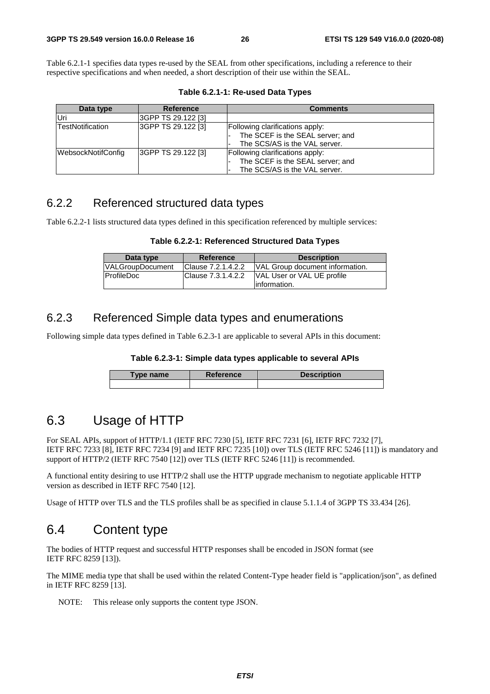Table 6.2.1-1 specifies data types re-used by the SEAL from other specifications, including a reference to their respective specifications and when needed, a short description of their use within the SEAL.

**Table 6.2.1-1: Re-used Data Types** 

| Data type               | <b>Reference</b>   | <b>Comments</b>                                                                                      |
|-------------------------|--------------------|------------------------------------------------------------------------------------------------------|
| Uri                     | 3GPP TS 29.122 [3] |                                                                                                      |
| <b>TestNotification</b> | 3GPP TS 29.122 [3] | Following clarifications apply:<br>The SCEF is the SEAL server; and<br>The SCS/AS is the VAL server. |
| WebsockNotifConfig      | 3GPP TS 29.122 [3] | Following clarifications apply:<br>The SCEF is the SEAL server; and<br>The SCS/AS is the VAL server. |

### 6.2.2 Referenced structured data types

Table 6.2.2-1 lists structured data types defined in this specification referenced by multiple services:

| Data type               | <b>Reference</b>   | <b>Description</b>                          |
|-------------------------|--------------------|---------------------------------------------|
| <b>VALGroupDocument</b> | Clause 7.2.1.4.2.2 | VAL Group document information.             |
| ProfileDoc              | Clause 7.3.1.4.2.2 | VAL User or VAL UE profile<br>linformation. |

### 6.2.3 Referenced Simple data types and enumerations

Following simple data types defined in Table 6.2.3-1 are applicable to several APIs in this document:

#### **Table 6.2.3-1: Simple data types applicable to several APIs**

| Type name | <b>Reference</b> | <b>Description</b> |  |  |
|-----------|------------------|--------------------|--|--|
|           |                  |                    |  |  |

### 6.3 Usage of HTTP

For SEAL APIs, support of HTTP/1.1 (IETF RFC 7230 [5], IETF RFC 7231 [6], IETF RFC 7232 [7], IETF RFC 7233 [8], IETF RFC 7234 [9] and IETF RFC 7235 [10]) over TLS (IETF RFC 5246 [11]) is mandatory and support of HTTP/2 (IETF RFC 7540 [12]) over TLS (IETF RFC 5246 [11]) is recommended.

A functional entity desiring to use HTTP/2 shall use the HTTP upgrade mechanism to negotiate applicable HTTP version as described in IETF RFC 7540 [12].

Usage of HTTP over TLS and the TLS profiles shall be as specified in clause 5.1.1.4 of 3GPP TS 33.434 [26].

### 6.4 Content type

The bodies of HTTP request and successful HTTP responses shall be encoded in JSON format (see IETF RFC 8259 [13]).

The MIME media type that shall be used within the related Content-Type header field is "application/json", as defined in IETF RFC 8259 [13].

NOTE: This release only supports the content type JSON.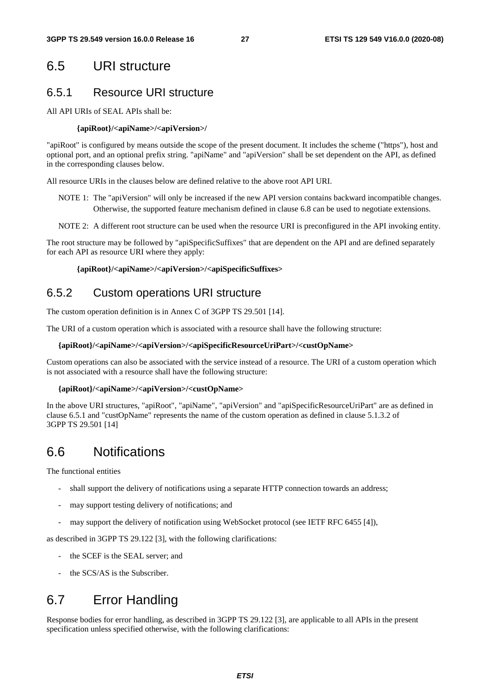### 6.5 URI structure

### 6.5.1 Resource URI structure

All API URIs of SEAL APIs shall be:

#### **{apiRoot}/<apiName>/<apiVersion>/**

"apiRoot" is configured by means outside the scope of the present document. It includes the scheme ("https"), host and optional port, and an optional prefix string. "apiName" and "apiVersion" shall be set dependent on the API, as defined in the corresponding clauses below.

All resource URIs in the clauses below are defined relative to the above root API URI.

- NOTE 1: The "apiVersion" will only be increased if the new API version contains backward incompatible changes. Otherwise, the supported feature mechanism defined in clause 6.8 can be used to negotiate extensions.
- NOTE 2: A different root structure can be used when the resource URI is preconfigured in the API invoking entity.

The root structure may be followed by "apiSpecificSuffixes" that are dependent on the API and are defined separately for each API as resource URI where they apply:

#### **{apiRoot}/<apiName>/<apiVersion>/<apiSpecificSuffixes>**

### 6.5.2 Custom operations URI structure

The custom operation definition is in Annex C of 3GPP TS 29.501 [14].

The URI of a custom operation which is associated with a resource shall have the following structure:

#### **{apiRoot}/<apiName>/<apiVersion>/<apiSpecificResourceUriPart>/<custOpName>**

Custom operations can also be associated with the service instead of a resource. The URI of a custom operation which is not associated with a resource shall have the following structure:

#### **{apiRoot}/<apiName>/<apiVersion>/<custOpName>**

In the above URI structures, "apiRoot", "apiName", "apiVersion" and "apiSpecificResourceUriPart" are as defined in clause 6.5.1 and "custOpName" represents the name of the custom operation as defined in clause 5.1.3.2 of 3GPP TS 29.501 [14]

### 6.6 Notifications

The functional entities

- shall support the delivery of notifications using a separate HTTP connection towards an address;
- may support testing delivery of notifications; and
- may support the delivery of notification using WebSocket protocol (see IETF RFC 6455 [4]),

as described in 3GPP TS 29.122 [3], with the following clarifications:

- the SCEF is the SEAL server; and
- the SCS/AS is the Subscriber.

# 6.7 Error Handling

Response bodies for error handling, as described in 3GPP TS 29.122 [3], are applicable to all APIs in the present specification unless specified otherwise, with the following clarifications: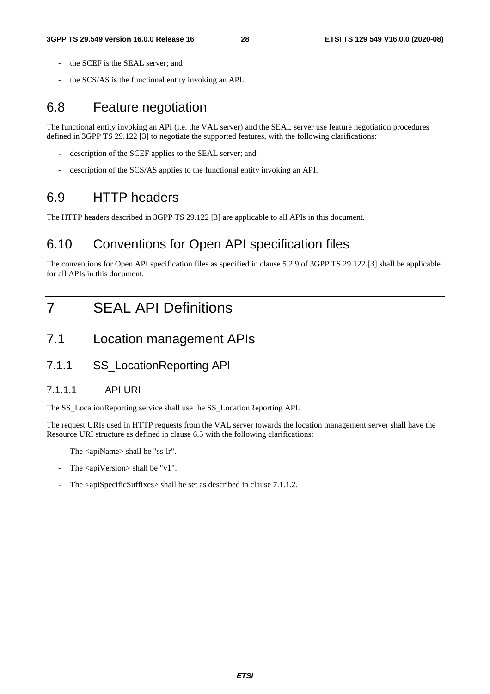- the SCEF is the SEAL server; and
- the SCS/AS is the functional entity invoking an API.

### 6.8 Feature negotiation

The functional entity invoking an API (i.e. the VAL server) and the SEAL server use feature negotiation procedures defined in 3GPP TS 29.122 [3] to negotiate the supported features, with the following clarifications:

- description of the SCEF applies to the SEAL server; and
- description of the SCS/AS applies to the functional entity invoking an API.

### 6.9 HTTP headers

The HTTP headers described in 3GPP TS 29.122 [3] are applicable to all APIs in this document.

## 6.10 Conventions for Open API specification files

The conventions for Open API specification files as specified in clause 5.2.9 of 3GPP TS 29.122 [3] shall be applicable for all APIs in this document.

# 7 SEAL API Definitions

- 7.1 Location management APIs
- 7.1.1 SS\_LocationReporting API

#### 7.1.1.1 API URI

The SS\_LocationReporting service shall use the SS\_LocationReporting API.

The request URIs used in HTTP requests from the VAL server towards the location management server shall have the Resource URI structure as defined in clause 6.5 with the following clarifications:

- The <apiName> shall be "ss-lr".
- The  $\langle$ apiVersion $>$ shall be "v1".
- The <apiSpecificSuffixes> shall be set as described in clause 7.1.1.2.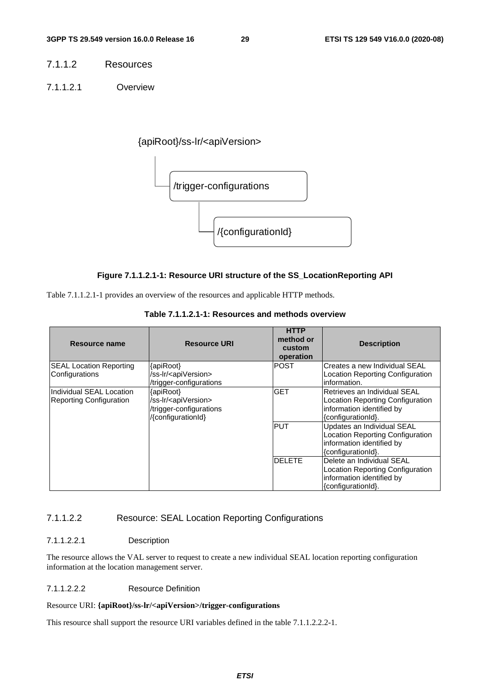- 7.1.1.2 Resources
- 7.1.1.2.1 Overview

{apiRoot}/ss-lr/<apiVersion>



#### **Figure 7.1.1.2.1-1: Resource URI structure of the SS\_LocationReporting API**

Table 7.1.1.2.1-1 provides an overview of the resources and applicable HTTP methods.

| Resource name                                              | <b>Resource URI</b>                                                                               | <b>HTTP</b><br>method or<br>custom<br>operation | <b>Description</b>                                                                                                  |
|------------------------------------------------------------|---------------------------------------------------------------------------------------------------|-------------------------------------------------|---------------------------------------------------------------------------------------------------------------------|
| <b>SEAL Location Reporting</b><br>Configurations           | {apiRoot}<br>/ss-lr/ <apiversion></apiversion>                                                    | <b>POST</b>                                     | Creates a new Individual SEAL<br>Location Reporting Configuration                                                   |
|                                                            | /trigger-configurations                                                                           |                                                 | information.                                                                                                        |
| Individual SEAL Location<br><b>Reporting Configuration</b> | {apiRoot}<br>/ss-lr/ <apiversion><br/>/trigger-configurations<br/>/{configurationId}</apiversion> | <b>GET</b>                                      | Retrieves an Individual SEAL<br>Location Reporting Configuration<br>information identified by<br>{configurationId}. |
|                                                            |                                                                                                   | <b>PUT</b>                                      | Updates an Individual SEAL<br>Location Reporting Configuration<br>information identified by<br>{configurationId}.   |
|                                                            |                                                                                                   | <b>DELETE</b>                                   | Delete an Individual SEAL<br>Location Reporting Configuration<br>information identified by<br>{configurationId}.    |

**Table 7.1.1.2.1-1: Resources and methods overview** 

#### 7.1.1.2.2 Resource: SEAL Location Reporting Configurations

#### 7.1.1.2.2.1 Description

The resource allows the VAL server to request to create a new individual SEAL location reporting configuration information at the location management server.

#### 7.1.1.2.2.2 Resource Definition

#### Resource URI: **{apiRoot}/ss-lr/<apiVersion>/trigger-configurations**

This resource shall support the resource URI variables defined in the table 7.1.1.2.2.2-1.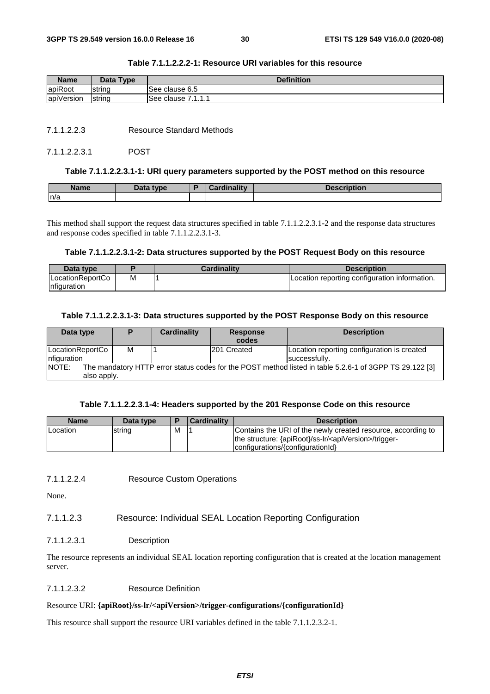| <b>Name</b> | Data Type | <b>Definition</b>        |  |  |
|-------------|-----------|--------------------------|--|--|
| apiRoot     | Istrina   | See clause 6.5           |  |  |
| apiVersion  | strina    | 7111<br>lSee clause<br>. |  |  |

#### **Table 7.1.1.2.2.2-1: Resource URI variables for this resource**

7.1.1.2.2.3 Resource Standard Methods

#### 7.1.1.2.2.3.1 POST

#### **Table 7.1.1.2.2.3.1-1: URI query parameters supported by the POST method on this resource**

| <b>Name</b> | Data type | Cardinality | Description |
|-------------|-----------|-------------|-------------|
| n/a         |           |             |             |

This method shall support the request data structures specified in table 7.1.1.2.2.3.1-2 and the response data structures and response codes specified in table 7.1.1.2.2.3.1-3.

#### **Table 7.1.1.2.2.3.1-2: Data structures supported by the POST Request Body on this resource**

| Data type                         |   | Cardinalitv | <b>Description</b>                            |
|-----------------------------------|---|-------------|-----------------------------------------------|
| ILocationReportCo<br>Infiguration | M |             | Location reporting configuration information. |

#### **Table 7.1.1.2.2.3.1-3: Data structures supported by the POST Response Body on this resource**

| Data type                                                                                                        |   | Cardinality | <b>Response</b>    | <b>Description</b>                          |
|------------------------------------------------------------------------------------------------------------------|---|-------------|--------------------|---------------------------------------------|
|                                                                                                                  |   |             | codes              |                                             |
| LocationReportCo                                                                                                 | м |             | <b>201 Created</b> | Location reporting configuration is created |
| nfiguration                                                                                                      |   |             |                    | successfully.                               |
| NOTE:<br>The mandatory HTTP error status codes for the POST method listed in table 5.2.6-1 of 3GPP TS 29.122 [3] |   |             |                    |                                             |
| also apply.                                                                                                      |   |             |                    |                                             |

#### **Table 7.1.1.2.2.3.1-4: Headers supported by the 201 Response Code on this resource**

| <b>Name</b>      | Data type | Е | <b>Cardinality</b> | <b>Description</b>                                                                                                                                                      |
|------------------|-----------|---|--------------------|-------------------------------------------------------------------------------------------------------------------------------------------------------------------------|
| <b>ILocation</b> | string    | M |                    | Contains the URI of the newly created resource, according to<br>the structure: {apiRoot}/ss-lr/ <apiversion>/trigger-<br/>configurations/{configurationId}</apiversion> |

7.1.1.2.2.4 Resource Custom Operations

None.

#### 7.1.1.2.3 Resource: Individual SEAL Location Reporting Configuration

#### 7.1.1.2.3.1 Description

The resource represents an individual SEAL location reporting configuration that is created at the location management server.

#### 7.1.1.2.3.2 Resource Definition

#### Resource URI: **{apiRoot}/ss-lr/<apiVersion>/trigger-configurations/{configurationId}**

This resource shall support the resource URI variables defined in the table 7.1.1.2.3.2-1.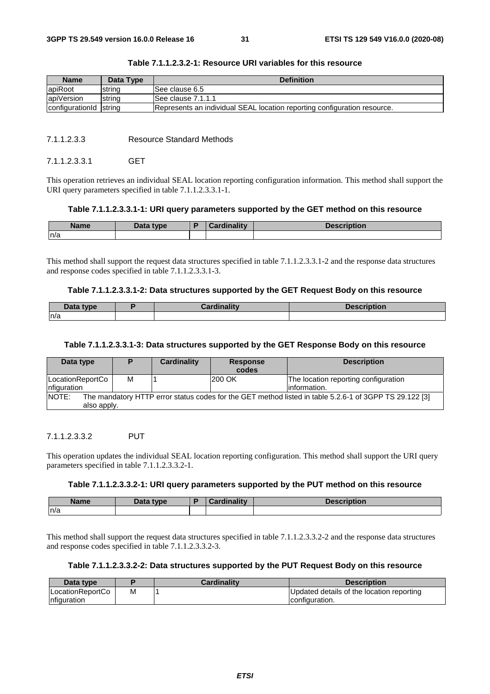| <b>Name</b>            | Data Type | <b>Definition</b>                                                        |
|------------------------|-----------|--------------------------------------------------------------------------|
| lapiRoot               | Istrina   | ISee clause 6.5                                                          |
| apiVersion             | string    | ISee clause 7.1.1.1                                                      |
| configuration d string |           | Represents an individual SEAL location reporting configuration resource. |

| Table 7.1.1.2.3.2-1: Resource URI variables for this resource |  |  |
|---------------------------------------------------------------|--|--|
|---------------------------------------------------------------|--|--|

#### 7.1.1.2.3.3 Resource Standard Methods

#### 7112331 GFT

This operation retrieves an individual SEAL location reporting configuration information. This method shall support the URI query parameters specified in table 7.1.1.2.3.3.1-1.

#### **Table 7.1.1.2.3.3.1-1: URI query parameters supported by the GET method on this resource**

| <b>Name</b> | Data type | <b><i>cardinality</i></b> | Description |
|-------------|-----------|---------------------------|-------------|
| n/a         |           |                           |             |

This method shall support the request data structures specified in table 7.1.1.2.3.3.1-2 and the response data structures and response codes specified in table 7.1.1.2.3.3.1-3.

#### **Table 7.1.1.2.3.3.1-2: Data structures supported by the GET Request Body on this resource**

| Data type | Cardinalitv | <b>Description</b> |
|-----------|-------------|--------------------|
| ln/a      |             |                    |

#### **Table 7.1.1.2.3.3.1-3: Data structures supported by the GET Response Body on this resource**

| Data type                                                                                                                      |   | Cardinality | <b>Response</b><br>codes | <b>Description</b>                                    |  |
|--------------------------------------------------------------------------------------------------------------------------------|---|-------------|--------------------------|-------------------------------------------------------|--|
| LocationReportCo<br>Infiguration                                                                                               | М |             | <b>200 OK</b>            | The location reporting configuration<br>linformation. |  |
| The mandatory HTTP error status codes for the GET method listed in table 5.2.6-1 of 3GPP TS 29.122 [3]<br>NOTE:<br>also apply. |   |             |                          |                                                       |  |

#### 7.1.1.2.3.3.2 PUT

This operation updates the individual SEAL location reporting configuration. This method shall support the URI query parameters specified in table 7.1.1.2.3.3.2-1.

#### **Table 7.1.1.2.3.3.2-1: URI query parameters supported by the PUT method on this resource**

| <b>Name</b> | Data type | Cardinality | Description |
|-------------|-----------|-------------|-------------|
| n/a         |           |             |             |

This method shall support the request data structures specified in table 7.1.1.2.3.3.2-2 and the response data structures and response codes specified in table 7.1.1.2.3.3.2-3.

#### **Table 7.1.1.2.3.3.2-2: Data structures supported by the PUT Request Body on this resource**

| Data type                |   | <b>Cardinality</b> | <b>Description</b>                        |
|--------------------------|---|--------------------|-------------------------------------------|
| <b>ILocationReportCo</b> | М |                    | Updated details of the location reporting |
| nfiguration              |   |                    | configuration.                            |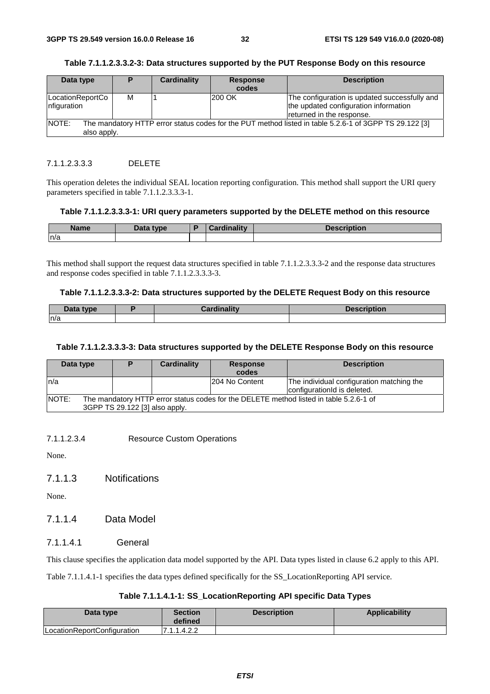| Data type                                                                                                       | D | Cardinality | <b>Response</b> | <b>Description</b>                                                                                                  |
|-----------------------------------------------------------------------------------------------------------------|---|-------------|-----------------|---------------------------------------------------------------------------------------------------------------------|
|                                                                                                                 |   |             | codes           |                                                                                                                     |
| LocationReportCo<br>nfiguration                                                                                 | м |             | 200 OK          | The configuration is updated successfully and<br>the updated configuration information<br>returned in the response. |
| NOTE:<br>The mandatory HTTP error status codes for the PUT method listed in table 5.2.6-1 of 3GPP TS 29.122 [3] |   |             |                 |                                                                                                                     |
| also apply.                                                                                                     |   |             |                 |                                                                                                                     |

#### **Table 7.1.1.2.3.3.2-3: Data structures supported by the PUT Response Body on this resource**

#### 7.1.1.2.3.3.3 DELETE

This operation deletes the individual SEAL location reporting configuration. This method shall support the URI query parameters specified in table 7.1.1.2.3.3.3-1.

#### **Table 7.1.1.2.3.3.3-1: URI query parameters supported by the DELETE method on this resource**

| <b>Name</b> | <b>Englished</b><br>Dala | <b>The Contract Contract Contract Contract Contract Contract Contract Contract Contract Contract Contract Contract</b> | <b>Jonarintian</b><br>'ULIUI. |
|-------------|--------------------------|------------------------------------------------------------------------------------------------------------------------|-------------------------------|
| ∣n/a        |                          |                                                                                                                        |                               |

This method shall support the request data structures specified in table 7.1.1.2.3.3.3-2 and the response data structures and response codes specified in table 7.1.1.2.3.3.3-3.

#### **Table 7.1.1.2.3.3.3-2: Data structures supported by the DELETE Request Body on this resource**

| Data type | ardinality | <b>Description</b> |
|-----------|------------|--------------------|
| n/a       |            |                    |

#### **Table 7.1.1.2.3.3.3-3: Data structures supported by the DELETE Response Body on this resource**

| Data type    |                                | Cardinality | <b>Response</b> | <b>Description</b>                                                                     |
|--------------|--------------------------------|-------------|-----------------|----------------------------------------------------------------------------------------|
|              |                                |             | codes           |                                                                                        |
| ln/a         |                                |             | 204 No Content  | The individual configuration matching the                                              |
|              |                                |             |                 | configuration d is deleted.                                                            |
| <b>NOTE:</b> |                                |             |                 | The mandatory HTTP error status codes for the DELETE method listed in table 5.2.6-1 of |
|              | 3GPP TS 29.122 [3] also apply. |             |                 |                                                                                        |

7.1.1.2.3.4 Resource Custom Operations

None.

7.1.1.3 Notifications

None.

### 7.1.1.4 Data Model

7.1.1.4.1 General

This clause specifies the application data model supported by the API. Data types listed in clause 6.2 apply to this API.

Table 7.1.1.4.1-1 specifies the data types defined specifically for the SS\_LocationReporting API service.

#### **Table 7.1.1.4.1-1: SS\_LocationReporting API specific Data Types**

| Data type                   | Section<br>defined | <b>Description</b> | <b>Applicability</b> |
|-----------------------------|--------------------|--------------------|----------------------|
| LocationReportConfiguration | 7.1.1.4.2.2        |                    |                      |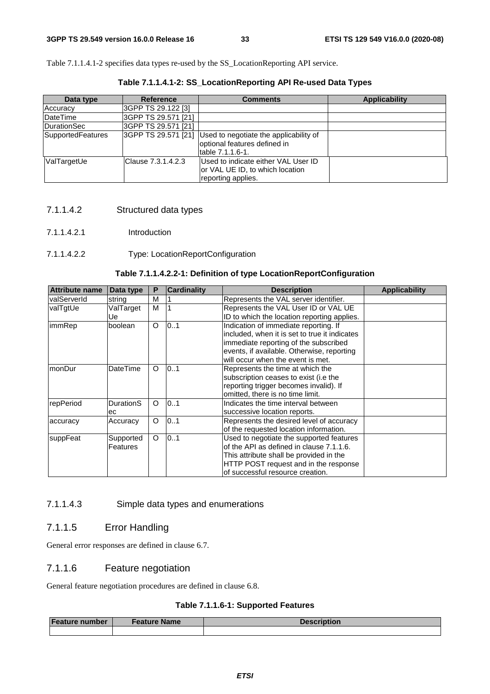Table 7.1.1.4.1-2 specifies data types re-used by the SS\_LocationReporting API service.

| Data type           | <b>Reference</b>     | <b>Comments</b>                                                                              | <b>Applicability</b> |
|---------------------|----------------------|----------------------------------------------------------------------------------------------|----------------------|
| Accuracy            | 3GPP TS 29.122 [3]   |                                                                                              |                      |
| DateTime            | 3GPP TS 29.571 [21]  |                                                                                              |                      |
| <b>IDurationSec</b> | l3GPP TS 29.571 [21] |                                                                                              |                      |
| SupportedFeatures   | 3GPP TS 29.571 [21]  | Used to negotiate the applicability of<br>optional features defined in<br>table 7.1.1.6-1.   |                      |
| ValTargetUe         | Clause 7.3.1.4.2.3   | Used to indicate either VAL User ID<br>or VAL UE ID, to which location<br>reporting applies. |                      |

**Table 7.1.1.4.1-2: SS\_LocationReporting API Re-used Data Types** 

- 7.1.1.4.2 Structured data types
- 7.1.1.4.2.1 Introduction

#### 7.1.1.4.2.2 Type: LocationReportConfiguration

#### **Table 7.1.1.4.2.2-1: Definition of type LocationReportConfiguration**

| <b>Attribute name</b> | Data type             | Р        | <b>Cardinality</b> | <b>Description</b>                                                                                                                                                                                                 | <b>Applicability</b> |
|-----------------------|-----------------------|----------|--------------------|--------------------------------------------------------------------------------------------------------------------------------------------------------------------------------------------------------------------|----------------------|
| <b>IvalServerId</b>   | string                | M        |                    | Represents the VAL server identifier.                                                                                                                                                                              |                      |
| valTgtUe              | ValTarget<br>Uel      | M        |                    | Represents the VAL User ID or VAL UE<br>ID to which the location reporting applies.                                                                                                                                |                      |
| immRep                | boolean               | O        | 101                | Indication of immediate reporting. If<br>included, when it is set to true it indicates<br>immediate reporting of the subscribed<br>events, if available. Otherwise, reporting<br>will occur when the event is met. |                      |
| monDur                | <b>DateTime</b>       | $\Omega$ | 0.1                | Represents the time at which the<br>subscription ceases to exist (i.e the<br>reporting trigger becomes invalid). If<br>omitted, there is no time limit.                                                            |                      |
| repPeriod             | DurationS<br>ec       | O        | 0.1                | Indicates the time interval between<br>successive location reports.                                                                                                                                                |                      |
| accuracy              | Accuracy              | O        | 101                | Represents the desired level of accuracy<br>of the requested location information.                                                                                                                                 |                      |
| suppFeat              | Supported<br>Features | O        | 0.1                | Used to negotiate the supported features<br>of the API as defined in clause 7.1.1.6.<br>This attribute shall be provided in the<br>HTTP POST request and in the response<br>of successful resource creation.       |                      |

#### 7.1.1.4.3 Simple data types and enumerations

#### 7.1.1.5 Error Handling

General error responses are defined in clause 6.7.

#### 7.1.1.6 Feature negotiation

General feature negotiation procedures are defined in clause 6.8.

#### **Table 7.1.1.6-1: Supported Features**

| Feature number | <b>Feature Name</b> | <b>Description</b> |
|----------------|---------------------|--------------------|
|                |                     |                    |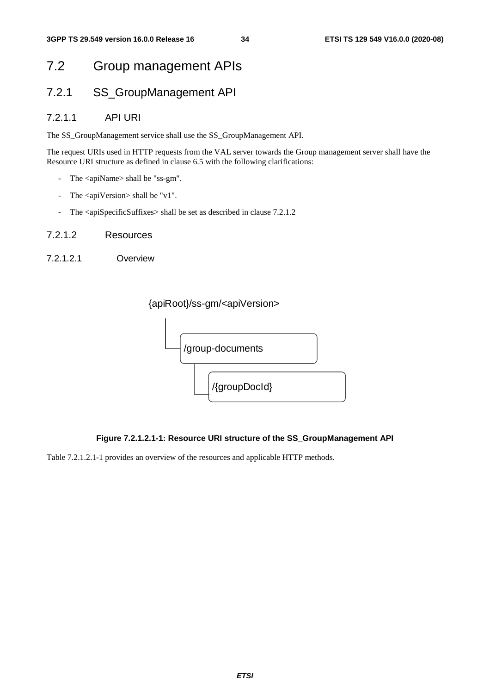# 7.2 Group management APIs

### 7.2.1 SS\_GroupManagement API

#### 7.2.1.1 API URI

The SS\_GroupManagement service shall use the SS\_GroupManagement API.

The request URIs used in HTTP requests from the VAL server towards the Group management server shall have the Resource URI structure as defined in clause 6.5 with the following clarifications:

- The <apiName> shall be "ss-gm".
- The <apiVersion> shall be "v1".
- The <apiSpecificSuffixes> shall be set as described in clause 7.2.1.2
- 7.2.1.2 Resources
- 7.2.1.2.1 Overview





#### **Figure 7.2.1.2.1-1: Resource URI structure of the SS\_GroupManagement API**

Table 7.2.1.2.1-1 provides an overview of the resources and applicable HTTP methods.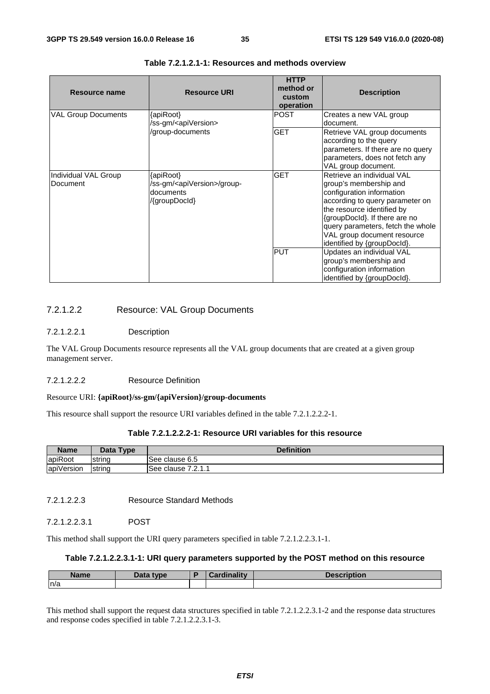| Resource name                    | <b>Resource URI</b>                                                                   | <b>HTTP</b><br>method or<br>custom<br>operation | <b>Description</b>                                                                                                                                                                                                                                                                     |
|----------------------------------|---------------------------------------------------------------------------------------|-------------------------------------------------|----------------------------------------------------------------------------------------------------------------------------------------------------------------------------------------------------------------------------------------------------------------------------------------|
| <b>VAL Group Documents</b>       | {apiRoot}<br>/ss-gm/ <apiversion></apiversion>                                        | <b>POST</b>                                     | Creates a new VAL group<br>document.                                                                                                                                                                                                                                                   |
|                                  | /group-documents                                                                      | <b>GET</b>                                      | Retrieve VAL group documents<br>according to the query<br>parameters. If there are no query<br>parameters, does not fetch any<br>VAL group document.                                                                                                                                   |
| Individual VAL Group<br>Document | {apiRoot}<br>/ss-gm/ <apiversion>/group-<br/>documents<br/>/{groupDocld}</apiversion> | <b>GET</b>                                      | Retrieve an individual VAL<br>group's membership and<br>configuration information<br>according to query parameter on<br>the resource identified by<br>{groupDocld}. If there are no<br>query parameters, fetch the whole<br>VAL group document resource<br>identified by {groupDocId}. |
|                                  |                                                                                       | <b>PUT</b>                                      | Updates an individual VAL<br>group's membership and<br>configuration information<br>identified by {groupDocld}.                                                                                                                                                                        |

#### **Table 7.2.1.2.1-1: Resources and methods overview**

#### 7.2.1.2.2 Resource: VAL Group Documents

#### 7.2.1.2.2.1 Description

The VAL Group Documents resource represents all the VAL group documents that are created at a given group management server.

#### 7.2.1.2.2.2 Resource Definition

#### Resource URI: **{apiRoot}/ss-gm/{apiVersion}/group-documents**

This resource shall support the resource URI variables defined in the table 7.2.1.2.2.2-1.

#### **Table 7.2.1.2.2.2-1: Resource URI variables for this resource**

| <b>Name</b>            | Data Type | <b>Definition</b>          |  |  |
|------------------------|-----------|----------------------------|--|--|
| apiRoot                | Istrina   | clause 6.5<br>See          |  |  |
| $\cdots$<br>apiVersion | string    | 7011<br>See<br>clause<br>. |  |  |

7.2.1.2.2.3 Resource Standard Methods

7.2.1.2.2.3.1 POST

This method shall support the URI query parameters specified in table 7.2.1.2.2.3.1-1.

#### **Table 7.2.1.2.2.3.1-1: URI query parameters supported by the POST method on this resource**

| <b>Name</b> | Data type | <b><i>Cardinality</i></b> | <b>Description</b> |
|-------------|-----------|---------------------------|--------------------|
| n/a         |           |                           |                    |

This method shall support the request data structures specified in table 7.2.1.2.2.3.1-2 and the response data structures and response codes specified in table 7.2.1.2.2.3.1-3.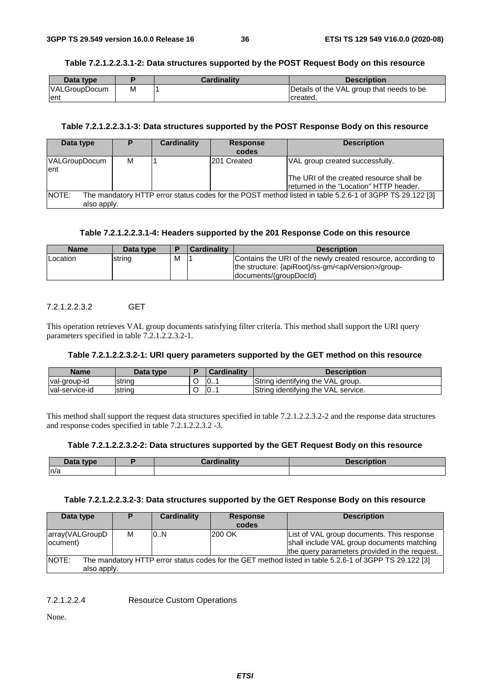#### **Table 7.2.1.2.2.3.1-2: Data structures supported by the POST Request Body on this resource**

| Data type            |   | <b>Cardinality</b> | <b>Description</b>                        |
|----------------------|---|--------------------|-------------------------------------------|
| <b>VALGroupDocum</b> | М |                    | Details of the VAL group that needs to be |
| Tent                 |   |                    | created.                                  |

### **Table 7.2.1.2.2.3.1-3: Data structures supported by the POST Response Body on this resource**

| Data type             | D                                                                                                                      | <b>Cardinality</b> | <b>Response</b><br>codes | <b>Description</b>                                                                                                      |  |  |  |  |  |
|-----------------------|------------------------------------------------------------------------------------------------------------------------|--------------------|--------------------------|-------------------------------------------------------------------------------------------------------------------------|--|--|--|--|--|
| VALGroupDocum<br>lent | м                                                                                                                      |                    | 201 Created              | VAL group created successfully.<br>The URI of the created resource shall be<br>Ireturned in the "Location" HTTP header. |  |  |  |  |  |
| NOTE:                 | The mandatory HTTP error status codes for the POST method listed in table 5.2.6-1 of 3GPP TS 29.122 [3]<br>also apply. |                    |                          |                                                                                                                         |  |  |  |  |  |

### **Table 7.2.1.2.2.3.1-4: Headers supported by the 201 Response Code on this resource**

| <b>Name</b> | Data type |   | <b>Cardinality</b> | <b>Description</b>                                                                                                                                          |
|-------------|-----------|---|--------------------|-------------------------------------------------------------------------------------------------------------------------------------------------------------|
| Location    | string    | M |                    | Contains the URI of the newly created resource, according to<br>the structure: {apiRoot}/ss-gm/ <apiversion>/group-<br/>documents/{groupDocld}</apiversion> |

### 7.2.1.2.2.3.2 GET

This operation retrieves VAL group documents satisfying filter criteria. This method shall support the URI query parameters specified in table 7.2.1.2.2.3.2-1.

#### **Table 7.2.1.2.2.3.2-1: URI query parameters supported by the GET method on this resource**

| <b>Name</b>     | Data type | <b>Cardinality</b> | Description                         |
|-----------------|-----------|--------------------|-------------------------------------|
| val-group-id    | Istring   | 0                  | String identifying the VAL group.   |
| Ival-service-id | string    | 10                 | String identifying the VAL service. |

This method shall support the request data structures specified in table 7.2.1.2.2.3.2-2 and the response data structures and response codes specified in table 7.2.1.2.2.3.2 -3.

#### **Table 7.2.1.2.2.3.2-2: Data structures supported by the GET Request Body on this resource**

| Data type | <b>Pardinality</b> | <b>Description</b> |
|-----------|--------------------|--------------------|
| n/a       |                    |                    |

#### **Table 7.2.1.2.2.3.2-3: Data structures supported by the GET Response Body on this resource**

| Data type                                                                                                                      | D | Cardinality | <b>Response</b><br>codes | <b>Description</b>                                                                                                                        |  |  |  |
|--------------------------------------------------------------------------------------------------------------------------------|---|-------------|--------------------------|-------------------------------------------------------------------------------------------------------------------------------------------|--|--|--|
| array(VALGroupD<br>locument)                                                                                                   | м | 10N         | 200 OK                   | List of VAL group documents. This response<br>shall include VAL group documents matching<br>the query parameters provided in the request. |  |  |  |
| NOTE:<br>The mandatory HTTP error status codes for the GET method listed in table 5.2.6-1 of 3GPP TS 29.122 [3]<br>also apply. |   |             |                          |                                                                                                                                           |  |  |  |

7.2.1.2.2.4 Resource Custom Operations

None.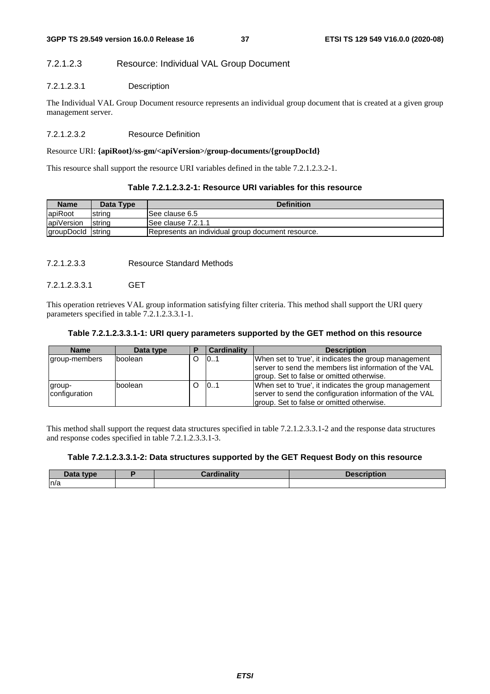### 7.2.1.2.3 Resource: Individual VAL Group Document

### 7.2.1.2.3.1 Description

The Individual VAL Group Document resource represents an individual group document that is created at a given group management server.

### 7.2.1.2.3.2 Resource Definition

#### Resource URI: **{apiRoot}/ss-gm/<apiVersion>/group-documents/{groupDocId}**

This resource shall support the resource URI variables defined in the table 7.2.1.2.3.2-1.

| Table 7.2.1.2.3.2-1: Resource URI variables for this resource |
|---------------------------------------------------------------|
|                                                               |

| <b>Name</b>       | Data Type      | <b>Definition</b>                                 |  |  |  |  |
|-------------------|----------------|---------------------------------------------------|--|--|--|--|
| apiRoot           | string         | ISee clause 6.5                                   |  |  |  |  |
| apiVersion        | <b>Istring</b> | ISee clause 7.2.1.1                               |  |  |  |  |
| groupDocld string |                | Represents an individual group document resource. |  |  |  |  |

7.2.1.2.3.3 Resource Standard Methods

### 7.2.1.2.3.3.1 GET

This operation retrieves VAL group information satisfying filter criteria. This method shall support the URI query parameters specified in table 7.2.1.2.3.3.1-1.

#### **Table 7.2.1.2.3.3.1-1: URI query parameters supported by the GET method on this resource**

| <b>Name</b>             | Data type |   | <b>Cardinality</b> | <b>Description</b>                                                                                                                                            |
|-------------------------|-----------|---|--------------------|---------------------------------------------------------------------------------------------------------------------------------------------------------------|
| group-members           | boolean   | O | 101                | When set to 'true', it indicates the group management<br>Iserver to send the members list information of the VAL                                              |
|                         |           |   |                    | group. Set to false or omitted otherwise.                                                                                                                     |
| group-<br>configuration | Iboolean  | O | 0.1                | When set to 'true', it indicates the group management<br>server to send the configuration information of the VAL<br>group. Set to false or omitted otherwise. |

This method shall support the request data structures specified in table 7.2.1.2.3.3.1-2 and the response data structures and response codes specified in table 7.2.1.2.3.3.1-3.

#### **Table 7.2.1.2.3.3.1-2: Data structures supported by the GET Request Body on this resource**

| $\boldsymbol{\mathsf{Data}}$ type | <b>Cardinality</b> | <b>Description</b> |
|-----------------------------------|--------------------|--------------------|
| n/a                               |                    |                    |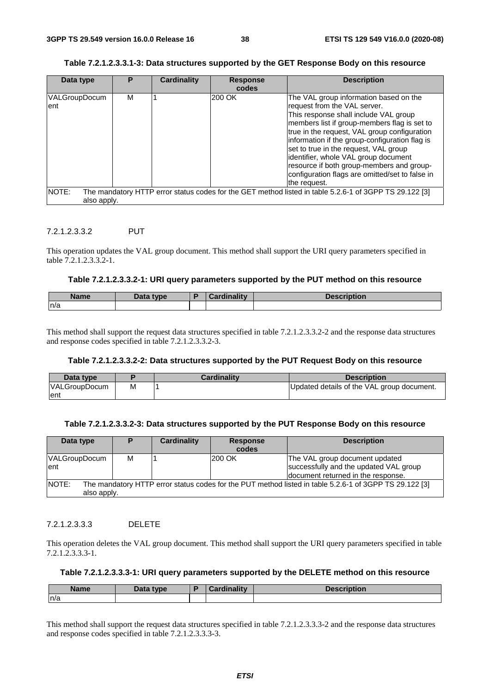### **Table 7.2.1.2.3.3.1-3: Data structures supported by the GET Response Body on this resource**

| Data type            | P | <b>Cardinality</b> | <b>Response</b><br>codes | <b>Description</b>                                                                                                                                                                                                                                                                                                                                                                                                                                                 |
|----------------------|---|--------------------|--------------------------|--------------------------------------------------------------------------------------------------------------------------------------------------------------------------------------------------------------------------------------------------------------------------------------------------------------------------------------------------------------------------------------------------------------------------------------------------------------------|
| VALGroupDocum<br>ent | М |                    | 200 OK                   | The VAL group information based on the<br>request from the VAL server.<br>This response shall include VAL group<br>members list if group-members flag is set to<br>true in the request, VAL group configuration<br>information if the group-configuration flag is<br>set to true in the request, VAL group<br>identifier, whole VAL group document<br>resource if both group-members and group-<br>configuration flags are omitted/set to false in<br>the request. |
| NOTE:<br>also apply. |   |                    |                          | The mandatory HTTP error status codes for the GET method listed in table 5.2.6-1 of 3GPP TS 29.122 [3]                                                                                                                                                                                                                                                                                                                                                             |

### 7.2.1.2.3.3.2 PUT

This operation updates the VAL group document. This method shall support the URI query parameters specified in table 7.2.1.2.3.3.2-1.

#### **Table 7.2.1.2.3.3.2-1: URI query parameters supported by the PUT method on this resource**

| <b>Name</b> | Data type | <b>Cardinality</b> | <b>Description</b> |
|-------------|-----------|--------------------|--------------------|
| n/a         |           |                    |                    |

This method shall support the request data structures specified in table 7.2.1.2.3.3.2-2 and the response data structures and response codes specified in table 7.2.1.2.3.3.2-3.

#### **Table 7.2.1.2.3.3.2-2: Data structures supported by the PUT Request Body on this resource**

| Data type            |   | <b>Cardinality</b> | <b>Description</b>                         |
|----------------------|---|--------------------|--------------------------------------------|
| <b>VALGroupDocum</b> | M |                    | Updated details of the VAL group document. |
| lent                 |   |                    |                                            |

### **Table 7.2.1.2.3.3.2-3: Data structures supported by the PUT Response Body on this resource**

| Data type                                                                                                                      |   | Cardinality | <b>Response</b> | <b>Description</b>                                                       |
|--------------------------------------------------------------------------------------------------------------------------------|---|-------------|-----------------|--------------------------------------------------------------------------|
|                                                                                                                                |   |             | codes           |                                                                          |
| <b>VALGroupDocum</b><br>lent                                                                                                   | м |             | 200 OK          | The VAL group document updated<br>successfully and the updated VAL group |
|                                                                                                                                |   |             |                 | document returned in the response.                                       |
| NOTE:<br>The mandatory HTTP error status codes for the PUT method listed in table 5.2.6-1 of 3GPP TS 29.122 [3]<br>also apply. |   |             |                 |                                                                          |

### 7.2.1.2.3.3.3 DELETE

This operation deletes the VAL group document. This method shall support the URI query parameters specified in table 7.2.1.2.3.3.3-1.

### **Table 7.2.1.2.3.3.3-1: URI query parameters supported by the DELETE method on this resource**

| <b>Name</b> | Data tyne<br>Dala | <b>Hinality</b><br>.71111 | ---<br>-------<br>L = 1 |
|-------------|-------------------|---------------------------|-------------------------|
| ln/a        |                   |                           |                         |

This method shall support the request data structures specified in table 7.2.1.2.3.3.3-2 and the response data structures and response codes specified in table 7.2.1.2.3.3.3-3.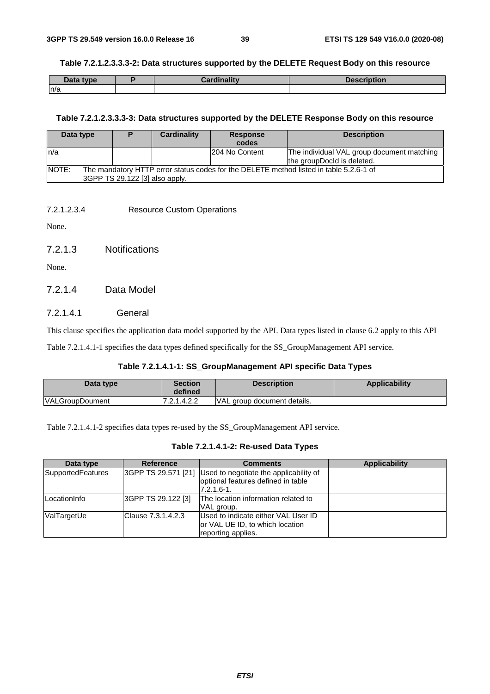#### **Table 7.2.1.2.3.3.3-2: Data structures supported by the DELETE Request Body on this resource**

| Data type | <b>Cardinality</b> | <b>Description</b> |
|-----------|--------------------|--------------------|
| n/a       |                    |                    |

#### **Table 7.2.1.2.3.3.3-3: Data structures supported by the DELETE Response Body on this resource**

| Data type                                                                                              |                                | Cardinality | <b>Response</b> | <b>Description</b>                         |
|--------------------------------------------------------------------------------------------------------|--------------------------------|-------------|-----------------|--------------------------------------------|
|                                                                                                        |                                |             | codes           |                                            |
| ln/a                                                                                                   |                                |             | 204 No Content  | The individual VAL group document matching |
|                                                                                                        |                                |             |                 | the groupDocld is deleted.                 |
| <b>NOTE:</b><br>The mandatory HTTP error status codes for the DELETE method listed in table 5.2.6-1 of |                                |             |                 |                                            |
|                                                                                                        | 3GPP TS 29.122 [3] also apply. |             |                 |                                            |

7.2.1.2.3.4 Resource Custom Operations

None.

7.2.1.3 Notifications

None.

### 7.2.1.4 Data Model

### 7.2.1.4.1 General

This clause specifies the application data model supported by the API. Data types listed in clause 6.2 apply to this API

Table 7.2.1.4.1-1 specifies the data types defined specifically for the SS\_GroupManagement API service.

### **Table 7.2.1.4.1-1: SS\_GroupManagement API specific Data Types**

| Data type              | Section<br>defined | <b>Description</b>          | Applicability |
|------------------------|--------------------|-----------------------------|---------------|
| <b>VALGroupDoument</b> | 7.2.1.4.2.2        | VAL group document details. |               |

Table 7.2.1.4.1-2 specifies data types re-used by the SS\_GroupManagement API service.

### **Table 7.2.1.4.1-2: Re-used Data Types**

| Data type         | <b>Reference</b>   | <b>Comments</b>                                                                                                    | <b>Applicability</b> |
|-------------------|--------------------|--------------------------------------------------------------------------------------------------------------------|----------------------|
| SupportedFeatures |                    | 3GPP TS 29.571 [21] Used to negotiate the applicability of<br>optional features defined in table<br>$7.2.1.6 - 1.$ |                      |
| LocationInfo      | 3GPP TS 29.122 [3] | The location information related to<br>VAL group.                                                                  |                      |
| ValTargetUe       | Clause 7.3.1.4.2.3 | Used to indicate either VAL User ID<br>or VAL UE ID, to which location<br>reporting applies.                       |                      |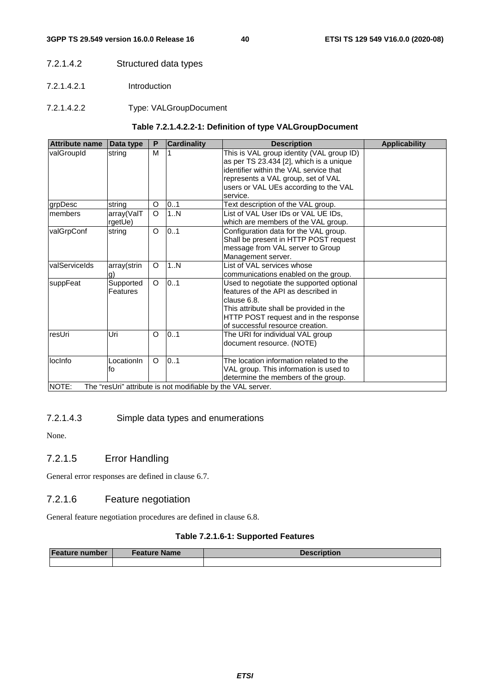- 7.2.1.4.2 Structured data types
- 7.2.1.4.2.1 Introduction
- 7.2.1.4.2.2 Type: VALGroupDocument

### **Table 7.2.1.4.2.2-1: Definition of type VALGroupDocument**

| <b>Attribute name</b> | Data type             | P       | <b>Cardinality</b>                                                 | <b>Description</b>                                                                                                                                                                                                        | <b>Applicability</b> |
|-----------------------|-----------------------|---------|--------------------------------------------------------------------|---------------------------------------------------------------------------------------------------------------------------------------------------------------------------------------------------------------------------|----------------------|
| valGroupId            | string                | M       |                                                                    | This is VAL group identity (VAL group ID)<br>as per TS 23.434 [2], which is a unique<br>identifier within the VAL service that<br>represents a VAL group, set of VAL<br>users or VAL UEs according to the VAL<br>service. |                      |
| grpDesc               | string                | O       | 0.1                                                                | Text description of the VAL group.                                                                                                                                                                                        |                      |
| <b>Imembers</b>       | array(ValT<br>rgetUe) | O       | 1N                                                                 | List of VAL User IDs or VAL UE IDs,<br>which are members of the VAL group.                                                                                                                                                |                      |
| valGrpConf            | string                | O       | 0.1                                                                | Configuration data for the VAL group.<br>Shall be present in HTTP POST request<br>message from VAL server to Group<br>Management server.                                                                                  |                      |
| <b>valServiceIds</b>  | array(strin<br>g)     | O       | 1N                                                                 | List of VAL services whose<br>communications enabled on the group.                                                                                                                                                        |                      |
| suppFeat              | Supported<br>Features | $\circ$ | 01                                                                 | Used to negotiate the supported optional<br>features of the API as described in<br>clause 6.8.<br>This attribute shall be provided in the<br>HTTP POST request and in the response<br>of successful resource creation.    |                      |
| resUri                | Uri                   | O       | 0.1                                                                | The URI for individual VAL group<br>document resource. (NOTE)                                                                                                                                                             |                      |
| locinfo<br>NOTE:      | LocationIn<br>fo      | O       | 0.1<br>The "resUri" attribute is not modifiable by the VAL server. | The location information related to the<br>VAL group. This information is used to<br>determine the members of the group.                                                                                                  |                      |
|                       |                       |         |                                                                    |                                                                                                                                                                                                                           |                      |

### 7.2.1.4.3 Simple data types and enumerations

None.

### 7.2.1.5 Error Handling

General error responses are defined in clause 6.7.

### 7.2.1.6 Feature negotiation

General feature negotiation procedures are defined in clause 6.8.

### **Table 7.2.1.6-1: Supported Features**

| <b>Feature number</b> | Feature Name | <b>Description</b> |
|-----------------------|--------------|--------------------|
|                       |              |                    |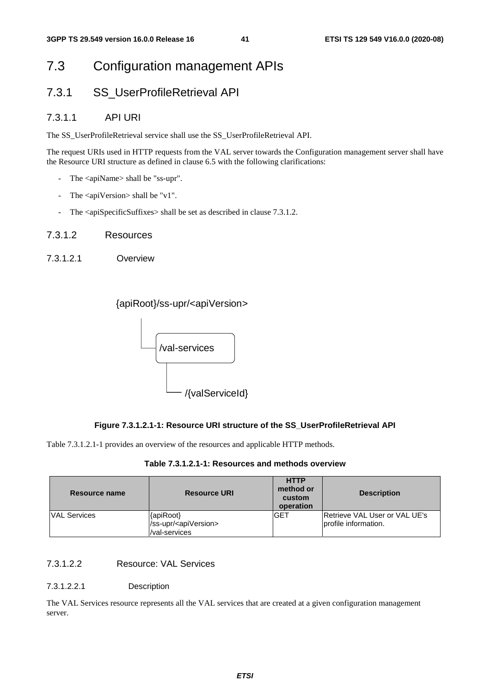# 7.3 Configuration management APIs

## 7.3.1 SS\_UserProfileRetrieval API

### 7.3.1.1 API URI

The SS\_UserProfileRetrieval service shall use the SS\_UserProfileRetrieval API.

The request URIs used in HTTP requests from the VAL server towards the Configuration management server shall have the Resource URI structure as defined in clause 6.5 with the following clarifications:

- The <apiName> shall be "ss-upr".
- The <apiVersion> shall be "v1".
- The <apiSpecificSuffixes> shall be set as described in clause 7.3.1.2.
- 7.3.1.2 Resources
- 7.3.1.2.1 Overview

{apiRoot}/ss-upr/<apiVersion>



### **Figure 7.3.1.2.1-1: Resource URI structure of the SS\_UserProfileRetrieval API**

Table 7.3.1.2.1-1 provides an overview of the resources and applicable HTTP methods.

|  |  | Table 7.3.1.2.1-1: Resources and methods overview |
|--|--|---------------------------------------------------|
|--|--|---------------------------------------------------|

| Resource name       | <b>Resource URI</b>                                               | <b>HTTP</b><br>method or<br>custom<br>operation | <b>Description</b>                                     |
|---------------------|-------------------------------------------------------------------|-------------------------------------------------|--------------------------------------------------------|
| <b>VAL Services</b> | {apiRoot}<br>/ss-upr/ <apiversion><br/>/val-services</apiversion> | <b>GET</b>                                      | lRetrieve VAL User or VAL UE's<br>profile information. |

### 7.3.1.2.2 Resource: VAL Services

#### 7.3.1.2.2.1 Description

The VAL Services resource represents all the VAL services that are created at a given configuration management server.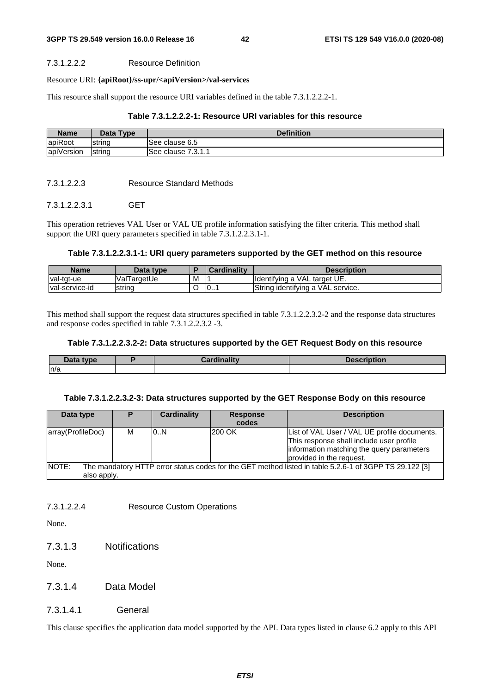#### 7.3.1.2.2.2 Resource Definition

#### Resource URI: **{apiRoot}/ss-upr/<apiVersion>/val-services**

This resource shall support the resource URI variables defined in the table 7.3.1.2.2.2-1.

### **Table 7.3.1.2.2.2-1: Resource URI variables for this resource**

| <b>Name</b> | <b>Type</b><br>Data | <b>Definition</b>        |
|-------------|---------------------|--------------------------|
| apiRoot     | Istring             | See clause 6.5           |
| apiVersion  | <b>Istring</b>      | 7911<br>lSee clause<br>. |

#### 7.3.1.2.2.3 Resource Standard Methods

### 7.3.1.2.2.3.1 GET

This operation retrieves VAL User or VAL UE profile information satisfying the filter criteria. This method shall support the URI query parameters specified in table 7.3.1.2.2.3.1-1.

#### **Table 7.3.1.2.2.3.1-1: URI query parameters supported by the GET method on this resource**

| <b>Name</b>    | Data type   |   | Cardinality               | Description                       |
|----------------|-------------|---|---------------------------|-----------------------------------|
| val-tgt-ue     | ValTargetUe | M |                           | Identifying a VAL target UE.      |
| val-service-id | string      | ◡ | $\overline{\mathbf{0}}$ . | String identifying a VAL service. |

This method shall support the request data structures specified in table 7.3.1.2.2.3.2-2 and the response data structures and response codes specified in table 7.3.1.2.2.3.2 -3.

#### **Table 7.3.1.2.2.3.2-2: Data structures supported by the GET Request Body on this resource**

| Data type | Cardinality | <b>Description</b> |
|-----------|-------------|--------------------|
| ln/a      |             |                    |

#### **Table 7.3.1.2.2.3.2-3: Data structures supported by the GET Response Body on this resource**

| Data type                                                                                                       | D | Cardinality | <b>Response</b><br>codes | <b>Description</b>                           |  |
|-----------------------------------------------------------------------------------------------------------------|---|-------------|--------------------------|----------------------------------------------|--|
|                                                                                                                 |   |             |                          |                                              |  |
| array(ProfileDoc)                                                                                               | м | 0.N         | 200 OK                   | List of VAL User / VAL UE profile documents. |  |
|                                                                                                                 |   |             |                          | This response shall include user profile     |  |
|                                                                                                                 |   |             |                          | information matching the query parameters    |  |
|                                                                                                                 |   |             |                          | provided in the request.                     |  |
| NOTE:<br>The mandatory HTTP error status codes for the GET method listed in table 5.2.6-1 of 3GPP TS 29.122 [3] |   |             |                          |                                              |  |
| also apply.                                                                                                     |   |             |                          |                                              |  |

7.3.1.2.2.4 Resource Custom Operations

None.

7.3.1.3 Notifications

None.

### 7.3.1.4 Data Model

### 7.3.1.4.1 General

This clause specifies the application data model supported by the API. Data types listed in clause 6.2 apply to this API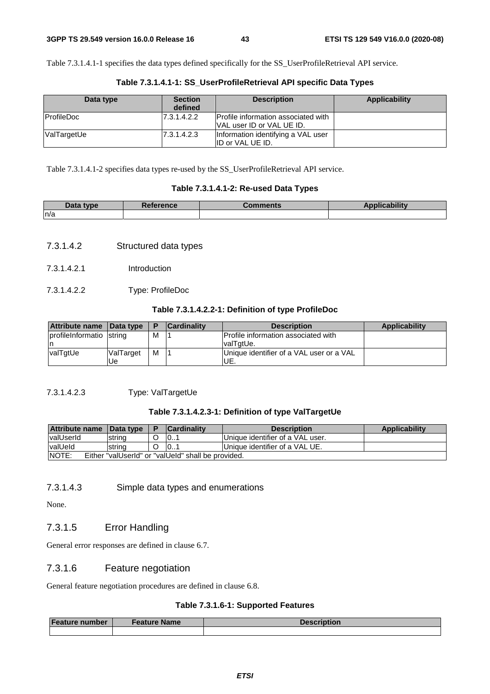Table 7.3.1.4.1-1 specifies the data types defined specifically for the SS\_UserProfileRetrieval API service.

| Data type          | <b>Section</b><br>defined | <b>Description</b>                                                             | Applicability |
|--------------------|---------------------------|--------------------------------------------------------------------------------|---------------|
| <b>IProfileDoc</b> | 7.3.1.4.2.2               | <b>Profile information associated with</b><br><b>VAL user ID or VAL UE ID.</b> |               |
| ValTargetUe        | 7.3.1.4.2.3               | Information identifying a VAL user<br>ID or VAL UE ID.                         |               |

**Table 7.3.1.4.1-1: SS\_UserProfileRetrieval API specific Data Types** 

Table 7.3.1.4.1-2 specifies data types re-used by the SS\_UserProfileRetrieval API service.

### **Table 7.3.1.4.1-2: Re-used Data Types**

| <b>Data</b><br>tvne | Reference | <b>Comments:</b> | <b>The Second</b><br>ability |
|---------------------|-----------|------------------|------------------------------|
| n/a                 |           |                  |                              |

- 7.3.1.4.2 Structured data types
- 7.3.1.4.2.1 Introduction
- 7.3.1.4.2.2 Type: ProfileDoc

### **Table 7.3.1.4.2.2-1: Definition of type ProfileDoc**

| Attribute name Data type  |           |   | <b>Cardinality</b> | <b>Description</b>                         | <b>Applicability</b> |
|---------------------------|-----------|---|--------------------|--------------------------------------------|----------------------|
| profile Informatio string |           | M |                    | <b>Profile information associated with</b> |                      |
| ın                        |           |   |                    | IvalTgtUe.                                 |                      |
| valTgtUe                  | ValTarget | м |                    | Unique identifier of a VAL user or a VAL   |                      |
|                           | Ue        |   |                    | UE.                                        |                      |

### 7.3.1.4.2.3 Type: ValTargetUe

### **Table 7.3.1.4.2.3-1: Definition of type ValTargetUe**

| <b>Attribute name</b>                                               | <b>Data type</b> |  | <b>Cardinality</b> | <b>Description</b>               | <b>Applicability</b> |
|---------------------------------------------------------------------|------------------|--|--------------------|----------------------------------|----------------------|
| <b>valUserId</b>                                                    | string           |  | 10                 | Unique identifier of a VAL user. |                      |
| valUeld                                                             | string           |  | 10                 | Unique identifier of a VAL UE.   |                      |
| <b>INOTE:</b><br>Either "valUserId" or "valUeId" shall be provided. |                  |  |                    |                                  |                      |

### 7.3.1.4.3 Simple data types and enumerations

None.

### 7.3.1.5 Error Handling

General error responses are defined in clause 6.7.

### 7.3.1.6 Feature negotiation

General feature negotiation procedures are defined in clause 6.8.

### **Table 7.3.1.6-1: Supported Features**

| <b>Feature number</b> | Feature Name | <b>Description</b> |
|-----------------------|--------------|--------------------|
|                       |              |                    |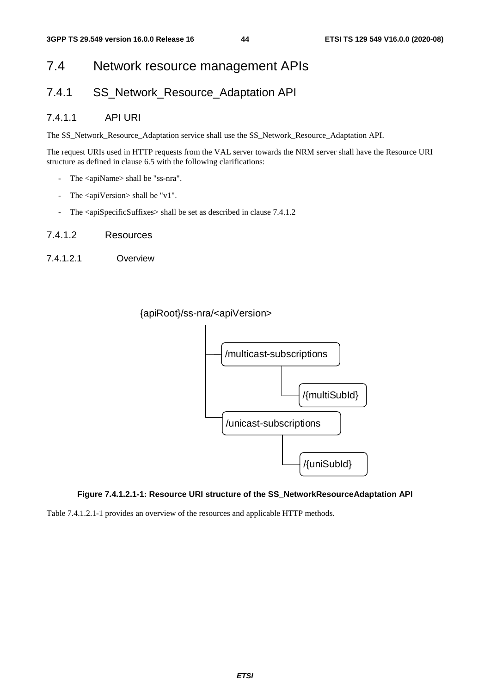# 7.4 Network resource management APIs

## 7.4.1 SS Network Resource Adaptation API

### 7.4.1.1 API URI

The SS\_Network\_Resource\_Adaptation service shall use the SS\_Network\_Resource\_Adaptation API.

The request URIs used in HTTP requests from the VAL server towards the NRM server shall have the Resource URI structure as defined in clause 6.5 with the following clarifications:

- The <apiName> shall be "ss-nra".
- The <apiVersion> shall be "v1".
- The <apiSpecificSuffixes> shall be set as described in clause 7.4.1.2
- 7.4.1.2 Resources
- 7.4.1.2.1 Overview





### **Figure 7.4.1.2.1-1: Resource URI structure of the SS\_NetworkResourceAdaptation API**

Table 7.4.1.2.1-1 provides an overview of the resources and applicable HTTP methods.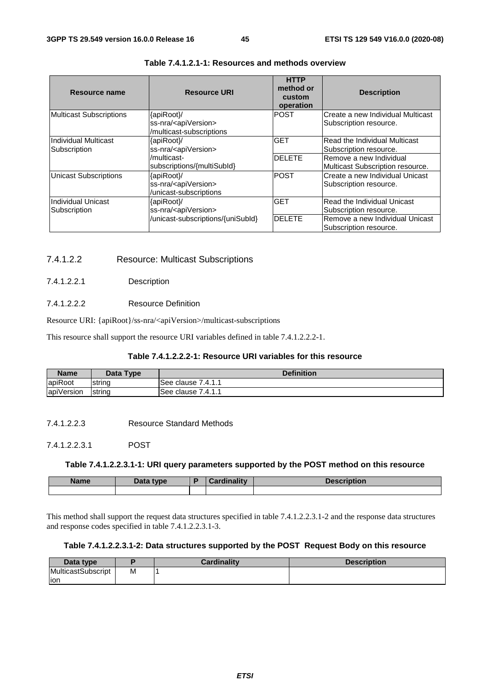| Resource name                        | <b>Resource URI</b>                                                          | <b>HTTP</b><br>method or<br>custom<br>operation | <b>Description</b>                                          |
|--------------------------------------|------------------------------------------------------------------------------|-------------------------------------------------|-------------------------------------------------------------|
| <b>Multicast Subscriptions</b>       | {apiRoot}/<br>ss-nra/ <apiversion><br/>/multicast-subscriptions</apiversion> | <b>POST</b>                                     | Create a new Individual Multicast<br>Subscription resource. |
| Individual Multicast<br>Subscription | {apiRoot}/<br>ss-nra/ <apiversion></apiversion>                              | <b>GET</b>                                      | Read the Individual Multicast<br>Subscription resource.     |
|                                      | /multicast-<br>subscriptions/{multiSubId}                                    | <b>DELETE</b>                                   | Remove a new Individual<br>Multicast Subscription resource. |
| <b>Unicast Subscriptions</b>         | {apiRoot}/<br>ss-nra/ <apiversion><br/>/unicast-subscriptions</apiversion>   | <b>POST</b>                                     | Create a new Individual Unicast<br>Subscription resource.   |
| Individual Unicast<br>Subscription   | {apiRoot}/<br>ss-nra/ <apiversion></apiversion>                              | <b>GET</b>                                      | Read the Individual Unicast<br>Subscription resource.       |
|                                      | /unicast-subscriptions/{uniSubId}                                            | <b>DELETE</b>                                   | Remove a new Individual Unicast<br>Subscription resource.   |

### **Table 7.4.1.2.1-1: Resources and methods overview**

### 7.4.1.2.2 Resource: Multicast Subscriptions

### 7.4.1.2.2.1 Description

#### 7.4.1.2.2.2 Resource Definition

Resource URI: {apiRoot}/ss-nra/<apiVersion>/multicast-subscriptions

This resource shall support the resource URI variables defined in table 7.4.1.2.2.2-1.

### **Table 7.4.1.2.2.2-1: Resource URI variables for this resource**

| <b>Name</b> | Data Type | <b>Definition</b>   |
|-------------|-----------|---------------------|
| apiRoot     | Istring   | ISee clause 7.4.1.1 |
| apiVersion  | string    | ISee clause 7.4.1.1 |

#### 7.4.1.2.2.3 Resource Standard Methods

### 7.4.1.2.2.3.1 POST

#### **Table 7.4.1.2.2.3.1-1: URI query parameters supported by the POST method on this resource**

| <b>Name</b> | <b>Data type</b><br>- Datu | <b>Cardinality</b> | <b>Description</b> |
|-------------|----------------------------|--------------------|--------------------|
|             |                            |                    |                    |

This method shall support the request data structures specified in table 7.4.1.2.2.3.1-2 and the response data structures and response codes specified in table 7.4.1.2.2.3.1-3.

### **Table 7.4.1.2.2.3.1-2: Data structures supported by the POST Request Body on this resource**

| Data type                 |   | <b>Cardinality</b> | <b>Description</b> |
|---------------------------|---|--------------------|--------------------|
| <b>MulticastSubscript</b> | Μ |                    |                    |
| lion                      |   |                    |                    |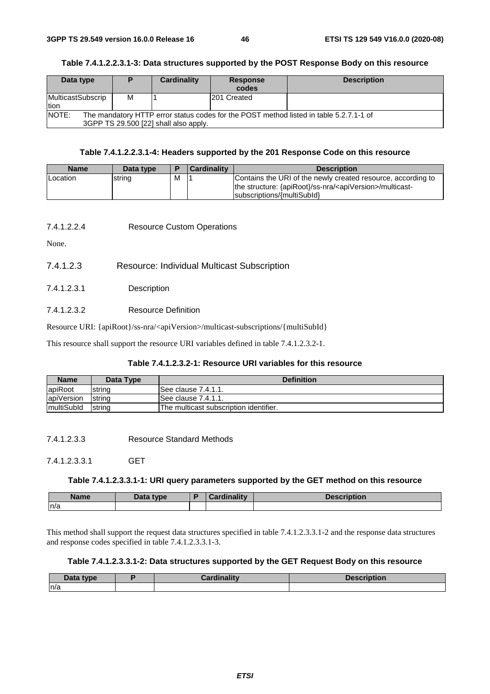### **Table 7.4.1.2.2.3.1-3: Data structures supported by the POST Response Body on this resource**

| Data type                                                                                                                                       | Ð | Cardinality | <b>Response</b><br>codes | <b>Description</b> |  |
|-------------------------------------------------------------------------------------------------------------------------------------------------|---|-------------|--------------------------|--------------------|--|
| MulticastSubscrip<br>tion                                                                                                                       | М |             | 201 Created              |                    |  |
| <b>NOTE:</b><br>The mandatory HTTP error status codes for the POST method listed in table 5.2.7.1-1 of<br>3GPP TS 29.500 [22] shall also apply. |   |             |                          |                    |  |

### **Table 7.4.1.2.2.3.1-4: Headers supported by the 201 Response Code on this resource**

| <b>Name</b>     | Data type |   | <b>Cardinality</b> | <b>Description</b>                                                                                                                                                   |
|-----------------|-----------|---|--------------------|----------------------------------------------------------------------------------------------------------------------------------------------------------------------|
| <b>Location</b> | string    | м |                    | Contains the URI of the newly created resource, according to<br>the structure: {apiRoot}/ss-nra/ <apiversion>/multicast-<br/>subscriptions/{multiSubld}</apiversion> |

### 7.4.1.2.2.4 Resource Custom Operations

None.

- 7.4.1.2.3 Resource: Individual Multicast Subscription
- 7.4.1.2.3.1 Description
- 7.4.1.2.3.2 Resource Definition

Resource URI: {apiRoot}/ss-nra/<apiVersion>/multicast-subscriptions/{multiSubId}

This resource shall support the resource URI variables defined in table 7.4.1.2.3.2-1.

#### **Table 7.4.1.2.3.2-1: Resource URI variables for this resource**

| <b>Name</b>        | Data Type      | <b>Definition</b>                      |
|--------------------|----------------|----------------------------------------|
| apiRoot            | string         | See clause 7.4.1.1.                    |
| apiVersion         | string         | ISee clause 7.4.1.1.                   |
| <i>ImultiSubld</i> | <b>Istring</b> | The multicast subscription identifier. |

7.4.1.2.3.3 Resource Standard Methods

7.4.1.2.3.3.1 GET

#### **Table 7.4.1.2.3.3.1-1: URI query parameters supported by the GET method on this resource**

| <b>Name</b> | <b>Pata type</b><br>Dala | والمقالم وبالمسوء<br><u>anality</u><br>$-1111$ | ription<br><b>1.</b> |
|-------------|--------------------------|------------------------------------------------|----------------------|
| n/a         |                          |                                                |                      |

This method shall support the request data structures specified in table 7.4.1.2.3.3.1-2 and the response data structures and response codes specified in table 7.4.1.2.3.3.1-3.

#### **Table 7.4.1.2.3.3.1-2: Data structures supported by the GET Request Body on this resource**

| <b>1.L.</b><br>tvne<br>$-$ <i>case</i> | .<br><br>`ord<br><b>CONTRACTOR</b> CONTRACTOR | i va ki za va<br>VUVIL |
|----------------------------------------|-----------------------------------------------|------------------------|
| n/a                                    |                                               |                        |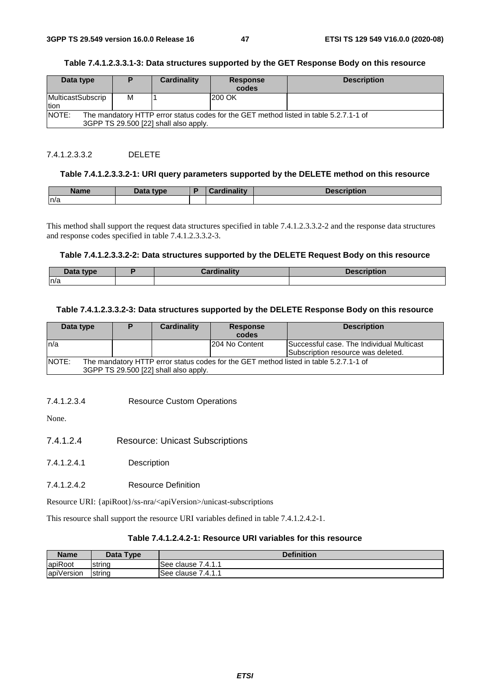### **Table 7.4.1.2.3.3.1-3: Data structures supported by the GET Response Body on this resource**

| Data type                                                                                                                                      |   | Cardinality | <b>Response</b> | <b>Description</b> |  |
|------------------------------------------------------------------------------------------------------------------------------------------------|---|-------------|-----------------|--------------------|--|
|                                                                                                                                                |   |             | codes           |                    |  |
| MulticastSubscrip                                                                                                                              | М |             | 200 OK          |                    |  |
| tion                                                                                                                                           |   |             |                 |                    |  |
| <b>NOTE:</b><br>The mandatory HTTP error status codes for the GET method listed in table 5.2.7.1-1 of<br>3GPP TS 29.500 [22] shall also apply. |   |             |                 |                    |  |

### 7.4.1.2.3.3.2 DELETE

#### **Table 7.4.1.2.3.3.2-1: URI query parameters supported by the DELETE method on this resource**

| <b>Name</b> | <b>Data type</b><br>Dala | ardinalitv | and the first state of the<br>uvn |
|-------------|--------------------------|------------|-----------------------------------|
| ln/a        |                          |            |                                   |

This method shall support the request data structures specified in table 7.4.1.2.3.3.2-2 and the response data structures and response codes specified in table 7.4.1.2.3.3.2-3.

#### **Table 7.4.1.2.3.3.2-2: Data structures supported by the DELETE Request Body on this resource**

| Jata tynr<br><b>Putu</b> | . | DESCI<br>TIPUUI |
|--------------------------|---|-----------------|
| n/a                      |   |                 |

#### **Table 7.4.1.2.3.3.2-3: Data structures supported by the DELETE Response Body on this resource**

| Data type | D | Cardinality                           | <b>Response</b> | <b>Description</b>                                                                    |
|-----------|---|---------------------------------------|-----------------|---------------------------------------------------------------------------------------|
|           |   |                                       | codes           |                                                                                       |
| ln/a      |   |                                       | 204 No Content  | Successful case. The Individual Multicast                                             |
|           |   |                                       |                 | Subscription resource was deleted.                                                    |
| NOTE:     |   |                                       |                 | The mandatory HTTP error status codes for the GET method listed in table 5.2.7.1-1 of |
|           |   | 3GPP TS 29.500 [22] shall also apply. |                 |                                                                                       |

#### 7.4.1.2.3.4 Resource Custom Operations

None.

- 7.4.1.2.4 Resource: Unicast Subscriptions
- 7.4.1.2.4.1 Description
- 7.4.1.2.4.2 Resource Definition

Resource URI: {apiRoot}/ss-nra/<apiVersion>/unicast-subscriptions

This resource shall support the resource URI variables defined in table 7.4.1.2.4.2-1.

### **Table 7.4.1.2.4.2-1: Resource URI variables for this resource**

| <b>Name</b>            | Data Type | <b>Definition</b>        |
|------------------------|-----------|--------------------------|
| apiRoot                | Istrina   | 7.4.1.1<br>clause<br>See |
| $\cdots$<br>apiVersion | string    | 7.4.1.1<br>See<br>clause |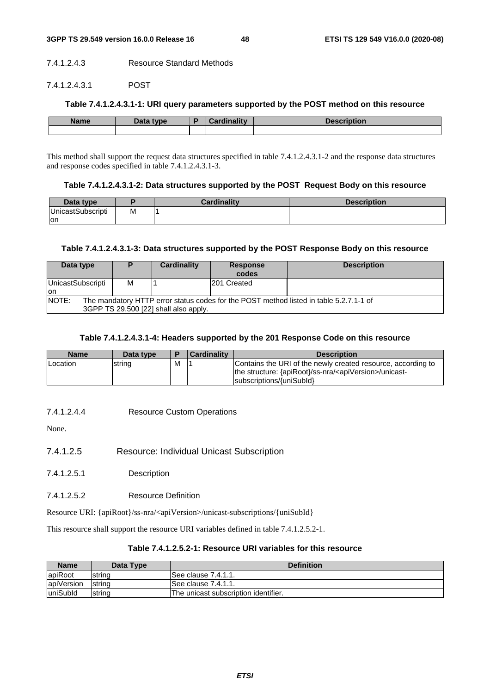#### 7.4.1.2.4.3 Resource Standard Methods

### 7.4.1.2.4.3.1 POST

### **Table 7.4.1.2.4.3.1-1: URI query parameters supported by the POST method on this resource**

| <b>Name</b> | Data type | Cardinality | Description |
|-------------|-----------|-------------|-------------|
|             |           |             |             |

This method shall support the request data structures specified in table 7.4.1.2.4.3.1-2 and the response data structures and response codes specified in table 7.4.1.2.4.3.1-3.

### **Table 7.4.1.2.4.3.1-2: Data structures supported by the POST Request Body on this resource**

| Data type                 |   | Cardinalitv | <b>Description</b> |
|---------------------------|---|-------------|--------------------|
| <b>IUnicastSubscripti</b> | М |             |                    |
| on                        |   |             |                    |

### **Table 7.4.1.2.4.3.1-3: Data structures supported by the POST Response Body on this resource**

| Data type                |                                                                                                                                 | Cardinality | <b>Response</b><br>codes | <b>Description</b> |  |  |
|--------------------------|---------------------------------------------------------------------------------------------------------------------------------|-------------|--------------------------|--------------------|--|--|
| UnicastSubscripti<br>lon | м                                                                                                                               |             | 201 Created              |                    |  |  |
| <b>NOTE:</b>             | The mandatory HTTP error status codes for the POST method listed in table 5.2.7.1-1 of<br>3GPP TS 29.500 [22] shall also apply. |             |                          |                    |  |  |

### **Table 7.4.1.2.4.3.1-4: Headers supported by the 201 Response Code on this resource**

| <b>Name</b> | Data type |   | <b>Cardinality</b> | <b>Description</b>                                                                                                                                               |
|-------------|-----------|---|--------------------|------------------------------------------------------------------------------------------------------------------------------------------------------------------|
| Location    | string    | м |                    | Contains the URI of the newly created resource, according to<br>the structure: {apiRoot}/ss-nra/ <apiversion>/unicast-<br/>subscriptions/{uniSubId}</apiversion> |

7.4.1.2.4.4 Resource Custom Operations

None.

- 7.4.1.2.5 Resource: Individual Unicast Subscription
- 7.4.1.2.5.1 Description
- 7.4.1.2.5.2 Resource Definition

Resource URI: {apiRoot}/ss-nra/<apiVersion>/unicast-subscriptions/{uniSubId}

This resource shall support the resource URI variables defined in table 7.4.1.2.5.2-1.

### **Table 7.4.1.2.5.2-1: Resource URI variables for this resource**

| <b>Name</b>      | Data Type      | <b>Definition</b>                    |
|------------------|----------------|--------------------------------------|
| apiRoot          | <b>Istring</b> | ISee clause 7.4.1.1.                 |
| apiVersion       | <b>Istring</b> | ISee clause 7.4.1.1.                 |
| <b>luniSubld</b> | string         | The unicast subscription identifier. |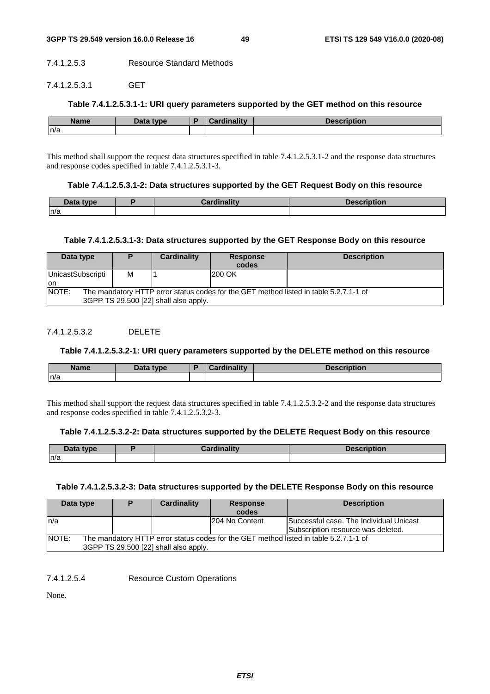#### 7.4.1.2.5.3 Resource Standard Methods

#### 7.4.1.2.5.3.1 GET

### **Table 7.4.1.2.5.3.1-1: URI query parameters supported by the GET method on this resource**

| <b>Name</b> | Data type | <b>Cardinality</b> | <b>Description</b> |
|-------------|-----------|--------------------|--------------------|
| n/a         |           |                    |                    |

This method shall support the request data structures specified in table 7.4.1.2.5.3.1-2 and the response data structures and response codes specified in table 7.4.1.2.5.3.1-3.

#### **Table 7.4.1.2.5.3.1-2: Data structures supported by the GET Request Body on this resource**

| ata type<br>Dala . | .<br><b>CONTRACTOR</b> | <b>DESCRIPTION</b> |
|--------------------|------------------------|--------------------|
| ln/a               |                        |                    |

### **Table 7.4.1.2.5.3.1-3: Data structures supported by the GET Response Body on this resource**

| Data type                                                                                                                      |   | Cardinality | <b>Response</b><br>codes | <b>Description</b> |  |
|--------------------------------------------------------------------------------------------------------------------------------|---|-------------|--------------------------|--------------------|--|
| UnicastSubscripti<br>lon                                                                                                       | м |             | 200 OK                   |                    |  |
| NOTE:                                                                                                                          |   |             |                          |                    |  |
| The mandatory HTTP error status codes for the GET method listed in table 5.2.7.1-1 of<br>3GPP TS 29.500 [22] shall also apply. |   |             |                          |                    |  |
|                                                                                                                                |   |             |                          |                    |  |

### 7412532 DELETE

### **Table 7.4.1.2.5.3.2-1: URI query parameters supported by the DELETE method on this resource**

| <b>Name</b> | Data type<br>Data | والمتفاقية والمسار<br><b>Contract Contract Contract</b> | ntion |
|-------------|-------------------|---------------------------------------------------------|-------|
| n/a         |                   |                                                         |       |

This method shall support the request data structures specified in table 7.4.1.2.5.3.2-2 and the response data structures and response codes specified in table 7.4.1.2.5.3.2-3.

### **Table 7.4.1.2.5.3.2-2: Data structures supported by the DELETE Request Body on this resource**

| Data type | -- | <b>Joecr</b> |
|-----------|----|--------------|
| n/a       |    |              |

### **Table 7.4.1.2.5.3.2-3: Data structures supported by the DELETE Response Body on this resource**

| Data type |                                                                                                                                | Cardinality | <b>Response</b><br>codes | <b>Description</b>                                                            |  |
|-----------|--------------------------------------------------------------------------------------------------------------------------------|-------------|--------------------------|-------------------------------------------------------------------------------|--|
| ln/a      |                                                                                                                                |             | 204 No Content           | Successful case. The Individual Unicast<br>Subscription resource was deleted. |  |
| NOTE:     | The mandatory HTTP error status codes for the GET method listed in table 5.2.7.1-1 of<br>3GPP TS 29.500 [22] shall also apply. |             |                          |                                                                               |  |

7.4.1.2.5.4 Resource Custom Operations

None.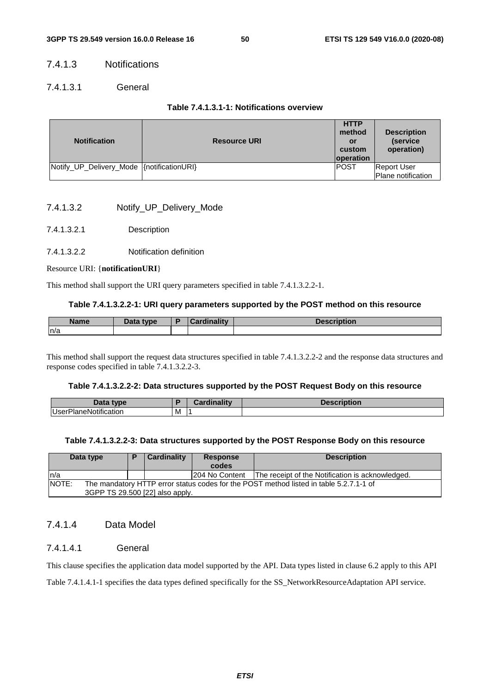### 7.4.1.3 Notifications

### 7.4.1.3.1 General

### **Table 7.4.1.3.1-1: Notifications overview**

| <b>Notification</b>                        | <b>Resource URI</b> | <b>HTTP</b><br>method<br>or<br>custom<br><b>loperation</b> | <b>Description</b><br>(service)<br>operation) |
|--------------------------------------------|---------------------|------------------------------------------------------------|-----------------------------------------------|
| Notify_UP_Delivery_Mode {\motificationURI} |                     | <b>POST</b>                                                | <b>Report User</b><br>Plane notification      |

- 7.4.1.3.2 Notify\_UP\_Delivery\_Mode
- 7.4.1.3.2.1 Description

### 7.4.1.3.2.2 Notification definition

### Resource URI: {**notificationURI**}

This method shall support the URI query parameters specified in table 7.4.1.3.2.2-1.

### **Table 7.4.1.3.2.2-1: URI query parameters supported by the POST method on this resource**

| Name | <b>Data type</b> | $1 - 11$<br>$\blacksquare$ | <b>Description</b> |
|------|------------------|----------------------------|--------------------|
| n/a  |                  |                            |                    |

This method shall support the request data structures specified in table 7.4.1.3.2.2-2 and the response data structures and response codes specified in table 7.4.1.3.2.2-3.

### **Table 7.4.1.3.2.2-2: Data structures supported by the POST Request Body on this resource**

| Data type                                     |   | $1 - 111$<br>rainality<br><b>272 L</b> | <b>Description</b> |
|-----------------------------------------------|---|----------------------------------------|--------------------|
| $\cdots$<br><b>UserP</b><br>hanenic<br>cation | M | . .                                    |                    |

### **Table 7.4.1.3.2.2-3: Data structures supported by the POST Response Body on this resource**

| Data type                                                                                                                          | n | Cardinality<br><b>Response</b><br>codes |                 | <b>Description</b>                               |
|------------------------------------------------------------------------------------------------------------------------------------|---|-----------------------------------------|-----------------|--------------------------------------------------|
| In/a                                                                                                                               |   |                                         | 1204 No Content | The receipt of the Notification is acknowledged. |
| NOTE:<br>The mandatory HTTP error status codes for the POST method listed in table 5.2.7.1-1 of<br>3GPP TS 29.500 [22] also apply. |   |                                         |                 |                                                  |

### 7.4.1.4 Data Model

### 7.4.1.4.1 General

This clause specifies the application data model supported by the API. Data types listed in clause 6.2 apply to this API

Table 7.4.1.4.1-1 specifies the data types defined specifically for the SS\_NetworkResourceAdaptation API service.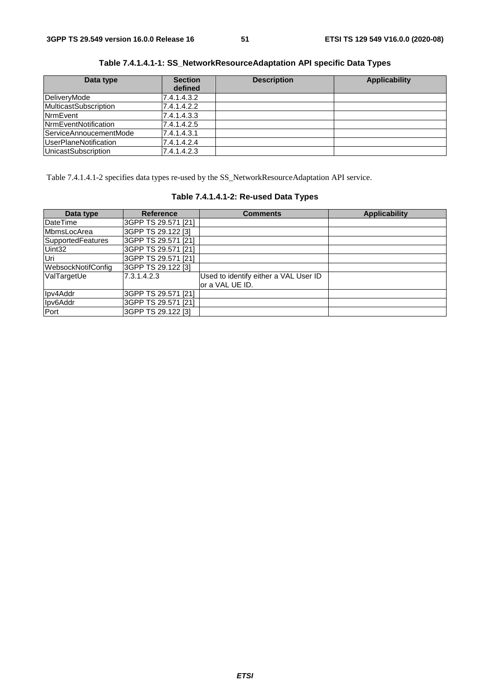| Data type                    | <b>Section</b> | <b>Description</b> | <b>Applicability</b> |
|------------------------------|----------------|--------------------|----------------------|
|                              | defined        |                    |                      |
| DeliveryMode                 | 7.4.1.4.3.2    |                    |                      |
| <b>MulticastSubscription</b> | 7.4.1.4.2.2    |                    |                      |
| <b>NrmEvent</b>              | 7.4.1.4.3.3    |                    |                      |
| <b>NrmEventNotification</b>  | 7.4.1.4.2.5    |                    |                      |
| ServiceAnnoucementMode       | 7.4.1.4.3.1    |                    |                      |
| <b>UserPlaneNotification</b> | 7.4.1.4.2.4    |                    |                      |
| <b>UnicastSubscription</b>   | 7.4.1.4.2.3    |                    |                      |

**Table 7.4.1.4.1-1: SS\_NetworkResourceAdaptation API specific Data Types** 

Table 7.4.1.4.1-2 specifies data types re-used by the SS\_NetworkResourceAdaptation API service.

| Data type          | <b>Reference</b>    | <b>Comments</b>                       | <b>Applicability</b> |
|--------------------|---------------------|---------------------------------------|----------------------|
| DateTime           | 3GPP TS 29.571 [21] |                                       |                      |
| MbmsLocArea        | 3GPP TS 29.122 [3]  |                                       |                      |
| SupportedFeatures  | 3GPP TS 29.571 [21] |                                       |                      |
| Uint32             | 3GPP TS 29.571 [21] |                                       |                      |
| Uri                | 3GPP TS 29.571 [21] |                                       |                      |
| WebsockNotifConfig | 3GPP TS 29.122 [3]  |                                       |                      |
| ValTargetUe        | 7.3.1.4.2.3         | Used to identify either a VAL User ID |                      |
|                    |                     | lor a VAL UE ID.                      |                      |
| Ipv4Addr           | 3GPP TS 29.571 [21] |                                       |                      |
| Ipv6Addr           | 3GPP TS 29.571 [21] |                                       |                      |
| Port               | 3GPP TS 29.122 [3]  |                                       |                      |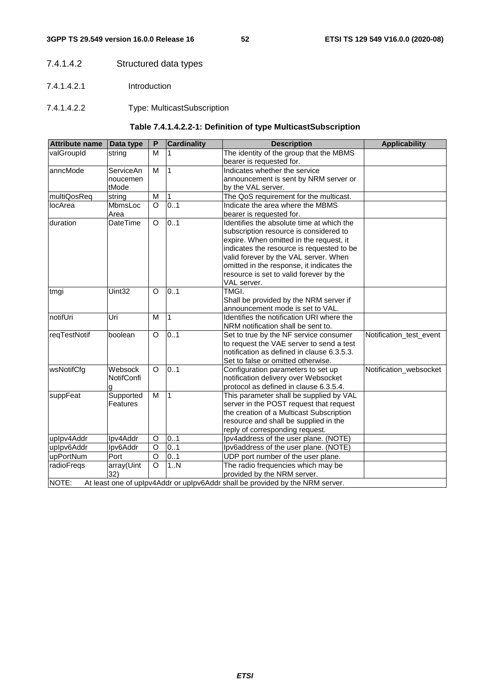### 7.4.1.4.2 Structured data types

- 7.4.1.4.2.1 Introduction
- 7.4.1.4.2.2 Type: MulticastSubscription

### **Table 7.4.1.4.2.2-1: Definition of type MulticastSubscription**

| <b>Attribute name</b> | Data type         | P        | <b>Cardinality</b> | <b>Description</b>                                                            | <b>Applicability</b>    |
|-----------------------|-------------------|----------|--------------------|-------------------------------------------------------------------------------|-------------------------|
| valGroupId            | string            | M        |                    | The identity of the group that the MBMS                                       |                         |
|                       |                   |          |                    | bearer is requested for.                                                      |                         |
| anncMode              | ServiceAn         | M        | 1                  | Indicates whether the service                                                 |                         |
|                       | noucemen          |          |                    | announcement is sent by NRM server or                                         |                         |
|                       | tMode             |          |                    | by the VAL server.                                                            |                         |
| multiQosReq           | string            | M        |                    | The QoS requirement for the multicast.                                        |                         |
| locArea               | MbmsLoc           | $\circ$  | 0.1                | Indicate the area where the MBMS                                              |                         |
|                       | Area              |          |                    | bearer is requested for.                                                      |                         |
| duration              | <b>DateTime</b>   | $\circ$  | 0.1                | Identifies the absolute time at which the                                     |                         |
|                       |                   |          |                    | subscription resource is considered to                                        |                         |
|                       |                   |          |                    | expire. When omitted in the request, it                                       |                         |
|                       |                   |          |                    | indicates the resource is requested to be                                     |                         |
|                       |                   |          |                    | valid forever by the VAL server. When                                         |                         |
|                       |                   |          |                    | omitted in the response, it indicates the                                     |                         |
|                       |                   |          |                    | resource is set to valid forever by the                                       |                         |
|                       |                   |          |                    | VAL server.                                                                   |                         |
| tmgi                  | Uint32            | $\Omega$ | 0.1                | TMGI.                                                                         |                         |
|                       |                   |          |                    | Shall be provided by the NRM server if                                        |                         |
|                       |                   |          |                    | announcement mode is set to VAL.                                              |                         |
| notifUri              | Uri               | M        | $\overline{1}$     | Identifies the notification URI where the                                     |                         |
|                       |                   |          |                    | NRM notification shall be sent to.                                            |                         |
| reqTestNotif          | boolean           | $\circ$  | 0.1                | Set to true by the NF service consumer                                        | Notification_test_event |
|                       |                   |          |                    | to request the VAE server to send a test                                      |                         |
|                       |                   |          |                    | notification as defined in clause 6.3.5.3.                                    |                         |
|                       |                   |          |                    | Set to false or omitted otherwise.                                            |                         |
| wsNotifCfg            | Websock           | $\Omega$ | 0.1                | Configuration parameters to set up                                            | Notification_websocket  |
|                       | <b>NotifConfi</b> |          |                    | notification delivery over Websocket                                          |                         |
|                       | g                 |          |                    | protocol as defined in clause 6.3.5.4.                                        |                         |
| suppFeat              | Supported         | M        | $\overline{1}$     | This parameter shall be supplied by VAL                                       |                         |
|                       | Features          |          |                    | server in the POST request that request                                       |                         |
|                       |                   |          |                    | the creation of a Multicast Subscription                                      |                         |
|                       |                   |          |                    | resource and shall be supplied in the                                         |                         |
|                       |                   |          |                    | reply of corresponding request.                                               |                         |
| uplpv4Addr            | Ipv4Addr          | O        | 0.1                | Ipv4address of the user plane. (NOTE)                                         |                         |
| uplpv6Addr            | Ipv6Addr          | $\circ$  | 0.1                | Ipv6address of the user plane. (NOTE)                                         |                         |
| upPortNum             | Port              | O        | 01                 | UDP port number of the user plane.                                            |                         |
| radioFregs            | array(Uint        | $\circ$  | 1N                 | The radio frequencies which may be                                            |                         |
|                       | 32)               |          |                    | provided by the NRM server.                                                   |                         |
| NOTE:                 |                   |          |                    | At least one of uplpv4Addr or uplpv6Addr shall be provided by the NRM server. |                         |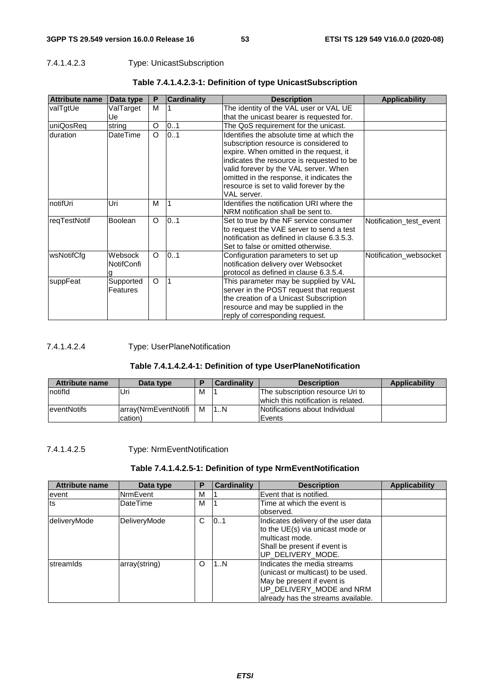### 7.4.1.4.2.3 Type: UnicastSubscription

| <b>Attribute name</b> | Data type         | P        | <b>Cardinality</b> | <b>Description</b>                         | <b>Applicability</b>    |
|-----------------------|-------------------|----------|--------------------|--------------------------------------------|-------------------------|
| valTgtUe              | ValTarget         | м        |                    | The identity of the VAL user or VAL UE     |                         |
|                       | Ue                |          |                    | that the unicast bearer is requested for.  |                         |
| uniQosReq             | string            | O        | 01                 | The QoS requirement for the unicast.       |                         |
| duration              | <b>DateTime</b>   | O        | 01                 | Identifies the absolute time at which the  |                         |
|                       |                   |          |                    | subscription resource is considered to     |                         |
|                       |                   |          |                    | expire. When omitted in the request, it    |                         |
|                       |                   |          |                    | indicates the resource is requested to be  |                         |
|                       |                   |          |                    | valid forever by the VAL server. When      |                         |
|                       |                   |          |                    | omitted in the response, it indicates the  |                         |
|                       |                   |          |                    | resource is set to valid forever by the    |                         |
|                       |                   |          |                    | VAL server.                                |                         |
| notifUri              | Uri               | м        | $\overline{1}$     | Identifies the notification URI where the  |                         |
|                       |                   |          |                    | NRM notification shall be sent to.         |                         |
| regTestNotif          | <b>Boolean</b>    | O        | 0.1                | Set to true by the NF service consumer     | Notification_test_event |
|                       |                   |          |                    | to request the VAE server to send a test   |                         |
|                       |                   |          |                    | notification as defined in clause 6.3.5.3. |                         |
|                       |                   |          |                    | Set to false or omitted otherwise.         |                         |
| wsNotifCfg            | Websock           | $\Omega$ | 0.1                | Configuration parameters to set up         | Notification_websocket  |
|                       | <b>NotifConfi</b> |          |                    | notification delivery over Websocket       |                         |
|                       |                   |          |                    | protocol as defined in clause 6.3.5.4.     |                         |
| suppFeat              | Supported         | O        |                    | This parameter may be supplied by VAL      |                         |
|                       | Features          |          |                    | server in the POST request that request    |                         |
|                       |                   |          |                    | the creation of a Unicast Subscription     |                         |
|                       |                   |          |                    | resource and may be supplied in the        |                         |
|                       |                   |          |                    | reply of corresponding request.            |                         |

### **Table 7.4.1.4.2.3-1: Definition of type UnicastSubscription**

### 7.4.1.4.2.4 Type: UserPlaneNotification

### **Table 7.4.1.4.2.4-1: Definition of type UserPlaneNotification**

| <b>Attribute name</b> | Data type             |   | Cardinality | <b>Description</b>                  | Applicability |
|-----------------------|-----------------------|---|-------------|-------------------------------------|---------------|
| Inotifid              | Uri                   | M |             | The subscription resource Uri to    |               |
|                       |                       |   |             | which this notification is related. |               |
| <b>leventNotifs</b>   | larray(NrmEventNotifi | M | 11N         | Notifications about Individual      |               |
|                       | cation)               |   |             | Events                              |               |

### 7.4.1.4.2.5 Type: NrmEventNotification

### **Table 7.4.1.4.2.5-1: Definition of type NrmEventNotification**

| <b>Attribute name</b> | Data type       | P | <b>Cardinality</b> | <b>Description</b>                                                                                                                                                | <b>Applicability</b> |
|-----------------------|-----------------|---|--------------------|-------------------------------------------------------------------------------------------------------------------------------------------------------------------|----------------------|
| event                 | NrmEvent        | м |                    | Event that is notified.                                                                                                                                           |                      |
| Its                   | <b>DateTime</b> | М |                    | Time at which the event is<br>observed.                                                                                                                           |                      |
| deliveryMode          | DeliveryMode    | C | 101                | Indicates delivery of the user data<br>to the UE(s) via unicast mode or<br>multicast mode.<br>Shall be present if event is<br>UP_DELIVERY_MODE.                   |                      |
| streamids             | array(string)   | O | 11N                | Indicates the media streams<br>(unicast or multicast) to be used.<br>May be present if event is<br>UP_DELIVERY_MODE and NRM<br>already has the streams available. |                      |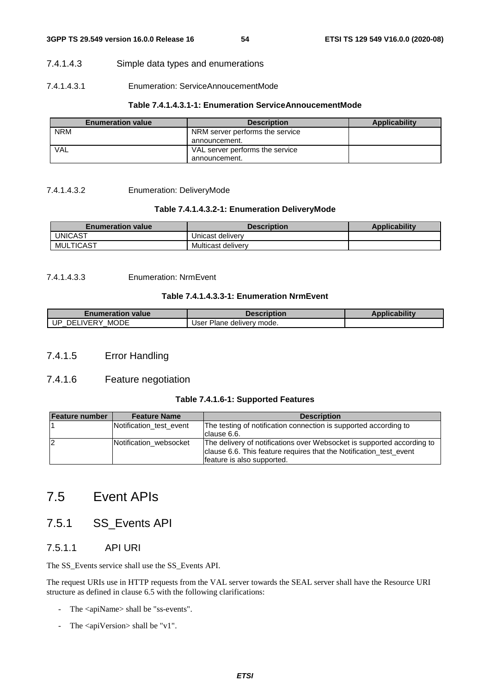### 7.4.1.4.3 Simple data types and enumerations

### 7.4.1.4.3.1 Enumeration: ServiceAnnoucementMode

### **Table 7.4.1.4.3.1-1: Enumeration ServiceAnnoucementMode**

| <b>Enumeration value</b> | <b>Description</b>              | Applicability |
|--------------------------|---------------------------------|---------------|
| <b>NRM</b>               | NRM server performs the service |               |
|                          | announcement.                   |               |
| VAL                      | VAL server performs the service |               |
|                          | announcement.                   |               |

7.4.1.4.3.2 Enumeration: DeliveryMode

### **Table 7.4.1.4.3.2-1: Enumeration DeliveryMode**

| <b>Enumeration value</b> | <b>Description</b> | <b>Applicability</b> |
|--------------------------|--------------------|----------------------|
| <b>UNICAST</b>           | Unicast delivery   |                      |
| MULTICAST                | Multicast delivery |                      |

### 7.4.1.4.3.3 Enumeration: NrmEvent

### **Table 7.4.1.4.3.3-1: Enumeration NrmEvent**

| <i>≣</i> numeration value           | Description                               | <b>Applicability</b> |
|-------------------------------------|-------------------------------------------|----------------------|
| <b>MODE</b><br>UP<br>. IVERY<br>DEL | <sup>.</sup> Plane deliverv mode.<br>Jser |                      |

### 7.4.1.5 Error Handling

### 7.4.1.6 Feature negotiation

### **Table 7.4.1.6-1: Supported Features**

| Feature number | <b>Feature Name</b>     | <b>Description</b>                                                                                                                                                         |
|----------------|-------------------------|----------------------------------------------------------------------------------------------------------------------------------------------------------------------------|
|                | Notification test event | The testing of notification connection is supported according to<br>clause 6.6.                                                                                            |
| 12             | Notification websocket  | The delivery of notifications over Websocket is supported according to<br>clause 6.6. This feature requires that the Notification test event<br>feature is also supported. |

# 7.5 Event APIs

## 7.5.1 SS\_Events API

### 7.5.1.1 API URI

The SS\_Events service shall use the SS\_Events API.

The request URIs use in HTTP requests from the VAL server towards the SEAL server shall have the Resource URI structure as defined in clause 6.5 with the following clarifications:

- The <apiName> shall be "ss-events".
- The <apiVersion> shall be "v1".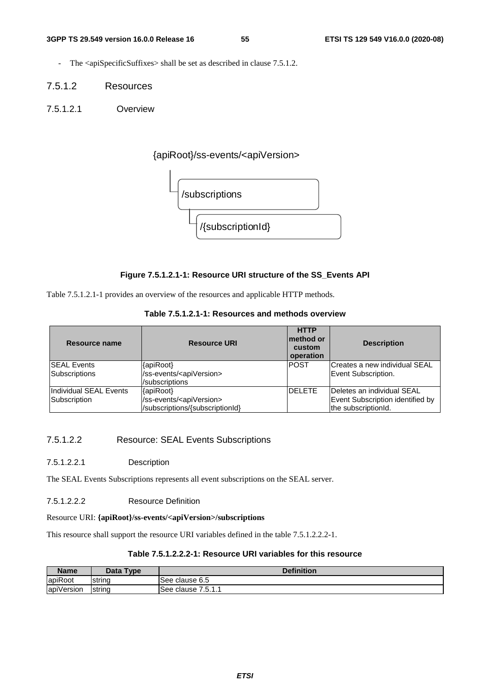- The <apiSpecificSuffixes> shall be set as described in clause 7.5.1.2.
- 7.5.1.2 Resources
- 7.5.1.2.1 Overview

{apiRoot}/ss-events/<apiVersion>



### **Figure 7.5.1.2.1-1: Resource URI structure of the SS\_Events API**

Table 7.5.1.2.1-1 provides an overview of the resources and applicable HTTP methods.

| Resource name                 | <b>Resource URI</b>                   | <b>HTTP</b><br>method or<br>custom<br>operation | <b>Description</b>               |
|-------------------------------|---------------------------------------|-------------------------------------------------|----------------------------------|
| <b>ISEAL Events</b>           | {apiRoot}                             | <b>POST</b>                                     | Creates a new individual SEAL    |
| Subscriptions                 | /ss-events/ <apiversion></apiversion> |                                                 | Event Subscription.              |
|                               | /subscriptions                        |                                                 |                                  |
| <b>Individual SEAL Events</b> | {apiRoot}                             | <b>DELETE</b>                                   | Deletes an individual SEAL       |
| Subscription                  | /ss-events/ <apiversion></apiversion> |                                                 | Event Subscription identified by |
|                               | /subscriptions/{subscriptionId}       |                                                 | the subscriptionId.              |

### 7.5.1.2.2 Resource: SEAL Events Subscriptions

7.5.1.2.2.1 Description

The SEAL Events Subscriptions represents all event subscriptions on the SEAL server.

7.5.1.2.2.2 Resource Definition

### Resource URI: **{apiRoot}/ss-events/<apiVersion>/subscriptions**

This resource shall support the resource URI variables defined in the table 7.5.1.2.2.2-1.

### **Table 7.5.1.2.2.2-1: Resource URI variables for this resource**

| <b>Name</b> | Data Type | <b>Definition</b>                |
|-------------|-----------|----------------------------------|
| apiRoot     | string    | lSee clause 6.5                  |
| apiVersion  | string    | 7511<br>lSee clause 7<br>ا الربي |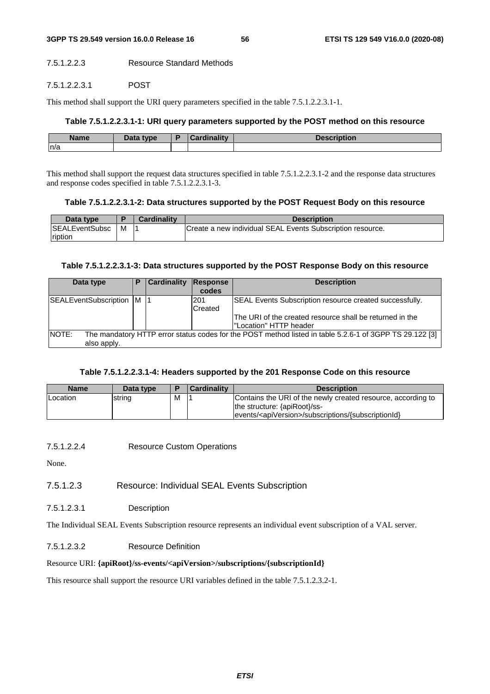### 7.5.1.2.2.3 Resource Standard Methods

#### 7.5.1.2.2.3.1 POST

This method shall support the URI query parameters specified in the table 7.5.1.2.2.3.1-1.

### **Table 7.5.1.2.2.3.1-1: URI query parameters supported by the POST method on this resource**

| <b>Name</b> | <b>Pata type</b> | Napolitana Bisan | <b>Description</b> |
|-------------|------------------|------------------|--------------------|
| n/a         |                  |                  |                    |

This method shall support the request data structures specified in table 7.5.1.2.2.3.1-2 and the response data structures and response codes specified in table 7.5.1.2.2.3.1-3.

### **Table 7.5.1.2.2.3.1-2: Data structures supported by the POST Request Body on this resource**

| Data type              |   | <b>Cardinality</b> | <b>Description</b>                                         |
|------------------------|---|--------------------|------------------------------------------------------------|
| <b>ISEALEventSubsc</b> | м |                    | Create a new individual SEAL Events Subscription resource. |
| ription                |   |                    |                                                            |

#### **Table 7.5.1.2.2.3.1-3: Data structures supported by the POST Response Body on this resource**

| Data type                                                                                                        | E | <b>Cardinality</b> | Response<br>codes | <b>Description</b>                                       |
|------------------------------------------------------------------------------------------------------------------|---|--------------------|-------------------|----------------------------------------------------------|
|                                                                                                                  |   |                    |                   |                                                          |
| SEALEventSubscription   M                                                                                        |   |                    | l201              | SEAL Events Subscription resource created successfully.  |
|                                                                                                                  |   |                    | Created           |                                                          |
|                                                                                                                  |   |                    |                   | The URI of the created resource shall be returned in the |
|                                                                                                                  |   |                    |                   | l"Location" HTTP header                                  |
| NOTE:<br>The mandatory HTTP error status codes for the POST method listed in table 5.2.6-1 of 3GPP TS 29.122 [3] |   |                    |                   |                                                          |
| also apply.                                                                                                      |   |                    |                   |                                                          |

#### **Table 7.5.1.2.2.3.1-4: Headers supported by the 201 Response Code on this resource**

| <b>Name</b>     | Data type |   | <b>Cardinality</b> | <b>Description</b>                                                                                                                                                |
|-----------------|-----------|---|--------------------|-------------------------------------------------------------------------------------------------------------------------------------------------------------------|
| <b>Location</b> | string    | M |                    | Contains the URI of the newly created resource, according to<br>the structure: {apiRoot}/ss-<br> events/ <apiversion>/subscriptions/{subscriptionId}</apiversion> |

7.5.1.2.2.4 Resource Custom Operations

None.

7.5.1.2.3 Resource: Individual SEAL Events Subscription

7.5.1.2.3.1 Description

The Individual SEAL Events Subscription resource represents an individual event subscription of a VAL server.

### 7.5.1.2.3.2 Resource Definition

#### Resource URI: **{apiRoot}/ss-events/<apiVersion>/subscriptions/{subscriptionId}**

This resource shall support the resource URI variables defined in the table 7.5.1.2.3.2-1.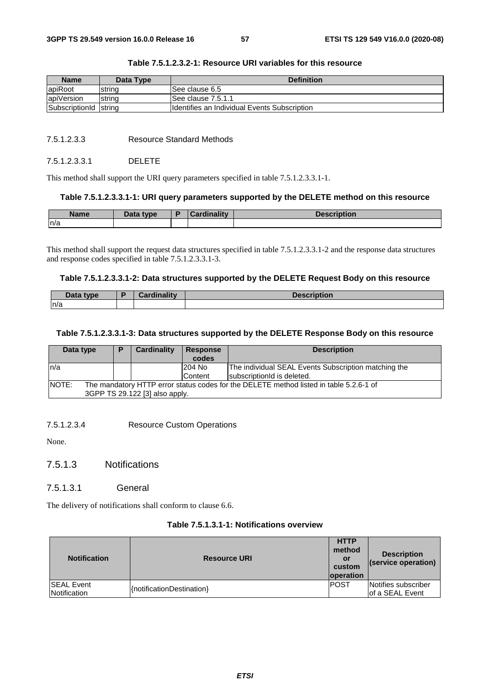| <b>Name</b>           | Data Type | <b>Definition</b>                             |
|-----------------------|-----------|-----------------------------------------------|
| apiRoot               | string    | ISee clause 6.5                               |
| apiVersion            | string    | See clause 7.5.1.1                            |
| SubscriptionId string |           | Ildentifies an Individual Events Subscription |

### **Table 7.5.1.2.3.2-1: Resource URI variables for this resource**

### 7.5.1.2.3.3 Resource Standard Methods

### 7.5.1.2.3.3.1 DELETE

This method shall support the URI query parameters specified in table 7.5.1.2.3.3.1-1.

### **Table 7.5.1.2.3.3.1-1: URI query parameters supported by the DELETE method on this resource**

| <b>Name</b> | Data type | Cardinalitv | <b>Description</b> |
|-------------|-----------|-------------|--------------------|
| n/a         |           |             |                    |

This method shall support the request data structures specified in table 7.5.1.2.3.3.1-2 and the response data structures and response codes specified in table 7.5.1.2.3.3.1-3.

#### **Table 7.5.1.2.3.3.1-2: Data structures supported by the DELETE Request Body on this resource**

| <b>Saft of the Careford Track</b> | $T$ ardinality<br>. | <b>CONTRACTOR</b><br>.<br>ווטו |
|-----------------------------------|---------------------|--------------------------------|
| ln/a                              |                     |                                |

### **Table 7.5.1.2.3.3.1-3: Data structures supported by the DELETE Response Body on this resource**

| Data type                                                                                                                                | D | Cardinality | <b>Response</b><br>codes | <b>Description</b>                                                                 |
|------------------------------------------------------------------------------------------------------------------------------------------|---|-------------|--------------------------|------------------------------------------------------------------------------------|
| ln/a                                                                                                                                     |   |             | 204 No<br><b>Content</b> | The individual SEAL Events Subscription matching the<br>subscription d is deleted. |
| <b>NOTE:</b><br>The mandatory HTTP error status codes for the DELETE method listed in table 5.2.6-1 of<br>3GPP TS 29.122 [3] also apply. |   |             |                          |                                                                                    |

7.5.1.2.3.4 Resource Custom Operations

None.

- 7.5.1.3 Notifications
- 7.5.1.3.1 General

The delivery of notifications shall conform to clause 6.6.

### **Table 7.5.1.3.1-1: Notifications overview**

| <b>Notification</b>                | <b>Resource URI</b>       | <b>HTTP</b><br>method<br>or<br>custom<br><b>loperation</b> | <b>Description</b><br>(service operation) |
|------------------------------------|---------------------------|------------------------------------------------------------|-------------------------------------------|
| <b>ISEAL Event</b><br>Notification | {notificationDestination} | <b>IPOST</b>                                               | Notifies subscriber<br>of a SEAL Event    |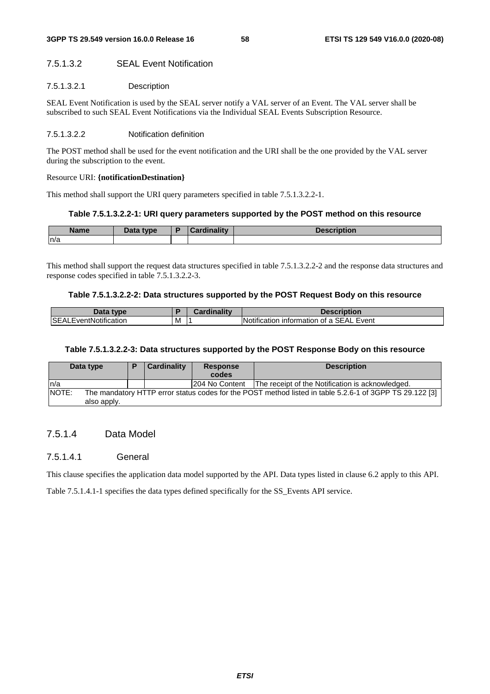### 7.5.1.3.2 SEAL Event Notification

### 7.5.1.3.2.1 Description

SEAL Event Notification is used by the SEAL server notify a VAL server of an Event. The VAL server shall be subscribed to such SEAL Event Notifications via the Individual SEAL Events Subscription Resource.

#### 7.5.1.3.2.2 Notification definition

The POST method shall be used for the event notification and the URI shall be the one provided by the VAL server during the subscription to the event.

#### Resource URI: **{notificationDestination}**

This method shall support the URI query parameters specified in table 7.5.1.3.2.2-1.

### **Table 7.5.1.3.2.2-1: URI query parameters supported by the POST method on this resource**

| <b>Name</b> | Data tyne<br>Putu |  | .<br><b>DESCRIPTION</b> |
|-------------|-------------------|--|-------------------------|
| ln/a        |                   |  |                         |

This method shall support the request data structures specified in table 7.5.1.3.2.2-2 and the response data structures and response codes specified in table 7.5.1.3.2.2-3.

### **Table 7.5.1.3.2.2-2: Data structures supported by the POST Request Body on this resource**

| Data<br>tvne                      |   | <b>dinality</b><br>nard. | <b>Description</b>                          |
|-----------------------------------|---|--------------------------|---------------------------------------------|
| <b>SEAL</b><br>.EventNotification | M |                          | Notification information of a SEAL<br>Event |

### **Table 7.5.1.3.2.2-3: Data structures supported by the POST Response Body on this resource**

| Data type |             | <b>Cardinality</b> | <b>Response</b><br>codes | <b>Description</b>                                                                                      |  |
|-----------|-------------|--------------------|--------------------------|---------------------------------------------------------------------------------------------------------|--|
| ln/a      |             |                    | 1204 No Content          | The receipt of the Notification is acknowledged.                                                        |  |
| NOTE:     | also apply. |                    |                          | The mandatory HTTP error status codes for the POST method listed in table 5.2.6-1 of 3GPP TS 29.122 [3] |  |

### 7.5.1.4 Data Model

### 7.5.1.4.1 General

This clause specifies the application data model supported by the API. Data types listed in clause 6.2 apply to this API.

Table 7.5.1.4.1-1 specifies the data types defined specifically for the SS\_Events API service.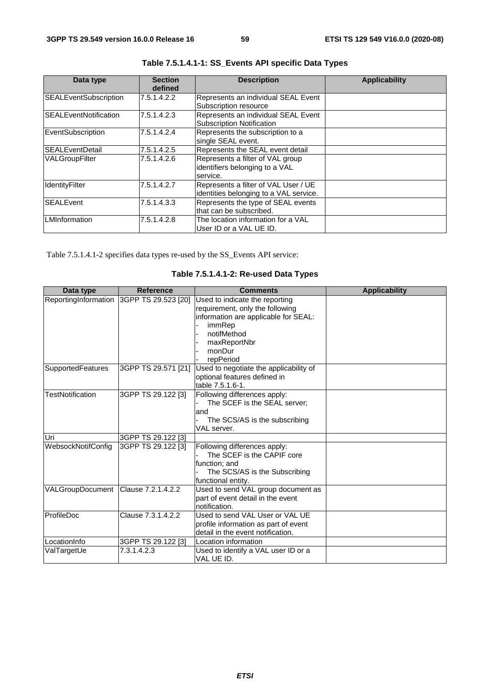| Data type                    | <b>Section</b><br>defined | <b>Description</b>                                                             | <b>Applicability</b> |
|------------------------------|---------------------------|--------------------------------------------------------------------------------|----------------------|
| <b>SEALEventSubscription</b> | 7.5.1.4.2.2               | Represents an individual SEAL Event<br>Subscription resource                   |                      |
| <b>SEALEventNotification</b> | 7.5.1.4.2.3               | Represents an individual SEAL Event<br><b>Subscription Notification</b>        |                      |
| EventSubscription            | 7.5.1.4.2.4               | Represents the subscription to a<br>single SEAL event.                         |                      |
| <b>ISEALEventDetail</b>      | 7.5.1.4.2.5               | Represents the SEAL event detail                                               |                      |
| <b>VALGroupFilter</b>        | 7.5.1.4.2.6               | Represents a filter of VAL group<br>identifiers belonging to a VAL<br>service. |                      |
| IdentityFilter               | 7.5.1.4.2.7               | Represents a filter of VAL User / UE<br>identities belonging to a VAL service. |                      |
| <b>SEALEvent</b>             | 7.5.1.4.3.3               | Represents the type of SEAL events<br>that can be subscribed.                  |                      |
| <b>LMInformation</b>         | 7.5.1.4.2.8               | The location information for a VAL<br>User ID or a VAL UE ID.                  |                      |

**Table 7.5.1.4.1-1: SS\_Events API specific Data Types** 

Table 7.5.1.4.1-2 specifies data types re-used by the SS\_Events API service:

|  |  |  | Table 7.5.1.4.1-2: Re-used Data Types |  |  |
|--|--|--|---------------------------------------|--|--|
|--|--|--|---------------------------------------|--|--|

| Data type                           | <b>Reference</b>                         | <b>Comments</b>                                                                                                                                                           | <b>Applicability</b> |
|-------------------------------------|------------------------------------------|---------------------------------------------------------------------------------------------------------------------------------------------------------------------------|----------------------|
|                                     | ReportingInformation 3GPP TS 29.523 [20] | Used to indicate the reporting<br>requirement, only the following<br>information are applicable for SEAL:<br>immRep<br>notifMethod<br>maxReportNbr<br>monDur<br>repPeriod |                      |
| <b>SupportedFeatures</b>            | 3GPP TS 29.571 [21]                      | Used to negotiate the applicability of<br>optional features defined in<br>table 7.5.1.6-1.                                                                                |                      |
| <b>TestNotification</b>             | 3GPP TS 29.122 [3]                       | Following differences apply:<br>The SCEF is the SEAL server:<br>land<br>The SCS/AS is the subscribing<br>VAL server.                                                      |                      |
| Uri                                 | 3GPP TS 29.122 [3]                       |                                                                                                                                                                           |                      |
| WebsockNotifConfig                  | 3GPP TS 29.122 [3]                       | Following differences apply:<br>The SCEF is the CAPIF core<br>function; and<br>The SCS/AS is the Subscribing<br>functional entity.                                        |                      |
| VALGroupDocument Clause 7.2.1.4.2.2 |                                          | Used to send VAL group document as<br>part of event detail in the event<br>notification.                                                                                  |                      |
| <b>ProfileDoc</b>                   | Clause 7.3.1.4.2.2                       | Used to send VAL User or VAL UE<br>profile information as part of event<br>detail in the event notification.                                                              |                      |
| LocationInfo                        | 3GPP TS 29.122 [3]                       | Location information                                                                                                                                                      |                      |
| ValTargetUe                         | 7.3.1.4.2.3                              | Used to identify a VAL user ID or a<br>VAL UE ID.                                                                                                                         |                      |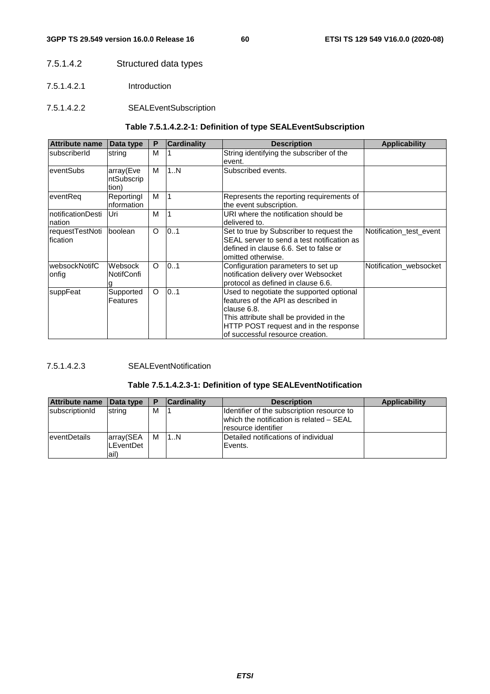### 7.5.1.4.2 Structured data types

- 7.5.1.4.2.1 Introduction
- 7.5.1.4.2.2 SEALEventSubscription

### **Table 7.5.1.4.2.2-1: Definition of type SEALEventSubscription**

| <b>Attribute name</b>        | Data type                        | P       | <b>Cardinality</b> | <b>Description</b>                                                                                                                                                                                                      | <b>Applicability</b>    |
|------------------------------|----------------------------------|---------|--------------------|-------------------------------------------------------------------------------------------------------------------------------------------------------------------------------------------------------------------------|-------------------------|
| <b>IsubscriberId</b>         | string                           | М       |                    | String identifying the subscriber of the<br>event.                                                                                                                                                                      |                         |
| eventSubs                    | array(Eve<br>ntSubscrip<br>tion) | M       | 1N                 | Subscribed events.                                                                                                                                                                                                      |                         |
| leventReg                    | Reportingl<br>nformation         | M       |                    | Represents the reporting requirements of<br>the event subscription.                                                                                                                                                     |                         |
| InotificationDesti<br>nation | Uri                              | M       |                    | URI where the notification should be<br>delivered to.                                                                                                                                                                   |                         |
| requestTestNoti<br>fication  | <b>boolean</b>                   | $\circ$ | 0.1                | Set to true by Subscriber to request the<br>SEAL server to send a test notification as<br>defined in clause 6.6. Set to false or<br>omitted otherwise.                                                                  | Notification test event |
| websockNotifC<br>onfig       | Websock<br><b>NotifConfi</b>     | O       | 0.1                | Configuration parameters to set up<br>notification delivery over Websocket<br>protocol as defined in clause 6.6.                                                                                                        | Notification websocket  |
| suppFeat                     | Supported<br>Features            | $\circ$ | 01                 | Used to negotiate the supported optional<br>features of the API as described in<br>clause 6.8.<br>This attribute shall be provided in the<br>HTTP POST request and in the response<br>lof successful resource creation. |                         |

### 7.5.1.4.2.3 SEALEventNotification

### **Table 7.5.1.4.2.3-1: Definition of type SEALEventNotification**

| <b>Attribute name</b> | Data type | P | <b>Cardinality</b> | <b>Description</b>                         | <b>Applicability</b> |
|-----------------------|-----------|---|--------------------|--------------------------------------------|----------------------|
| subscriptionId        | string    | M |                    | Identifier of the subscription resource to |                      |
|                       |           |   |                    | which the notification is related - SEAL   |                      |
|                       |           |   |                    | resource identifier                        |                      |
| <b>eventDetails</b>   | array(SEA | M | 11N                | Detailed notifications of individual       |                      |
|                       | LEventDet |   |                    | Events.                                    |                      |
|                       | lail)     |   |                    |                                            |                      |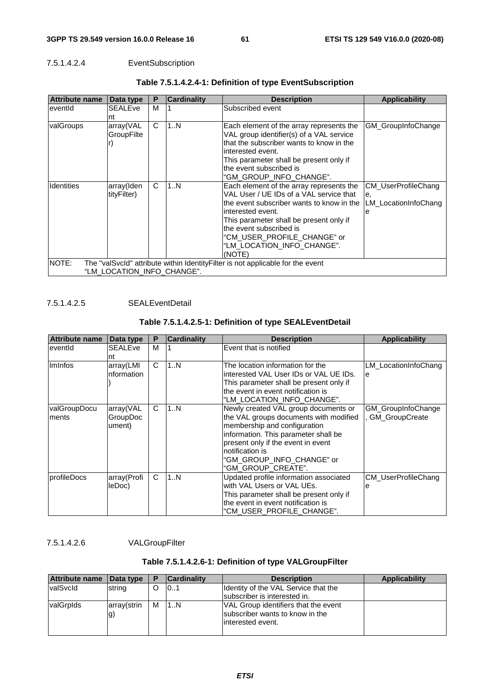### 7.5.1.4.2.4 EventSubscription

| <b>Attribute name</b>                                                                                                  | Data type                 | P | <b>Cardinality</b> | <b>Description</b>                                                                                                                                                                                                                                                                                 | <b>Applicability</b>                                          |  |
|------------------------------------------------------------------------------------------------------------------------|---------------------------|---|--------------------|----------------------------------------------------------------------------------------------------------------------------------------------------------------------------------------------------------------------------------------------------------------------------------------------------|---------------------------------------------------------------|--|
| eventid                                                                                                                | <b>SEALEve</b><br>nt      | M |                    | Subscribed event                                                                                                                                                                                                                                                                                   |                                                               |  |
| valGroups                                                                                                              | array(VAL<br>GroupFilte   | C | 1N                 | Each element of the array represents the<br>VAL group identifier(s) of a VAL service<br>that the subscriber wants to know in the<br>interested event.<br>This parameter shall be present only if<br>the event subscribed is<br>"GM GROUP INFO CHANGE".                                             | GM_GroupInfoChange                                            |  |
| <b>Identities</b>                                                                                                      | array(Iden<br>tityFilter) | C | 1N                 | Each element of the array represents the<br>VAL User / UE IDs of a VAL service that<br>the event subscriber wants to know in the<br>interested event.<br>This parameter shall be present only if<br>the event subscribed is<br>"CM USER PROFILE CHANGE" or<br>"LM LOCATION INFO CHANGE".<br>(NOTE) | <b>CM UserProfileChang</b><br>е.<br>LM LocationInfoChang<br>e |  |
| NOTE:<br>The "valSvcId" attribute within Identity Filter is not applicable for the event<br>"LM LOCATION INFO CHANGE". |                           |   |                    |                                                                                                                                                                                                                                                                                                    |                                                               |  |

### **Table 7.5.1.4.2.4-1: Definition of type EventSubscription**

7.5.1.4.2.5 SEALEventDetail

### **Table 7.5.1.4.2.5-1: Definition of type SEALEventDetail**

| <b>Attribute name</b>  | Data type                       | P | <b>Cardinality</b> | <b>Description</b>                                                                                                                                                                                                                                                 | <b>Applicability</b>                 |
|------------------------|---------------------------------|---|--------------------|--------------------------------------------------------------------------------------------------------------------------------------------------------------------------------------------------------------------------------------------------------------------|--------------------------------------|
| eventid                | <b>SEALEve</b><br>nt            | M |                    | Event that is notified                                                                                                                                                                                                                                             |                                      |
| Iminfos                | array(LMI<br>nformation         | C | 1N                 | The location information for the<br>interested VAL User IDs or VAL UE IDs.<br>This parameter shall be present only if<br>the event in event notification is<br>"LM LOCATION INFO CHANGE".                                                                          | LM LocationInfoChang<br>e            |
| valGroupDocu<br>Iments | array(VAL<br>GroupDoc<br>ument) | C | 1N                 | Newly created VAL group documents or<br>the VAL groups documents with modified<br>membership and configuration<br>information. This parameter shall be<br>present only if the event in event<br>notification is<br>"GM GROUP INFO CHANGE" or<br>"GM GROUP CREATE". | GM_GroupInfoChange<br>GM_GroupCreate |
| profileDocs            | array(Profi<br>leDoc)           | C | 1N                 | Updated profile information associated<br>with VAL Users or VAL UEs.<br>This parameter shall be present only if<br>the event in event notification is<br>"CM USER PROFILE CHANGE".                                                                                 | CM_UserProfileChang<br>е             |

7.5.1.4.2.6 VALGroupFilter

### **Table 7.5.1.4.2.6-1: Definition of type VALGroupFilter**

| Attribute name | $\vert$ Data type | D | <b>Cardinality</b> | <b>Description</b>                                                                                   | <b>Applicability</b> |
|----------------|-------------------|---|--------------------|------------------------------------------------------------------------------------------------------|----------------------|
| valSvcld       | string            | O | 101                | Identity of the VAL Service that the<br>subscriber is interested in.                                 |                      |
| valGrplds      | array(strin<br>g) | м | 1N                 | <b>VAL Group identifiers that the event</b><br>subscriber wants to know in the<br>linterested event. |                      |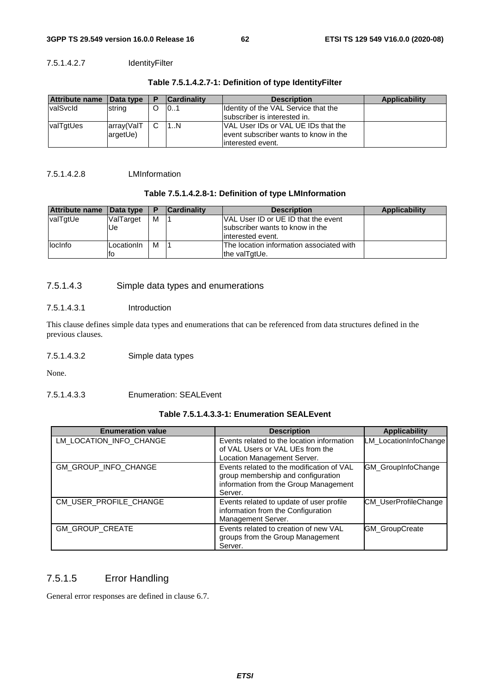### 7.5.1.4.2.7 IdentityFilter

| Attribute name Data type |            | D | <b>Cardinality</b> | <b>Description</b>                    | Applicability |
|--------------------------|------------|---|--------------------|---------------------------------------|---------------|
| <b>valSvcld</b>          | string     |   | 101                | Identity of the VAL Service that the  |               |
|                          |            |   |                    | subscriber is interested in.          |               |
| valTgtUes                | array(ValT | C | 1.1N               | VAL User IDs or VAL UE IDs that the   |               |
|                          | argetUe)   |   |                    | event subscriber wants to know in the |               |
|                          |            |   |                    | linterested event.                    |               |

### **Table 7.5.1.4.2.7-1: Definition of type IdentityFilter**

#### 7.5.1.4.2.8 LMInformation

### **Table 7.5.1.4.2.8-1: Definition of type LMInformation**

| Attribute name Data type |            | P | <b>Cardinality</b> | <b>Description</b>                       | <b>Applicability</b> |
|--------------------------|------------|---|--------------------|------------------------------------------|----------------------|
| valTgtUe                 | ValTarget  | M |                    | VAL User ID or UE ID that the event      |                      |
|                          | Ue         |   |                    | subscriber wants to know in the          |                      |
|                          |            |   |                    | linterested event.                       |                      |
| llocinfo                 | LocationIn | M |                    | The location information associated with |                      |
|                          | ΙO         |   |                    | the valTgtUe.                            |                      |

### 7.5.1.4.3 Simple data types and enumerations

### 7.5.1.4.3.1 Introduction

This clause defines simple data types and enumerations that can be referenced from data structures defined in the previous clauses.

### 7.5.1.4.3.2 Simple data types

None.

### 7.5.1.4.3.3 Enumeration: SEALEvent

### **Table 7.5.1.4.3.3-1: Enumeration SEALEvent**

| <b>Enumeration value</b> | <b>Description</b>                                                                                                                  | <b>Applicability</b>        |
|--------------------------|-------------------------------------------------------------------------------------------------------------------------------------|-----------------------------|
| LM LOCATION INFO CHANGE  | Events related to the location information<br>of VAL Users or VAL UEs from the<br>Location Management Server.                       | LM LocationInfoChange       |
| GM_GROUP_INFO_CHANGE     | Events related to the modification of VAL<br>group membership and configuration<br>information from the Group Management<br>Server. | GM_GroupInfoChange          |
| CM_USER_PROFILE_CHANGE   | Events related to update of user profile<br>information from the Configuration<br>Management Server.                                | <b>CM UserProfileChange</b> |
| GM_GROUP_CREATE          | Events related to creation of new VAL<br>groups from the Group Management<br>Server.                                                | <b>GM_GroupCreate</b>       |

### 7.5.1.5 Error Handling

General error responses are defined in clause 6.7.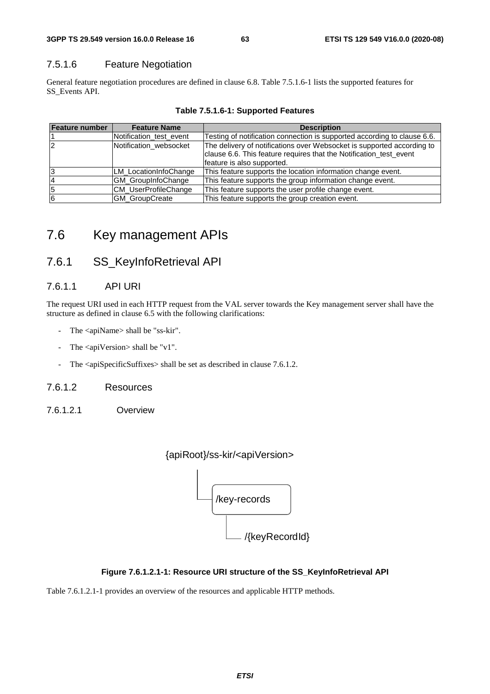### 7.5.1.6 Feature Negotiation

General feature negotiation procedures are defined in clause 6.8. Table 7.5.1.6-1 lists the supported features for SS\_Events API.

| <b>Feature number</b> | <b>Feature Name</b>         | <b>Description</b>                                                       |
|-----------------------|-----------------------------|--------------------------------------------------------------------------|
|                       | Notification test event     | Testing of notification connection is supported according to clause 6.6. |
|                       | Notification websocket      | The delivery of notifications over Websocket is supported according to   |
|                       |                             | clause 6.6. This feature requires that the Notification_test_event       |
|                       |                             | feature is also supported.                                               |
| 3                     | LM LocationInfoChange       | This feature supports the location information change event.             |
| 4                     | <b>GM GroupInfoChange</b>   | This feature supports the group information change event.                |
| 5                     | <b>CM UserProfileChange</b> | This feature supports the user profile change event.                     |
| 6                     | <b>GM GroupCreate</b>       | This feature supports the group creation event.                          |

**Table 7.5.1.6-1: Supported Features** 

# 7.6 Key management APIs

# 7.6.1 SS\_KeyInfoRetrieval API

### 7.6.1.1 API URI

The request URI used in each HTTP request from the VAL server towards the Key management server shall have the structure as defined in clause 6.5 with the following clarifications:

- The <apiName> shall be "ss-kir".
- The  $\langle$ apiVersion $>$ shall be "v1".
- The <apiSpecificSuffixes> shall be set as described in clause 7.6.1.2.

### 7.6.1.2 Resources

7.6.1.2.1 Overview





### **Figure 7.6.1.2.1-1: Resource URI structure of the SS\_KeyInfoRetrieval API**

Table 7.6.1.2.1-1 provides an overview of the resources and applicable HTTP methods.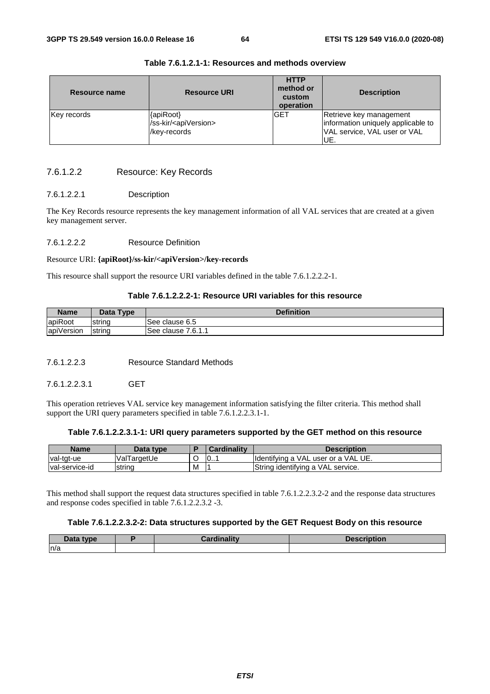| Resource name | <b>Resource URI</b>                                              | <b>HTTP</b><br>method or<br>custom<br>operation | <b>Description</b>                                                                                   |  |
|---------------|------------------------------------------------------------------|-------------------------------------------------|------------------------------------------------------------------------------------------------------|--|
| Key records   | {apiRoot}<br>/ss-kir/ <apiversion><br/>/key-records</apiversion> | <b>GET</b>                                      | Retrieve key management<br>information uniquely applicable to<br>VAL service, VAL user or VAL<br>UE. |  |

**Table 7.6.1.2.1-1: Resources and methods overview** 

### 7.6.1.2.2 Resource: Key Records

### 7.6.1.2.2.1 Description

The Key Records resource represents the key management information of all VAL services that are created at a given key management server.

#### 7.6.1.2.2.2 Resource Definition

#### Resource URI: **{apiRoot}/ss-kir/<apiVersion>/key-records**

This resource shall support the resource URI variables defined in the table 7.6.1.2.2.2-1.

### **Table 7.6.1.2.2.2-1: Resource URI variables for this resource**

| <b>Name</b> | Data Type | <b>Definition</b>       |
|-------------|-----------|-------------------------|
| apiRoot     | Istrina   | See clause 6.5          |
| apiVersion  | string    | 7.6.1.1<br>See clause i |

7.6.1.2.2.3 Resource Standard Methods

7.6.1.2.2.3.1 GET

This operation retrieves VAL service key management information satisfying the filter criteria. This method shall support the URI query parameters specified in table 7.6.1.2.2.3.1-1.

#### **Table 7.6.1.2.2.3.1-1: URI query parameters supported by the GET method on this resource**

| <b>Name</b>            | Data type   |   | Cardinalitv | Description                         |
|------------------------|-------------|---|-------------|-------------------------------------|
| val-tgt-ue             | ValTargetUe |   | 0           | Identifying a VAL user or a VAL UE. |
| <b>Ival-service-id</b> | string      | М |             | String identifying a VAL service.   |

This method shall support the request data structures specified in table 7.6.1.2.2.3.2-2 and the response data structures and response codes specified in table 7.6.1.2.2.3.2 -3.

#### **Table 7.6.1.2.2.3.2-2: Data structures supported by the GET Request Body on this resource**

| Data type | <b>Cordinality</b> | <b>Description</b> |
|-----------|--------------------|--------------------|
| n/a       |                    |                    |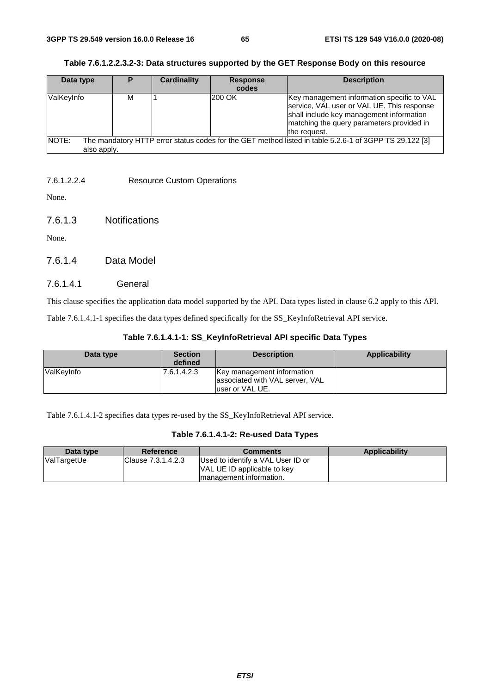| Data type            | Þ | Cardinality | <b>Response</b><br>codes | <b>Description</b>                                                                                                                                                                                |
|----------------------|---|-------------|--------------------------|---------------------------------------------------------------------------------------------------------------------------------------------------------------------------------------------------|
| ValKeyInfo           | м |             | <b>200 OK</b>            | Key management information specific to VAL<br>service, VAL user or VAL UE. This response<br>shall include key management information<br>matching the query parameters provided in<br>the request. |
| NOTE:<br>also apply. |   |             |                          | The mandatory HTTP error status codes for the GET method listed in table 5.2.6-1 of 3GPP TS 29.122 [3]                                                                                            |

| Table 7.6.1.2.2.3.2-3: Data structures supported by the GET Response Body on this resource |  |  |
|--------------------------------------------------------------------------------------------|--|--|
|                                                                                            |  |  |

### 7.6.1.2.2.4 Resource Custom Operations

None.

7.6.1.3 Notifications

None.

7.6.1.4 Data Model

### 7.6.1.4.1 General

This clause specifies the application data model supported by the API. Data types listed in clause 6.2 apply to this API.

Table 7.6.1.4.1-1 specifies the data types defined specifically for the SS\_KeyInfoRetrieval API service.

| Data type   | <b>Section</b><br>defined | <b>Description</b>                                                                | Applicability |
|-------------|---------------------------|-----------------------------------------------------------------------------------|---------------|
| lValKevInfo | 17.6.1.4.2.3              | Key management information<br>associated with VAL server, VAL<br>luser or VAL UE. |               |

Table 7.6.1.4.1-2 specifies data types re-used by the SS\_KeyInfoRetrieval API service.

|  |  |  | Table 7.6.1.4.1-2: Re-used Data Types |  |  |
|--|--|--|---------------------------------------|--|--|
|--|--|--|---------------------------------------|--|--|

| Data type   | Reference           | <b>Comments</b>                                                                              | <b>Applicability</b> |
|-------------|---------------------|----------------------------------------------------------------------------------------------|----------------------|
| ValTargetUe | IClause 7.3.1.4.2.3 | Used to identify a VAL User ID or<br>VAL UE ID applicable to key<br>Imanagement information. |                      |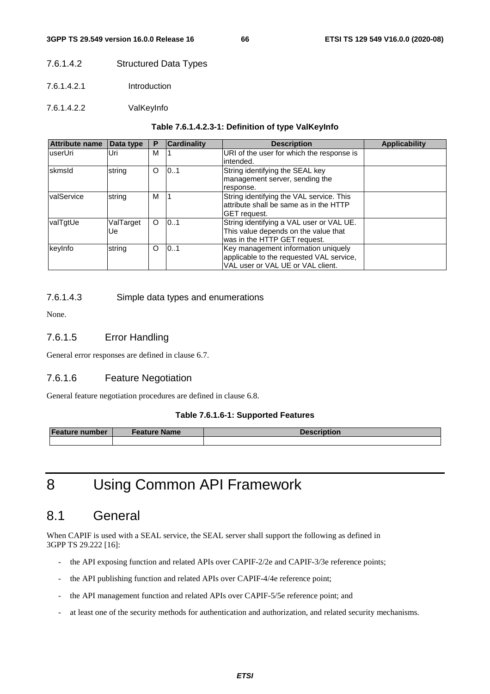### 7.6.1.4.2 Structured Data Types

- 7.6.1.4.2.1 Introduction
- 7.6.1.4.2.2 ValKeyInfo

#### **Table 7.6.1.4.2.3-1: Definition of type ValKeyInfo**

| <b>Attribute name</b> | Data type       | Р        | <b>Cardinality</b> | <b>Description</b>                                                                                                   | <b>Applicability</b> |
|-----------------------|-----------------|----------|--------------------|----------------------------------------------------------------------------------------------------------------------|----------------------|
| luserUri              | Uri             | M        |                    | URI of the user for which the response is<br>lintended.                                                              |                      |
| skmsld                | string          | O        | 10.1               | String identifying the SEAL key<br>management server, sending the<br>response.                                       |                      |
| valService            | string          | M        |                    | String identifying the VAL service. This<br>lattribute shall be same as in the HTTP<br><b>GET</b> request.           |                      |
| valTgtUe              | ValTarget<br>Ue | $\Omega$ | 101                | String identifying a VAL user or VAL UE.<br>This value depends on the value that<br>was in the HTTP GET request.     |                      |
| keyInfo               | string          | $\circ$  | 0.1                | Key management information uniquely<br>applicable to the requested VAL service,<br>VAL user or VAL UE or VAL client. |                      |

### 7.6.1.4.3 Simple data types and enumerations

None.

### 7.6.1.5 Error Handling

General error responses are defined in clause 6.7.

### 7.6.1.6 Feature Negotiation

General feature negotiation procedures are defined in clause 6.8.

#### **Table 7.6.1.6-1: Supported Features**

| <b>Feature number</b> | <b>Feature Name</b> | <b>Description</b> |  |
|-----------------------|---------------------|--------------------|--|
|                       |                     |                    |  |

# 8 Using Common API Framework

## 8.1 General

When CAPIF is used with a SEAL service, the SEAL server shall support the following as defined in 3GPP TS 29.222 [16]:

- the API exposing function and related APIs over CAPIF-2/2e and CAPIF-3/3e reference points;
- the API publishing function and related APIs over CAPIF-4/4e reference point;
- the API management function and related APIs over CAPIF-5/5e reference point; and
- at least one of the security methods for authentication and authorization, and related security mechanisms.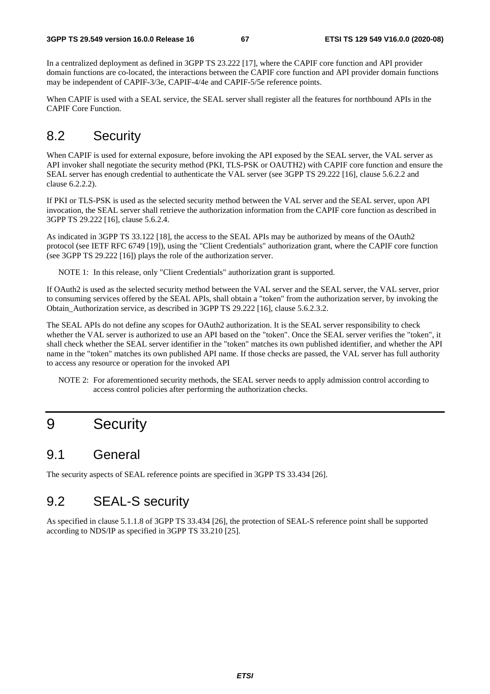In a centralized deployment as defined in 3GPP TS 23.222 [17], where the CAPIF core function and API provider domain functions are co-located, the interactions between the CAPIF core function and API provider domain functions may be independent of CAPIF-3/3e, CAPIF-4/4e and CAPIF-5/5e reference points.

When CAPIF is used with a SEAL service, the SEAL server shall register all the features for northbound APIs in the CAPIF Core Function.

# 8.2 Security

When CAPIF is used for external exposure, before invoking the API exposed by the SEAL server, the VAL server as API invoker shall negotiate the security method (PKI, TLS-PSK or OAUTH2) with CAPIF core function and ensure the SEAL server has enough credential to authenticate the VAL server (see 3GPP TS 29.222 [16], clause 5.6.2.2 and clause 6.2.2.2).

If PKI or TLS-PSK is used as the selected security method between the VAL server and the SEAL server, upon API invocation, the SEAL server shall retrieve the authorization information from the CAPIF core function as described in 3GPP TS 29.222 [16], clause 5.6.2.4.

As indicated in 3GPP TS 33.122 [18], the access to the SEAL APIs may be authorized by means of the OAuth2 protocol (see IETF RFC 6749 [19]), using the "Client Credentials" authorization grant, where the CAPIF core function (see 3GPP TS 29.222 [16]) plays the role of the authorization server.

NOTE 1: In this release, only "Client Credentials" authorization grant is supported.

If OAuth2 is used as the selected security method between the VAL server and the SEAL server, the VAL server, prior to consuming services offered by the SEAL APIs, shall obtain a "token" from the authorization server, by invoking the Obtain\_Authorization service, as described in 3GPP TS 29.222 [16], clause 5.6.2.3.2.

The SEAL APIs do not define any scopes for OAuth2 authorization. It is the SEAL server responsibility to check whether the VAL server is authorized to use an API based on the "token". Once the SEAL server verifies the "token", it shall check whether the SEAL server identifier in the "token" matches its own published identifier, and whether the API name in the "token" matches its own published API name. If those checks are passed, the VAL server has full authority to access any resource or operation for the invoked API

NOTE 2: For aforementioned security methods, the SEAL server needs to apply admission control according to access control policies after performing the authorization checks.

# 9 Security

# 9.1 General

The security aspects of SEAL reference points are specified in 3GPP TS 33.434 [26].

# 9.2 SEAL-S security

As specified in clause 5.1.1.8 of 3GPP TS 33.434 [26], the protection of SEAL-S reference point shall be supported according to NDS/IP as specified in 3GPP TS 33.210 [25].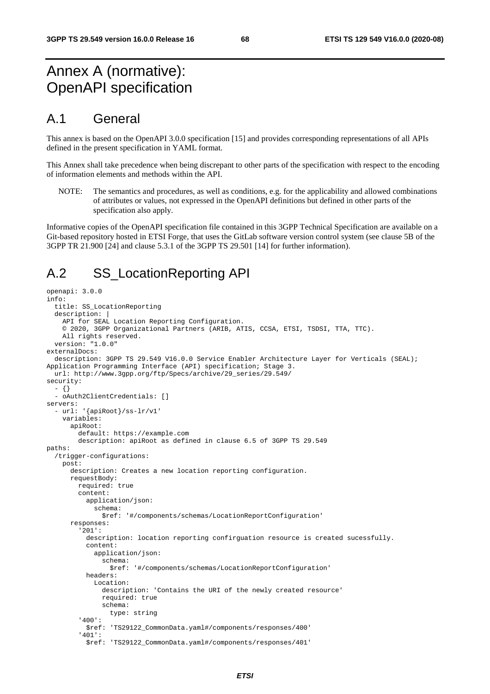# Annex A (normative): OpenAPI specification

## A.1 General

This annex is based on the OpenAPI 3.0.0 specification [15] and provides corresponding representations of all APIs defined in the present specification in YAML format.

This Annex shall take precedence when being discrepant to other parts of the specification with respect to the encoding of information elements and methods within the API.

NOTE: The semantics and procedures, as well as conditions, e.g. for the applicability and allowed combinations of attributes or values, not expressed in the OpenAPI definitions but defined in other parts of the specification also apply.

Informative copies of the OpenAPI specification file contained in this 3GPP Technical Specification are available on a Git-based repository hosted in ETSI Forge, that uses the GitLab software version control system (see clause 5B of the 3GPP TR 21.900 [24] and clause 5.3.1 of the 3GPP TS 29.501 [14] for further information).

# A.2 SS\_LocationReporting API

```
openapi: 3.0.0 
info: 
   title: SS_LocationReporting 
   description: | 
     API for SEAL Location Reporting Configuration. 
     © 2020, 3GPP Organizational Partners (ARIB, ATIS, CCSA, ETSI, TSDSI, TTA, TTC). 
     All rights reserved. 
   version: "1.0.0" 
externalDocs: 
   description: 3GPP TS 29.549 V16.0.0 Service Enabler Architecture Layer for Verticals (SEAL); 
Application Programming Interface (API) specification; Stage 3. 
   url: http://www.3gpp.org/ftp/Specs/archive/29_series/29.549/ 
security: 
   - {} 
   - oAuth2ClientCredentials: [] 
servers: 
    - url: '{apiRoot}/ss-lr/v1' 
     variables: 
       apiRoot: 
         default: https://example.com 
         description: apiRoot as defined in clause 6.5 of 3GPP TS 29.549 
paths: 
   /trigger-configurations: 
     post: 
       description: Creates a new location reporting configuration. 
       requestBody: 
         required: true 
         content: 
           application/json: 
              schema: 
               $ref: '#/components/schemas/LocationReportConfiguration' 
       responses: 
          '201': 
           description: location reporting confirguation resource is created sucessfully. 
           content: 
              application/json: 
                schema: 
                  $ref: '#/components/schemas/LocationReportConfiguration' 
           headers: 
              Location: 
                description: 'Contains the URI of the newly created resource' 
                required: true 
                schema: 
                  type: string 
          '400': 
           $ref: 'TS29122_CommonData.yaml#/components/responses/400' 
          '401': 
            $ref: 'TS29122_CommonData.yaml#/components/responses/401'
```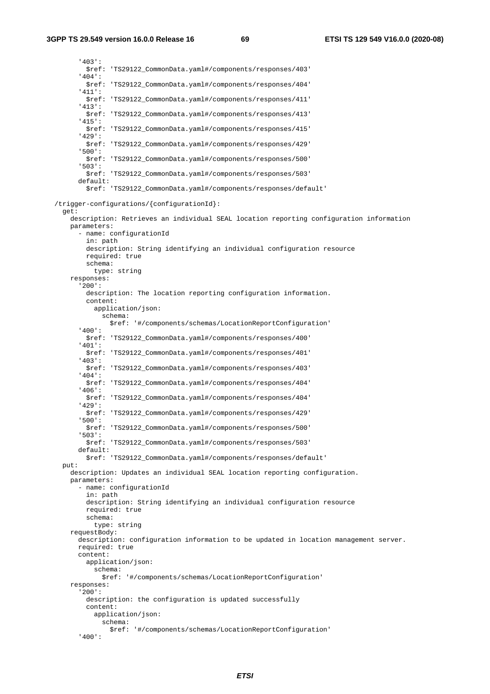'403': \$ref: 'TS29122\_CommonData.yaml#/components/responses/403' '404': \$ref: 'TS29122\_CommonData.yaml#/components/responses/404' '411': \$ref: 'TS29122\_CommonData.yaml#/components/responses/411' '413': \$ref: 'TS29122\_CommonData.yaml#/components/responses/413' '415': \$ref: 'TS29122\_CommonData.yaml#/components/responses/415' '429': \$ref: 'TS29122\_CommonData.yaml#/components/responses/429' '500': \$ref: 'TS29122\_CommonData.yaml#/components/responses/500' '503': \$ref: 'TS29122\_CommonData.yaml#/components/responses/503' default: \$ref: 'TS29122\_CommonData.yaml#/components/responses/default' /trigger-configurations/{configurationId}: get: description: Retrieves an individual SEAL location reporting configuration information parameters: - name: configurationId in: path description: String identifying an individual configuration resource required: true schema: type: string responses: '200': description: The location reporting configuration information. content: application/json: schema: \$ref: '#/components/schemas/LocationReportConfiguration' '400': \$ref: 'TS29122\_CommonData.yaml#/components/responses/400' '401': \$ref: 'TS29122\_CommonData.yaml#/components/responses/401' '403': \$ref: 'TS29122\_CommonData.yaml#/components/responses/403' '404': \$ref: 'TS29122\_CommonData.yaml#/components/responses/404' '406': \$ref: 'TS29122\_CommonData.yaml#/components/responses/404' '429': \$ref: 'TS29122\_CommonData.yaml#/components/responses/429' '500': \$ref: 'TS29122\_CommonData.yaml#/components/responses/500' '503': \$ref: 'TS29122\_CommonData.yaml#/components/responses/503' default: \$ref: 'TS29122\_CommonData.yaml#/components/responses/default' put: description: Updates an individual SEAL location reporting configuration. parameters: - name: configurationId in: path description: String identifying an individual configuration resource required: true schema: type: string requestBody: description: configuration information to be updated in location management server. required: true content: application/json: schema: \$ref: '#/components/schemas/LocationReportConfiguration' responses: '200': description: the configuration is updated successfully content: application/json: schema: \$ref: '#/components/schemas/LocationReportConfiguration' '400':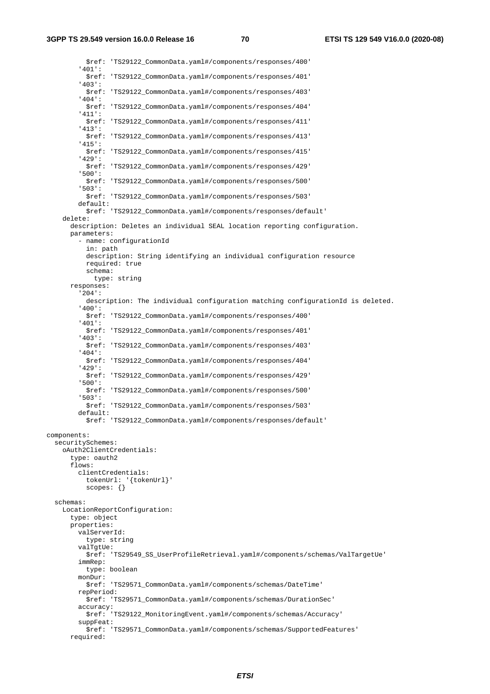**3GPP TS 29.549 version 16.0.0 Release 16 70 ETSI TS 129 549 V16.0.0 (2020-08)**

 \$ref: 'TS29122\_CommonData.yaml#/components/responses/400' '401': \$ref: 'TS29122\_CommonData.yaml#/components/responses/401' '403': \$ref: 'TS29122\_CommonData.yaml#/components/responses/403' '404': \$ref: 'TS29122\_CommonData.yaml#/components/responses/404' '411': \$ref: 'TS29122\_CommonData.yaml#/components/responses/411' '413': \$ref: 'TS29122\_CommonData.yaml#/components/responses/413' '415': \$ref: 'TS29122\_CommonData.yaml#/components/responses/415' '429': \$ref: 'TS29122\_CommonData.yaml#/components/responses/429' '500': \$ref: 'TS29122\_CommonData.yaml#/components/responses/500' '503': \$ref: 'TS29122\_CommonData.yaml#/components/responses/503' default: \$ref: 'TS29122\_CommonData.yaml#/components/responses/default' delete: description: Deletes an individual SEAL location reporting configuration. parameters: - name: configurationId in: path description: String identifying an individual configuration resource required: true schema: type: string responses: '204': description: The individual configuration matching configurationId is deleted. '400': \$ref: 'TS29122\_CommonData.yaml#/components/responses/400' '401': \$ref: 'TS29122\_CommonData.yaml#/components/responses/401' '403': \$ref: 'TS29122\_CommonData.yaml#/components/responses/403' '404': \$ref: 'TS29122\_CommonData.yaml#/components/responses/404' '429': \$ref: 'TS29122\_CommonData.yaml#/components/responses/429' '500': \$ref: 'TS29122\_CommonData.yaml#/components/responses/500' '503': \$ref: 'TS29122\_CommonData.yaml#/components/responses/503' default: \$ref: 'TS29122\_CommonData.yaml#/components/responses/default' components: securitySchemes: oAuth2ClientCredentials: type: oauth2 flows: clientCredentials: tokenUrl: '{tokenUrl}' scopes: {} schemas: LocationReportConfiguration: type: object properties: valServerId: type: string valTgtUe: \$ref: 'TS29549\_SS\_UserProfileRetrieval.yaml#/components/schemas/ValTargetUe' immRep: type: boolean monDur: \$ref: 'TS29571\_CommonData.yaml#/components/schemas/DateTime' repPeriod: \$ref: 'TS29571\_CommonData.yaml#/components/schemas/DurationSec' accuracy: \$ref: 'TS29122\_MonitoringEvent.yaml#/components/schemas/Accuracy' suppFeat: \$ref: 'TS29571\_CommonData.yaml#/components/schemas/SupportedFeatures' required: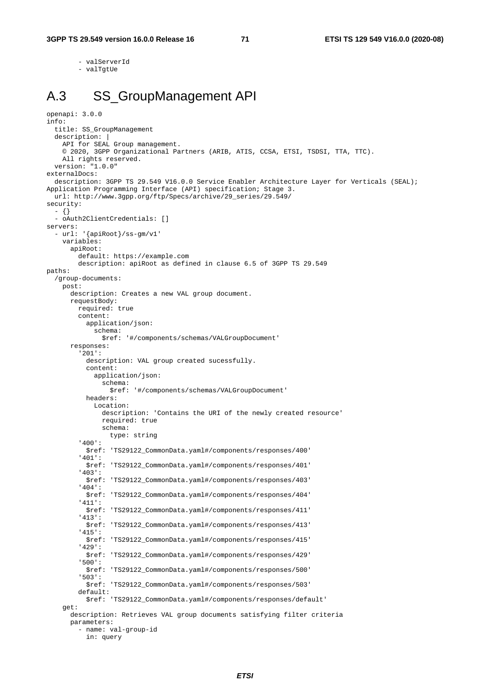- valServerId

- valTgtUe

# A.3 SS\_GroupManagement API

```
openapi: 3.0.0 
info: 
   title: SS_GroupManagement 
   description: | 
     API for SEAL Group management. 
     © 2020, 3GPP Organizational Partners (ARIB, ATIS, CCSA, ETSI, TSDSI, TTA, TTC). 
     All rights reserved. 
   version: "1.0.0" 
externalDocs: 
   description: 3GPP TS 29.549 V16.0.0 Service Enabler Architecture Layer for Verticals (SEAL); 
Application Programming Interface (API) specification; Stage 3. 
  url: http://www.3gpp.org/ftp/Specs/archive/29_series/29.549/ 
security: 
   - {} 
   - oAuth2ClientCredentials: [] 
servers: 
   - url: '{apiRoot}/ss-gm/v1' 
     variables: 
       apiRoot: 
         default: https://example.com 
         description: apiRoot as defined in clause 6.5 of 3GPP TS 29.549 
paths: 
   /group-documents: 
     post: 
       description: Creates a new VAL group document. 
       requestBody: 
         required: true 
         content: 
           application/json: 
             schema: 
                $ref: '#/components/schemas/VALGroupDocument' 
       responses: 
          '201': 
           description: VAL group created sucessfully. 
           content: 
             application/json: 
                schema: 
                 $ref: '#/components/schemas/VALGroupDocument' 
           headers: 
              Location: 
                description: 'Contains the URI of the newly created resource' 
                required: true 
               schema: 
                  type: string 
          '400': 
            $ref: 'TS29122_CommonData.yaml#/components/responses/400' 
          '401': 
           $ref: 'TS29122_CommonData.yaml#/components/responses/401' 
          '403': 
           $ref: 'TS29122_CommonData.yaml#/components/responses/403' 
          '404': 
           $ref: 'TS29122_CommonData.yaml#/components/responses/404' 
          '411': 
           $ref: 'TS29122_CommonData.yaml#/components/responses/411' 
          '413': 
           $ref: 'TS29122_CommonData.yaml#/components/responses/413' 
          '415': 
           $ref: 'TS29122_CommonData.yaml#/components/responses/415' 
          '429': 
           $ref: 'TS29122_CommonData.yaml#/components/responses/429' 
          '500': 
           $ref: 'TS29122_CommonData.yaml#/components/responses/500' 
          '503': 
           $ref: 'TS29122_CommonData.yaml#/components/responses/503' 
         default: 
           $ref: 'TS29122_CommonData.yaml#/components/responses/default' 
     get: 
       description: Retrieves VAL group documents satisfying filter criteria 
       parameters: 
         - name: val-group-id
```
in: query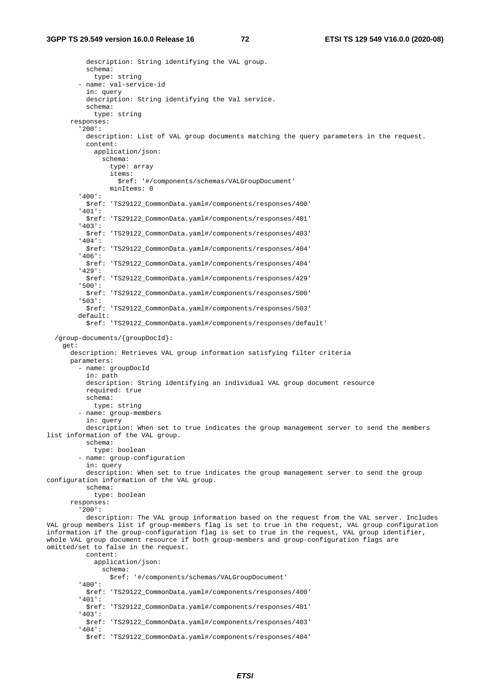description: String identifying the VAL group. schema: type: string - name: val-service-id in: query description: String identifying the Val service. schema: type: string responses: '200': description: List of VAL group documents matching the query parameters in the request. content: application/json: schema: type: array items: \$ref: '#/components/schemas/VALGroupDocument' minItems: 0 '400': \$ref: 'TS29122\_CommonData.yaml#/components/responses/400' '401': \$ref: 'TS29122\_CommonData.yaml#/components/responses/401' '403': \$ref: 'TS29122\_CommonData.yaml#/components/responses/403' '404': \$ref: 'TS29122\_CommonData.yaml#/components/responses/404' '406': \$ref: 'TS29122\_CommonData.yaml#/components/responses/404' '429': \$ref: 'TS29122\_CommonData.yaml#/components/responses/429' '500': \$ref: 'TS29122\_CommonData.yaml#/components/responses/500' '503': \$ref: 'TS29122\_CommonData.yaml#/components/responses/503' default: \$ref: 'TS29122\_CommonData.yaml#/components/responses/default' /group-documents/{groupDocId}: get: description: Retrieves VAL group information satisfying filter criteria parameters: - name: groupDocId in: path description: String identifying an individual VAL group document resource required: true schema: type: string - name: group-members in: query description: When set to true indicates the group management server to send the members list information of the VAL group. schema: type: boolean - name: group-configuration in: query description: When set to true indicates the group management server to send the group configuration information of the VAL group. schema: type: boolean responses: '200': description: The VAL group information based on the request from the VAL server. Includes VAL group members list if group-members flag is set to true in the request, VAL group configuration information if the group-configuration flag is set to true in the request, VAL group identifier, whole VAL group document resource if both group-members and group-configuration flags are omitted/set to false in the request. content: application/json: schema: \$ref: '#/components/schemas/VALGroupDocument' '400': \$ref: 'TS29122\_CommonData.yaml#/components/responses/400' '401': \$ref: 'TS29122\_CommonData.yaml#/components/responses/401' '403': \$ref: 'TS29122\_CommonData.yaml#/components/responses/403' '404': \$ref: 'TS29122\_CommonData.yaml#/components/responses/404'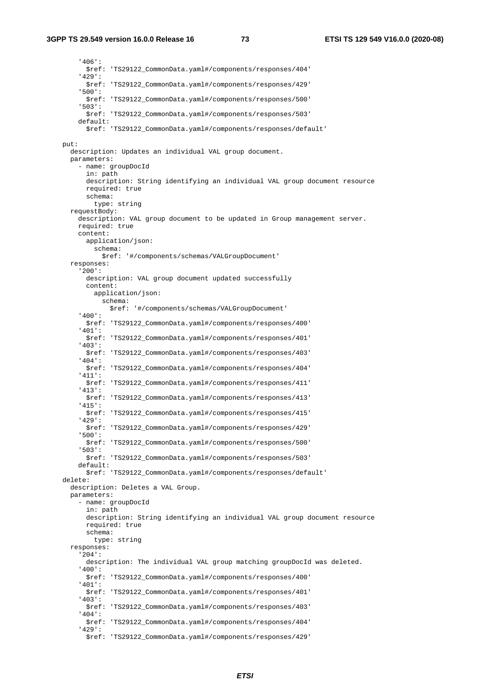'406': \$ref: 'TS29122\_CommonData.yaml#/components/responses/404' '429': \$ref: 'TS29122\_CommonData.yaml#/components/responses/429' '500': \$ref: 'TS29122\_CommonData.yaml#/components/responses/500' '503': \$ref: 'TS29122\_CommonData.yaml#/components/responses/503' default: \$ref: 'TS29122\_CommonData.yaml#/components/responses/default' put: description: Updates an individual VAL group document. parameters: - name: groupDocId in: path description: String identifying an individual VAL group document resource required: true schema: type: string requestBody: description: VAL group document to be updated in Group management server. required: true content: application/json: schema: \$ref: '#/components/schemas/VALGroupDocument' responses: '200': description: VAL group document updated successfully content: application/json: schema: \$ref: '#/components/schemas/VALGroupDocument' '400': \$ref: 'TS29122\_CommonData.yaml#/components/responses/400' '401': \$ref: 'TS29122\_CommonData.yaml#/components/responses/401' '403': \$ref: 'TS29122\_CommonData.yaml#/components/responses/403' '404': \$ref: 'TS29122\_CommonData.yaml#/components/responses/404' '411': \$ref: 'TS29122\_CommonData.yaml#/components/responses/411' '413': \$ref: 'TS29122\_CommonData.yaml#/components/responses/413' '415': \$ref: 'TS29122\_CommonData.yaml#/components/responses/415' '429': \$ref: 'TS29122\_CommonData.yaml#/components/responses/429' '500': \$ref: 'TS29122\_CommonData.yaml#/components/responses/500' '503': \$ref: 'TS29122\_CommonData.yaml#/components/responses/503' default: \$ref: 'TS29122\_CommonData.yaml#/components/responses/default' delete: description: Deletes a VAL Group. parameters: - name: groupDocId in: path description: String identifying an individual VAL group document resource required: true schema: type: string responses: '204': description: The individual VAL group matching groupDocId was deleted. '400': \$ref: 'TS29122\_CommonData.yaml#/components/responses/400' '401': \$ref: 'TS29122\_CommonData.yaml#/components/responses/401' '403': \$ref: 'TS29122\_CommonData.yaml#/components/responses/403' '404': \$ref: 'TS29122\_CommonData.yaml#/components/responses/404' '429': \$ref: 'TS29122\_CommonData.yaml#/components/responses/429'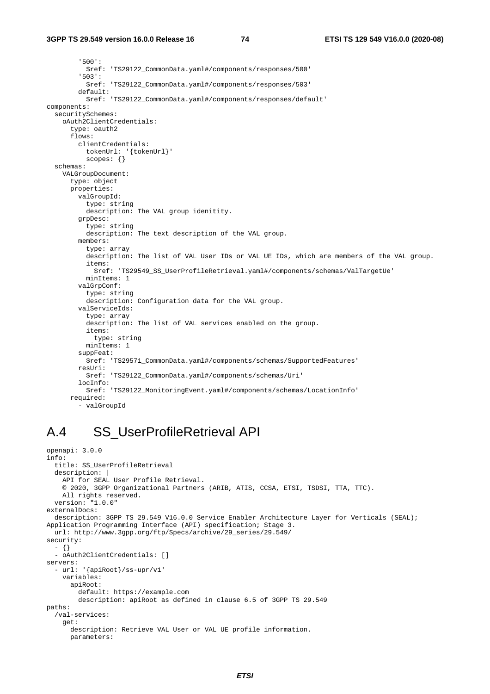```
 '500': 
            $ref: 'TS29122_CommonData.yaml#/components/responses/500' 
          '503': 
           $ref: 'TS29122_CommonData.yaml#/components/responses/503' 
         default: 
           $ref: 'TS29122_CommonData.yaml#/components/responses/default' 
components: 
   securitySchemes: 
     oAuth2ClientCredentials: 
       type: oauth2 
       flows: 
         clientCredentials: 
           tokenUrl: '{tokenUrl}' 
           scopes: {} 
   schemas: 
     VALGroupDocument: 
       type: object 
       properties: 
         valGroupId: 
           type: string 
           description: The VAL group idenitity. 
         grpDesc: 
           type: string 
           description: The text description of the VAL group. 
         members: 
           type: array 
            description: The list of VAL User IDs or VAL UE IDs, which are members of the VAL group. 
            items: 
              $ref: 'TS29549_SS_UserProfileRetrieval.yaml#/components/schemas/ValTargetUe' 
           minItems: 1 
         valGrpConf: 
           type: string 
           description: Configuration data for the VAL group. 
         valServiceIds: 
           type: array 
            description: The list of VAL services enabled on the group. 
           items: 
              type: string 
           minItems: 1 
         suppFeat: 
           $ref: 'TS29571_CommonData.yaml#/components/schemas/SupportedFeatures' 
         resUri: 
            $ref: 'TS29122_CommonData.yaml#/components/schemas/Uri' 
         locInfo: 
           $ref: 'TS29122_MonitoringEvent.yaml#/components/schemas/LocationInfo' 
       required: 
          - valGroupId
```
#### A.4 SS\_UserProfileRetrieval API

```
openapi: 3.0.0 
info: 
   title: SS_UserProfileRetrieval 
   description: | 
     API for SEAL User Profile Retrieval. 
     © 2020, 3GPP Organizational Partners (ARIB, ATIS, CCSA, ETSI, TSDSI, TTA, TTC). 
     All rights reserved. 
   version: "1.0.0" 
externalDocs: 
   description: 3GPP TS 29.549 V16.0.0 Service Enabler Architecture Layer for Verticals (SEAL); 
Application Programming Interface (API) specification; Stage 3. 
   url: http://www.3gpp.org/ftp/Specs/archive/29_series/29.549/ 
security: 
   - {} 
   - oAuth2ClientCredentials: [] 
servers: 
   - url: '{apiRoot}/ss-upr/v1' 
     variables: 
       apiRoot: 
         default: https://example.com 
         description: apiRoot as defined in clause 6.5 of 3GPP TS 29.549 
paths: 
   /val-services: 
     get: 
       description: Retrieve VAL User or VAL UE profile information. 
       parameters:
```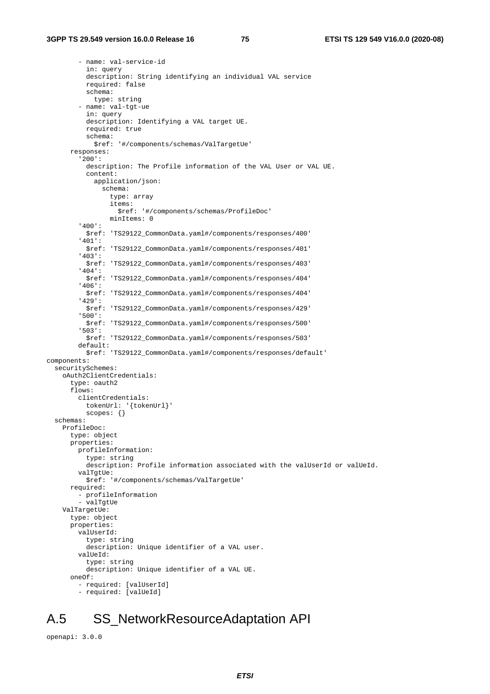- name: val-service-id in: query description: String identifying an individual VAL service required: false schema: type: string - name: val-tgt-ue in: query description: Identifying a VAL target UE. required: true schema: \$ref: '#/components/schemas/ValTargetUe' responses: '200': description: The Profile information of the VAL User or VAL UE. content: application/json: schema: type: array items: \$ref: '#/components/schemas/ProfileDoc' minItems: 0 '400': \$ref: 'TS29122\_CommonData.yaml#/components/responses/400' '401': \$ref: 'TS29122\_CommonData.yaml#/components/responses/401' '403': \$ref: 'TS29122\_CommonData.yaml#/components/responses/403' '404': \$ref: 'TS29122\_CommonData.yaml#/components/responses/404' '406': \$ref: 'TS29122\_CommonData.yaml#/components/responses/404' '429': \$ref: 'TS29122\_CommonData.yaml#/components/responses/429' '500': \$ref: 'TS29122\_CommonData.yaml#/components/responses/500' '503': \$ref: 'TS29122\_CommonData.yaml#/components/responses/503' default: \$ref: 'TS29122\_CommonData.yaml#/components/responses/default' components: securitySchemes: oAuth2ClientCredentials: type: oauth2 flows: clientCredentials: tokenUrl: '{tokenUrl}' scopes: {} schemas: ProfileDoc: type: object properties: profileInformation: type: string description: Profile information associated with the valUserId or valUeId. valTgtUe: \$ref: '#/components/schemas/ValTargetUe' required: - profileInformation - valTgtUe ValTargetUe: type: object properties: valUserId: type: string description: Unique identifier of a VAL user. valUeId: type: string description: Unique identifier of a VAL UE. oneOf: - required: [valUserId] - required: [valUeId]

## A.5 SS\_NetworkResourceAdaptation API

openapi: 3.0.0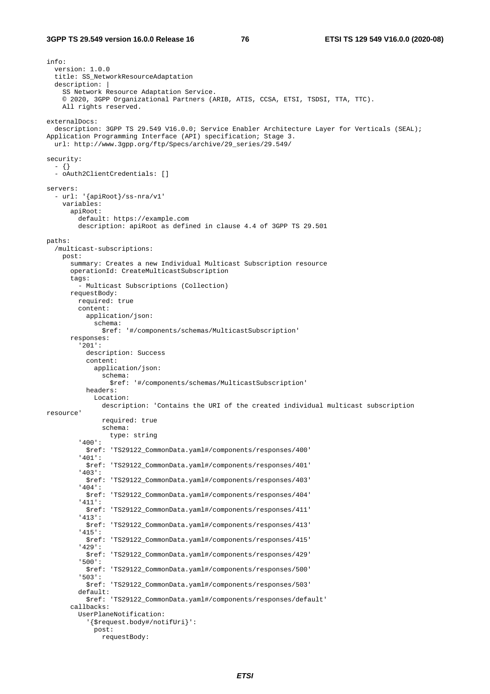info: version: 1.0.0 title: SS\_NetworkResourceAdaptation description: | SS Network Resource Adaptation Service. © 2020, 3GPP Organizational Partners (ARIB, ATIS, CCSA, ETSI, TSDSI, TTA, TTC). All rights reserved. externalDocs: description: 3GPP TS 29.549 V16.0.0; Service Enabler Architecture Layer for Verticals (SEAL); Application Programming Interface (API) specification; Stage 3. url: http://www.3gpp.org/ftp/Specs/archive/29\_series/29.549/ security: - {} - oAuth2ClientCredentials: [] servers: - url: '{apiRoot}/ss-nra/v1' variables: apiRoot: default: https://example.com description: apiRoot as defined in clause 4.4 of 3GPP TS 29.501 paths: /multicast-subscriptions: post: summary: Creates a new Individual Multicast Subscription resource operationId: CreateMulticastSubscription tags: - Multicast Subscriptions (Collection) requestBody: required: true content: application/json: schema: \$ref: '#/components/schemas/MulticastSubscription' responses: '201': description: Success content: application/json: schema: \$ref: '#/components/schemas/MulticastSubscription' headers: Location: description: 'Contains the URI of the created individual multicast subscription resource' required: true schema: type: string '400': \$ref: 'TS29122\_CommonData.yaml#/components/responses/400' '401': \$ref: 'TS29122\_CommonData.yaml#/components/responses/401' '403': \$ref: 'TS29122\_CommonData.yaml#/components/responses/403' '404': \$ref: 'TS29122\_CommonData.yaml#/components/responses/404' '411': \$ref: 'TS29122\_CommonData.yaml#/components/responses/411' '413': \$ref: 'TS29122\_CommonData.yaml#/components/responses/413' '415': \$ref: 'TS29122\_CommonData.yaml#/components/responses/415' '429': \$ref: 'TS29122\_CommonData.yaml#/components/responses/429' '500': \$ref: 'TS29122\_CommonData.yaml#/components/responses/500' '503': \$ref: 'TS29122\_CommonData.yaml#/components/responses/503' default: \$ref: 'TS29122\_CommonData.yaml#/components/responses/default' callbacks: UserPlaneNotification: '{\$request.body#/notifUri}': post: requestBody: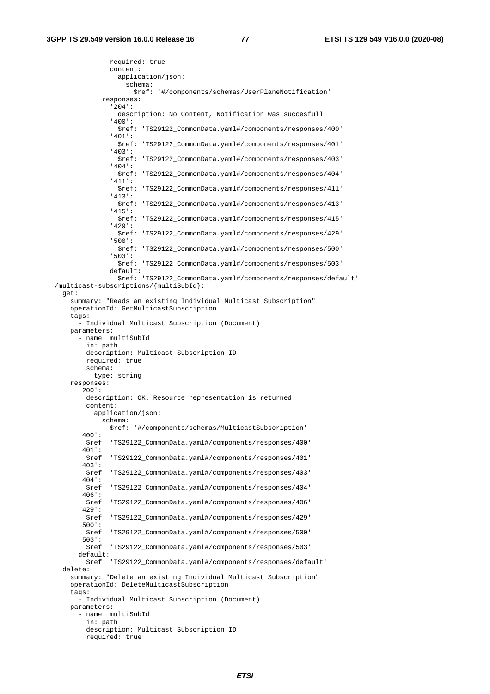required: true content: application/json: schema: \$ref: '#/components/schemas/UserPlaneNotification' responses: '204': description: No Content, Notification was succesfull '400': \$ref: 'TS29122\_CommonData.yaml#/components/responses/400' '401': \$ref: 'TS29122\_CommonData.yaml#/components/responses/401' '403': \$ref: 'TS29122\_CommonData.yaml#/components/responses/403' '404': \$ref: 'TS29122\_CommonData.yaml#/components/responses/404' '411': \$ref: 'TS29122\_CommonData.yaml#/components/responses/411' '413': \$ref: 'TS29122\_CommonData.yaml#/components/responses/413' '415': \$ref: 'TS29122\_CommonData.yaml#/components/responses/415' '429': \$ref: 'TS29122\_CommonData.yaml#/components/responses/429' '500': \$ref: 'TS29122\_CommonData.yaml#/components/responses/500' '503': \$ref: 'TS29122\_CommonData.yaml#/components/responses/503' default: \$ref: 'TS29122\_CommonData.yaml#/components/responses/default' /multicast-subscriptions/{multiSubId}: get: summary: "Reads an existing Individual Multicast Subscription" operationId: GetMulticastSubscription tags: - Individual Multicast Subscription (Document) parameters: - name: multiSubId in: path description: Multicast Subscription ID required: true schema: type: string responses: '200': description: OK. Resource representation is returned content: application/json: schema: \$ref: '#/components/schemas/MulticastSubscription' '400': \$ref: 'TS29122\_CommonData.yaml#/components/responses/400' '401': \$ref: 'TS29122\_CommonData.yaml#/components/responses/401' '403': \$ref: 'TS29122\_CommonData.yaml#/components/responses/403' '404': \$ref: 'TS29122\_CommonData.yaml#/components/responses/404' '406': \$ref: 'TS29122\_CommonData.yaml#/components/responses/406' '429': \$ref: 'TS29122\_CommonData.yaml#/components/responses/429' '500': \$ref: 'TS29122\_CommonData.yaml#/components/responses/500' '503': \$ref: 'TS29122\_CommonData.yaml#/components/responses/503' default: \$ref: 'TS29122\_CommonData.yaml#/components/responses/default' delete: summary: "Delete an existing Individual Multicast Subscription" operationId: DeleteMulticastSubscription tags: - Individual Multicast Subscription (Document) parameters: - name: multiSubId in: path description: Multicast Subscription ID

```
 required: true
```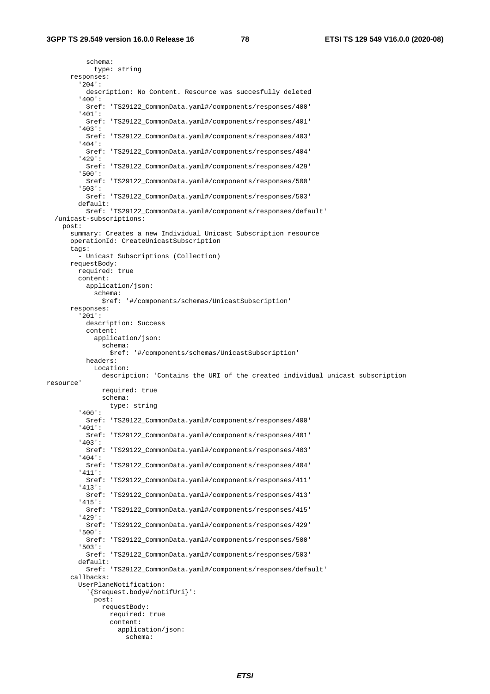schema: type: string responses: '204': description: No Content. Resource was succesfully deleted '400': \$ref: 'TS29122\_CommonData.yaml#/components/responses/400' '401': \$ref: 'TS29122\_CommonData.yaml#/components/responses/401' '403': \$ref: 'TS29122\_CommonData.yaml#/components/responses/403' '404': \$ref: 'TS29122\_CommonData.yaml#/components/responses/404' '429': \$ref: 'TS29122\_CommonData.yaml#/components/responses/429' '500': \$ref: 'TS29122\_CommonData.yaml#/components/responses/500' '503': \$ref: 'TS29122\_CommonData.yaml#/components/responses/503' default: \$ref: 'TS29122\_CommonData.yaml#/components/responses/default' /unicast-subscriptions: post: summary: Creates a new Individual Unicast Subscription resource operationId: CreateUnicastSubscription tags: - Unicast Subscriptions (Collection) requestBody: required: true content: application/json: schema: \$ref: '#/components/schemas/UnicastSubscription' responses: '201': description: Success content: application/json: schema: \$ref: '#/components/schemas/UnicastSubscription' headers: Location: description: 'Contains the URI of the created individual unicast subscription resource' required: true schema: type: string '400': \$ref: 'TS29122\_CommonData.yaml#/components/responses/400' '401': \$ref: 'TS29122\_CommonData.yaml#/components/responses/401' '403': \$ref: 'TS29122\_CommonData.yaml#/components/responses/403' '404': \$ref: 'TS29122\_CommonData.yaml#/components/responses/404' '411': \$ref: 'TS29122\_CommonData.yaml#/components/responses/411' '413': \$ref: 'TS29122\_CommonData.yaml#/components/responses/413' '415': \$ref: 'TS29122\_CommonData.yaml#/components/responses/415' '429': \$ref: 'TS29122\_CommonData.yaml#/components/responses/429' '500': \$ref: 'TS29122\_CommonData.yaml#/components/responses/500' '503': \$ref: 'TS29122\_CommonData.yaml#/components/responses/503' default: \$ref: 'TS29122\_CommonData.yaml#/components/responses/default' callbacks: UserPlaneNotification: '{\$request.body#/notifUri}': post: requestBody: required: true content: application/json: schema: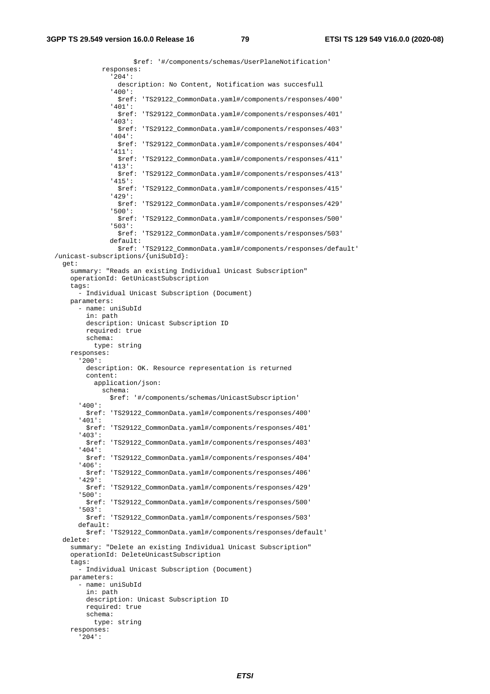\$ref: '#/components/schemas/UserPlaneNotification' responses: '204': description: No Content, Notification was succesfull '400': \$ref: 'TS29122\_CommonData.yaml#/components/responses/400' '401': \$ref: 'TS29122\_CommonData.yaml#/components/responses/401' '403': \$ref: 'TS29122\_CommonData.yaml#/components/responses/403' '404': \$ref: 'TS29122\_CommonData.yaml#/components/responses/404' '411': \$ref: 'TS29122\_CommonData.yaml#/components/responses/411' '413': \$ref: 'TS29122\_CommonData.yaml#/components/responses/413' '415': \$ref: 'TS29122\_CommonData.yaml#/components/responses/415' '429': \$ref: 'TS29122\_CommonData.yaml#/components/responses/429' '500': \$ref: 'TS29122\_CommonData.yaml#/components/responses/500' '503': \$ref: 'TS29122\_CommonData.yaml#/components/responses/503' default: \$ref: 'TS29122\_CommonData.yaml#/components/responses/default' /unicast-subscriptions/{uniSubId}: get: summary: "Reads an existing Individual Unicast Subscription" operationId: GetUnicastSubscription tags: - Individual Unicast Subscription (Document) parameters: - name: uniSubId in: path description: Unicast Subscription ID required: true schema: type: string responses: '200': description: OK. Resource representation is returned content: application/json: schema: \$ref: '#/components/schemas/UnicastSubscription' '400': \$ref: 'TS29122\_CommonData.yaml#/components/responses/400' '401': \$ref: 'TS29122\_CommonData.yaml#/components/responses/401' '403': \$ref: 'TS29122\_CommonData.yaml#/components/responses/403' '404': \$ref: 'TS29122\_CommonData.yaml#/components/responses/404' '406': \$ref: 'TS29122\_CommonData.yaml#/components/responses/406' '429': \$ref: 'TS29122\_CommonData.yaml#/components/responses/429' '500': \$ref: 'TS29122\_CommonData.yaml#/components/responses/500' '503': \$ref: 'TS29122\_CommonData.yaml#/components/responses/503' default: \$ref: 'TS29122\_CommonData.yaml#/components/responses/default' delete: summary: "Delete an existing Individual Unicast Subscription" operationId: DeleteUnicastSubscription tags: - Individual Unicast Subscription (Document) parameters: - name: uniSubId in: path description: Unicast Subscription ID required: true schema: type: string responses: '204':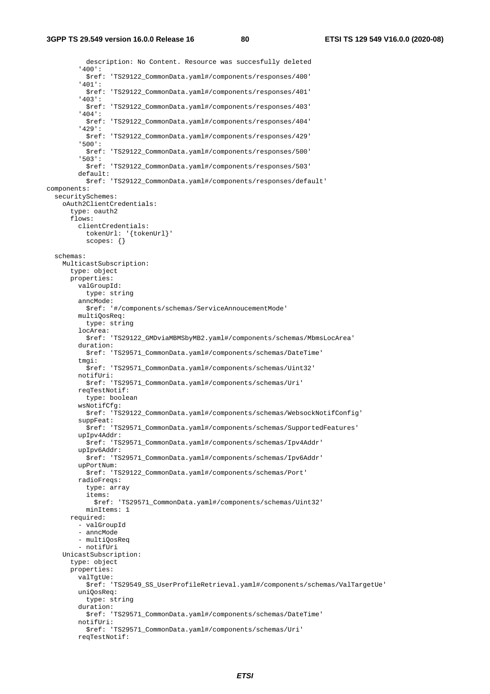description: No Content. Resource was succesfully deleted '400': \$ref: 'TS29122\_CommonData.yaml#/components/responses/400' '401': \$ref: 'TS29122\_CommonData.yaml#/components/responses/401' '403': \$ref: 'TS29122\_CommonData.yaml#/components/responses/403' '404': \$ref: 'TS29122\_CommonData.yaml#/components/responses/404' '429': \$ref: 'TS29122\_CommonData.yaml#/components/responses/429' '500': \$ref: 'TS29122\_CommonData.yaml#/components/responses/500' '503': \$ref: 'TS29122\_CommonData.yaml#/components/responses/503' default: \$ref: 'TS29122\_CommonData.yaml#/components/responses/default' components: securitySchemes: oAuth2ClientCredentials: type: oauth2 flows: clientCredentials: tokenUrl: '{tokenUrl}' scopes: {} schemas: MulticastSubscription: type: object properties: valGroupId: type: string anncMode: \$ref: '#/components/schemas/ServiceAnnoucementMode' multiQosReq: type: string locArea: \$ref: 'TS29122\_GMDviaMBMSbyMB2.yaml#/components/schemas/MbmsLocArea' duration: \$ref: 'TS29571\_CommonData.yaml#/components/schemas/DateTime' tmgi: \$ref: 'TS29571\_CommonData.yaml#/components/schemas/Uint32' notifUri: \$ref: 'TS29571\_CommonData.yaml#/components/schemas/Uri' reqTestNotif: type: boolean wsNotifCfg: \$ref: 'TS29122\_CommonData.yaml#/components/schemas/WebsockNotifConfig' suppFeat: \$ref: 'TS29571\_CommonData.yaml#/components/schemas/SupportedFeatures' upIpv4Addr: \$ref: 'TS29571\_CommonData.yaml#/components/schemas/Ipv4Addr' upIpv6Addr: \$ref: 'TS29571\_CommonData.yaml#/components/schemas/Ipv6Addr' upPortNum: \$ref: 'TS29122\_CommonData.yaml#/components/schemas/Port' radioFreqs: type: array items: \$ref: 'TS29571\_CommonData.yaml#/components/schemas/Uint32' minItems: 1 required: - valGroupId - anncMode - multiQosReq - notifUri UnicastSubscription: type: object properties: valTgtUe: \$ref: 'TS29549\_SS\_UserProfileRetrieval.yaml#/components/schemas/ValTargetUe' uniQosReq: type: string duration: \$ref: 'TS29571\_CommonData.yaml#/components/schemas/DateTime' notifUri: \$ref: 'TS29571\_CommonData.yaml#/components/schemas/Uri' reqTestNotif: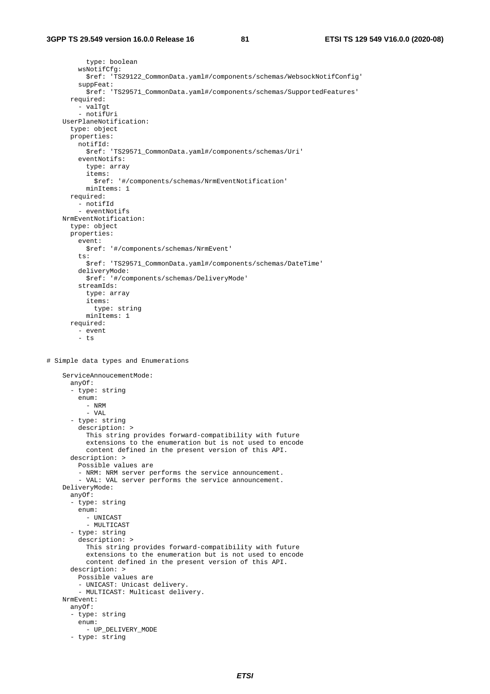```
 type: boolean 
         wsNotifCfg: 
           $ref: 'TS29122_CommonData.yaml#/components/schemas/WebsockNotifConfig' 
         suppFeat: 
           $ref: 'TS29571_CommonData.yaml#/components/schemas/SupportedFeatures' 
       required: 
         - valTgt 
         - notifUri 
     UserPlaneNotification: 
       type: object 
       properties: 
         notifId: 
           $ref: 'TS29571_CommonData.yaml#/components/schemas/Uri' 
         eventNotifs: 
           type: array 
            items: 
              $ref: '#/components/schemas/NrmEventNotification' 
           minItems: 1 
       required: 
         - notifId 
         - eventNotifs 
     NrmEventNotification: 
       type: object 
       properties: 
         event: 
           $ref: '#/components/schemas/NrmEvent' 
         ts: 
           $ref: 'TS29571_CommonData.yaml#/components/schemas/DateTime' 
         deliveryMode: 
           $ref: '#/components/schemas/DeliveryMode' 
         streamIds: 
           type: array 
            items: 
             type: string 
           minItems: 1 
       required: 
         - event 
         - ts 
# Simple data types and Enumerations 
     ServiceAnnoucementMode: 
       anyOf: 
       - type: string 
         enum: 
           - NRM 
           - VAL 
       - type: string 
         description: > 
           This string provides forward-compatibility with future 
            extensions to the enumeration but is not used to encode 
           content defined in the present version of this API. 
       description: > 
         Possible values are 
         - NRM: NRM server performs the service announcement. 
         - VAL: VAL server performs the service announcement. 
     DeliveryMode: 
       anyOf: 
       - type: string 
         enum: 
           - UNICAST 
            - MULTICAST 
       - type: string 
         description: > 
           This string provides forward-compatibility with future 
            extensions to the enumeration but is not used to encode 
           content defined in the present version of this API. 
       description: > 
         Possible values are 
          - UNICAST: Unicast delivery. 
          - MULTICAST: Multicast delivery. 
     NrmEvent: 
       anyOf: 
       - type: string 
         enum: 
          - UP DELIVERY MODE
       - type: string
```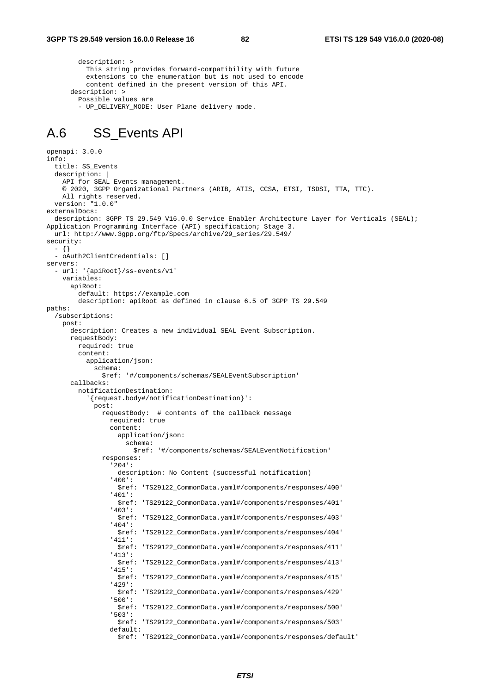description: > This string provides forward-compatibility with future extensions to the enumeration but is not used to encode content defined in the present version of this API. description: > Possible values are - UP DELIVERY MODE: User Plane delivery mode.

#### A.6 SS\_Events API

```
openapi: 3.0.0 
info: 
   title: SS_Events 
   description: | 
     API for SEAL Events management. 
     © 2020, 3GPP Organizational Partners (ARIB, ATIS, CCSA, ETSI, TSDSI, TTA, TTC). 
     All rights reserved. 
   version: "1.0.0" 
externalDocs: 
   description: 3GPP TS 29.549 V16.0.0 Service Enabler Architecture Layer for Verticals (SEAL); 
Application Programming Interface (API) specification; Stage 3. 
  url: http://www.3gpp.org/ftp/Specs/archive/29_series/29.549/ 
security: 
   - {} 
   - oAuth2ClientCredentials: [] 
servers: 
   - url: '{apiRoot}/ss-events/v1' 
     variables: 
       apiRoot: 
         default: https://example.com 
         description: apiRoot as defined in clause 6.5 of 3GPP TS 29.549 
paths: 
   /subscriptions: 
     post: 
       description: Creates a new individual SEAL Event Subscription. 
       requestBody: 
         required: true 
         content: 
           application/json: 
             schema: 
                $ref: '#/components/schemas/SEALEventSubscription' 
       callbacks: 
         notificationDestination: 
            '{request.body#/notificationDestination}': 
             post: 
                requestBody: # contents of the callback message 
                  required: true 
                  content: 
                    application/json: 
                      schema: 
                         $ref: '#/components/schemas/SEALEventNotification' 
                responses: 
                   '204': 
                    description: No Content (successful notification) 
                   '400': 
                    $ref: 'TS29122_CommonData.yaml#/components/responses/400' 
                  '401': 
                    $ref: 'TS29122_CommonData.yaml#/components/responses/401' 
                  '403': 
                    $ref: 'TS29122_CommonData.yaml#/components/responses/403' 
                  '404': 
                    $ref: 'TS29122_CommonData.yaml#/components/responses/404' 
                   '411': 
                    $ref: 'TS29122_CommonData.yaml#/components/responses/411' 
                   '413': 
                    $ref: 'TS29122_CommonData.yaml#/components/responses/413' 
                  '415': 
                    $ref: 'TS29122_CommonData.yaml#/components/responses/415' 
                  '429': 
                    $ref: 'TS29122_CommonData.yaml#/components/responses/429' 
                   '500': 
                    $ref: 'TS29122_CommonData.yaml#/components/responses/500' 
                  '503': 
                    $ref: 'TS29122_CommonData.yaml#/components/responses/503' 
                  default: 
                    $ref: 'TS29122_CommonData.yaml#/components/responses/default'
```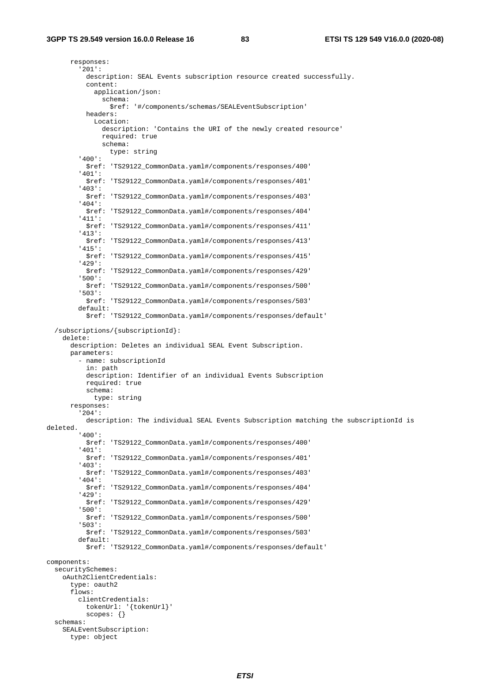responses: '201': description: SEAL Events subscription resource created successfully. content: application/json: schema: \$ref: '#/components/schemas/SEALEventSubscription' headers: Location: description: 'Contains the URI of the newly created resource' required: true schema: type: string '400': \$ref: 'TS29122\_CommonData.yaml#/components/responses/400' '401': \$ref: 'TS29122\_CommonData.yaml#/components/responses/401' '403': \$ref: 'TS29122\_CommonData.yaml#/components/responses/403' '404': \$ref: 'TS29122\_CommonData.yaml#/components/responses/404' '411': \$ref: 'TS29122\_CommonData.yaml#/components/responses/411' '413': \$ref: 'TS29122\_CommonData.yaml#/components/responses/413' '415': \$ref: 'TS29122\_CommonData.yaml#/components/responses/415' '429': \$ref: 'TS29122\_CommonData.yaml#/components/responses/429' '500': \$ref: 'TS29122\_CommonData.yaml#/components/responses/500' '503': \$ref: 'TS29122\_CommonData.yaml#/components/responses/503' default: \$ref: 'TS29122\_CommonData.yaml#/components/responses/default' /subscriptions/{subscriptionId}: delete: description: Deletes an individual SEAL Event Subscription. parameters: - name: subscriptionId in: path description: Identifier of an individual Events Subscription required: true schema: type: string responses: '204': description: The individual SEAL Events Subscription matching the subscriptionId is deleted. '400': \$ref: 'TS29122\_CommonData.yaml#/components/responses/400' '401': \$ref: 'TS29122\_CommonData.yaml#/components/responses/401' '403': \$ref: 'TS29122\_CommonData.yaml#/components/responses/403' '404': \$ref: 'TS29122\_CommonData.yaml#/components/responses/404' '429': \$ref: 'TS29122\_CommonData.yaml#/components/responses/429' '500': \$ref: 'TS29122\_CommonData.yaml#/components/responses/500' '503': \$ref: 'TS29122\_CommonData.yaml#/components/responses/503' default: \$ref: 'TS29122\_CommonData.yaml#/components/responses/default' components: securitySchemes: oAuth2ClientCredentials: type: oauth2 flows: clientCredentials: tokenUrl: '{tokenUrl}' scopes: {} schemas: SEALEventSubscription: type: object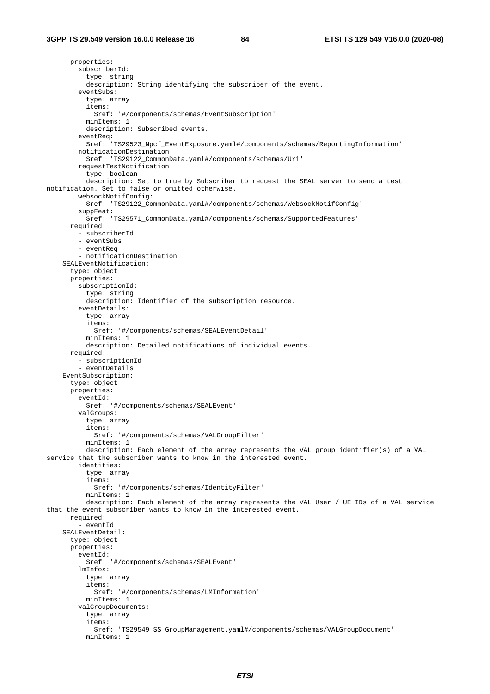properties: subscriberId: type: string description: String identifying the subscriber of the event. eventSubs: type: array items: \$ref: '#/components/schemas/EventSubscription' minItems: 1 description: Subscribed events. eventReq: \$ref: 'TS29523\_Npcf\_EventExposure.yaml#/components/schemas/ReportingInformation' notificationDestination: \$ref: 'TS29122\_CommonData.yaml#/components/schemas/Uri' requestTestNotification: type: boolean description: Set to true by Subscriber to request the SEAL server to send a test notification. Set to false or omitted otherwise. websockNotifConfig: \$ref: 'TS29122\_CommonData.yaml#/components/schemas/WebsockNotifConfig' suppFeat: \$ref: 'TS29571\_CommonData.yaml#/components/schemas/SupportedFeatures' required: - subscriberId - eventSubs - eventReq - notificationDestination SEALEventNotification: type: object properties: subscriptionId: type: string description: Identifier of the subscription resource. eventDetails: type: array items: \$ref: '#/components/schemas/SEALEventDetail' minItems: 1 description: Detailed notifications of individual events. required: - subscriptionId - eventDetails EventSubscription: type: object properties: eventId: \$ref: '#/components/schemas/SEALEvent' valGroups: type: array items: \$ref: '#/components/schemas/VALGroupFilter' minItems: 1 description: Each element of the array represents the VAL group identifier(s) of a VAL service that the subscriber wants to know in the interested event. identities: type: array items: \$ref: '#/components/schemas/IdentityFilter' minItems: 1 description: Each element of the array represents the VAL User / UE IDs of a VAL service that the event subscriber wants to know in the interested event. required: - eventId SEALEventDetail: type: object properties: eventId: \$ref: '#/components/schemas/SEALEvent' lmInfos: type: array items: \$ref: '#/components/schemas/LMInformation' minItems: 1 valGroupDocuments: type: array items: \$ref: 'TS29549\_SS\_GroupManagement.yaml#/components/schemas/VALGroupDocument' minItems: 1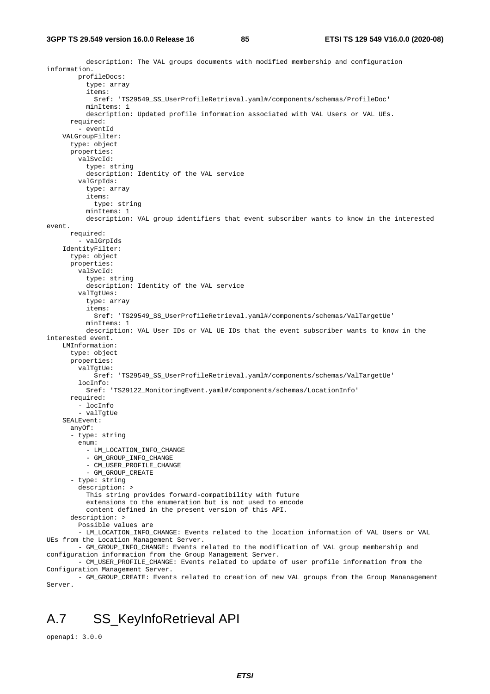description: The VAL groups documents with modified membership and configuration information. profileDocs: type: array items: \$ref: 'TS29549\_SS\_UserProfileRetrieval.yaml#/components/schemas/ProfileDoc' minItems: 1 description: Updated profile information associated with VAL Users or VAL UEs. required: - eventId VALGroupFilter: type: object properties: valSvcId: type: string description: Identity of the VAL service valGrpIds: type: array items: type: string minTtems: 1 description: VAL group identifiers that event subscriber wants to know in the interested event. required: - valGrpIds IdentityFilter: type: object properties: valSvcId: type: string description: Identity of the VAL service valTgtUes: type: array items: \$ref: 'TS29549\_SS\_UserProfileRetrieval.yaml#/components/schemas/ValTargetUe' minItems: 1 description: VAL User IDs or VAL UE IDs that the event subscriber wants to know in the interested event. LMInformation: type: object properties: valTgtUe: \$ref: 'TS29549\_SS\_UserProfileRetrieval.yaml#/components/schemas/ValTargetUe' locInfo: \$ref: 'TS29122\_MonitoringEvent.yaml#/components/schemas/LocationInfo' required: - locInfo - valTgtUe SEALEvent: anyOf: - type: string enum: - LM\_LOCATION\_INFO\_CHANGE - GM\_GROUP\_INFO\_CHANGE - CM\_USER\_PROFILE\_CHANGE - GM\_GROUP\_CREATE - type: string description: > This string provides forward-compatibility with future extensions to the enumeration but is not used to encode content defined in the present version of this API. description: > Possible values are - LM\_LOCATION\_INFO\_CHANGE: Events related to the location information of VAL Users or VAL UEs from the Location Management Server. - GM\_GROUP\_INFO\_CHANGE: Events related to the modification of VAL group membership and configuration information from the Group Management Server. - CM\_USER\_PROFILE\_CHANGE: Events related to update of user profile information from the Configuration Management Server. - GM\_GROUP\_CREATE: Events related to creation of new VAL groups from the Group Mananagement

## A.7 SS\_KeyInfoRetrieval API

openapi: 3.0.0

Server.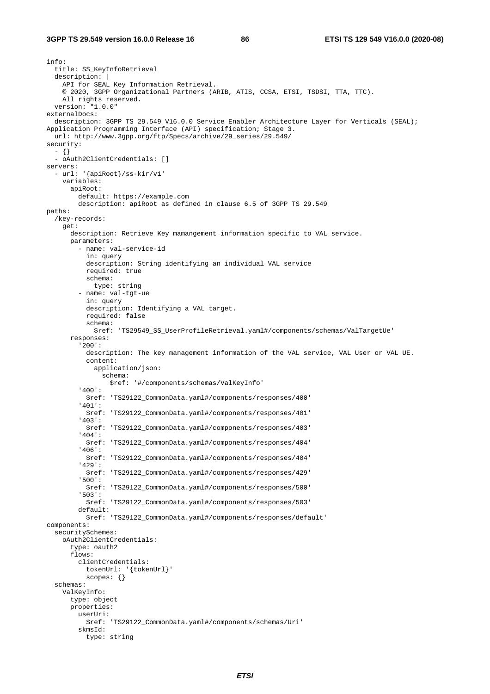```
info: 
   title: SS_KeyInfoRetrieval 
   description: | 
     API for SEAL Key Information Retrieval. 
     © 2020, 3GPP Organizational Partners (ARIB, ATIS, CCSA, ETSI, TSDSI, TTA, TTC). 
     All rights reserved. 
   version: "1.0.0" 
externalDocs: 
   description: 3GPP TS 29.549 V16.0.0 Service Enabler Architecture Layer for Verticals (SEAL); 
Application Programming Interface (API) specification; Stage 3. 
  url: http://www.3gpp.org/ftp/Specs/archive/29_series/29.549/ 
security: 
   - {} 
   - oAuth2ClientCredentials: [] 
servers: 
   - url: '{apiRoot}/ss-kir/v1' 
     variables: 
       apiRoot: 
         default: https://example.com 
         description: apiRoot as defined in clause 6.5 of 3GPP TS 29.549 
paths: 
   /key-records: 
     get: 
       description: Retrieve Key mamangement information specific to VAL service. 
       parameters: 
         - name: val-service-id 
           in: query 
           description: String identifying an individual VAL service 
           required: true 
           schema: 
             type: string 
          - name: val-tgt-ue 
           in: query 
           description: Identifying a VAL target. 
           required: false 
           schema: 
             $ref: 'TS29549_SS_UserProfileRetrieval.yaml#/components/schemas/ValTargetUe' 
       responses: 
          '200': 
           description: The key management information of the VAL service, VAL User or VAL UE. 
           content: 
             application/json: 
                schema: 
                  $ref: '#/components/schemas/ValKeyInfo' 
          '400': 
           $ref: 'TS29122_CommonData.yaml#/components/responses/400' 
          '401': 
           $ref: 'TS29122_CommonData.yaml#/components/responses/401' 
          '403': 
           $ref: 'TS29122_CommonData.yaml#/components/responses/403' 
          '404': 
           $ref: 'TS29122_CommonData.yaml#/components/responses/404' 
          '406': 
           $ref: 'TS29122_CommonData.yaml#/components/responses/404' 
          '429': 
           $ref: 'TS29122_CommonData.yaml#/components/responses/429' 
          '500': 
           $ref: 'TS29122_CommonData.yaml#/components/responses/500' 
          '503': 
           $ref: 'TS29122_CommonData.yaml#/components/responses/503' 
         default: 
           $ref: 'TS29122_CommonData.yaml#/components/responses/default' 
components: 
   securitySchemes: 
     oAuth2ClientCredentials: 
       type: oauth2 
       flows: 
         clientCredentials: 
           tokenUrl: '{tokenUrl}' 
           scopes: {} 
   schemas: 
     ValKeyInfo: 
       type: object 
       properties: 
         userUri: 
           $ref: 'TS29122_CommonData.yaml#/components/schemas/Uri' 
         skmsId: 
           type: string
```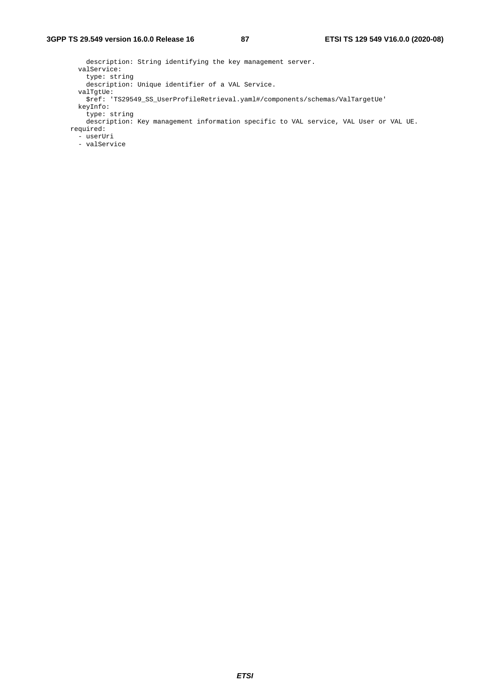```
 description: String identifying the key management server. 
        valService: 
          type: string 
          description: Unique identifier of a VAL Service. 
 valTgtUe: 
 $ref: 'TS29549_SS_UserProfileRetrieval.yaml#/components/schemas/ValTargetUe' 
        keyInfo: 
          type: string 
          description: Key management information specific to VAL service, VAL User or VAL UE. 
      required: 
        - userUri 
        - valService
```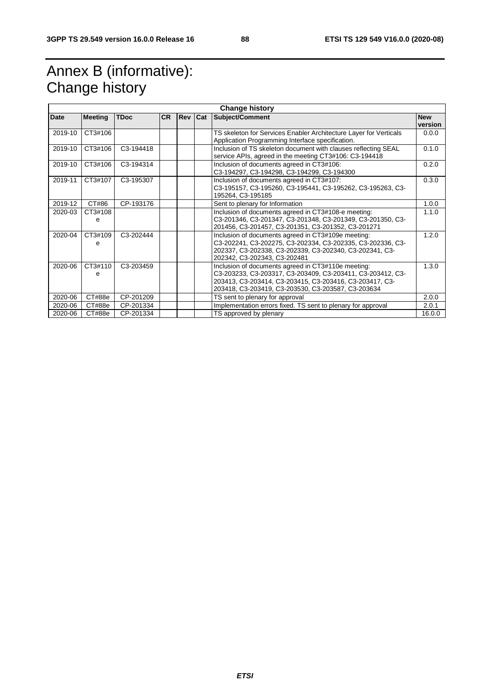# Annex B (informative): Change history

|             | <b>Change history</b> |             |           |     |     |                                                                                                                                                                                                                                   |                       |
|-------------|-----------------------|-------------|-----------|-----|-----|-----------------------------------------------------------------------------------------------------------------------------------------------------------------------------------------------------------------------------------|-----------------------|
| <b>Date</b> | <b>Meeting</b>        | <b>TDoc</b> | <b>CR</b> | Rev | Cat | Subject/Comment                                                                                                                                                                                                                   | <b>New</b><br>version |
| 2019-10     | CT3#106               |             |           |     |     | TS skeleton for Services Enabler Architecture Layer for Verticals<br>Application Programming Interface specification.                                                                                                             | 0.0.0                 |
| 2019-10     | CT3#106               | C3-194418   |           |     |     | Inclusion of TS skeleton document with clauses reflecting SEAL<br>service APIs, agreed in the meeting CT3#106: C3-194418                                                                                                          | 0.1.0                 |
| 2019-10     | CT3#106               | C3-194314   |           |     |     | Inclusion of documents agreed in CT3#106:<br>C3-194297, C3-194298, C3-194299, C3-194300                                                                                                                                           | 0.2.0                 |
| 2019-11     | CT3#107               | C3-195307   |           |     |     | Inclusion of documents agreed in CT3#107:<br>C3-195157, C3-195260, C3-195441, C3-195262, C3-195263, C3-<br>195264, C3-195185                                                                                                      | 0.3.0                 |
| 2019-12     | CT#86                 | CP-193176   |           |     |     | Sent to plenary for Information                                                                                                                                                                                                   | 1.0.0                 |
| 2020-03     | CT3#108<br>e          |             |           |     |     | Inclusion of documents agreed in CT3#108-e meeting:<br>C3-201346, C3-201347, C3-201348, C3-201349, C3-201350, C3-<br>201456, C3-201457, C3-201351, C3-201352, C3-201271                                                           | 1.1.0                 |
| 2020-04     | CT3#109<br>e          | C3-202444   |           |     |     | Inclusion of documents agreed in CT3#109e meeting:<br>C3-202241, C3-202275, C3-202334, C3-202335, C3-202336, C3-<br>202337, C3-202338, C3-202339, C3-202340, C3-202341, C3-<br>202342, C3-202343, C3-202481                       | 1.2.0                 |
| 2020-06     | CT3#110<br>e          | C3-203459   |           |     |     | Inclusion of documents agreed in CT3#110e meeting:<br>C3-203233, C3-203317, C3-203409, C3-203411, C3-203412, C3-<br>203413, C3-203414, C3-203415, C3-203416, C3-203417, C3-<br>203418, C3-203419, C3-203530, C3-203587, C3-203634 | 1.3.0                 |
| 2020-06     | CT#88e                | CP-201209   |           |     |     | TS sent to plenary for approval                                                                                                                                                                                                   | 2.0.0                 |
| 2020-06     | CT#88e                | CP-201334   |           |     |     | Implementation errors fixed. TS sent to plenary for approval                                                                                                                                                                      | 2.0.1                 |
| 2020-06     | CT#88e                | CP-201334   |           |     |     | TS approved by plenary                                                                                                                                                                                                            | 16.0.0                |